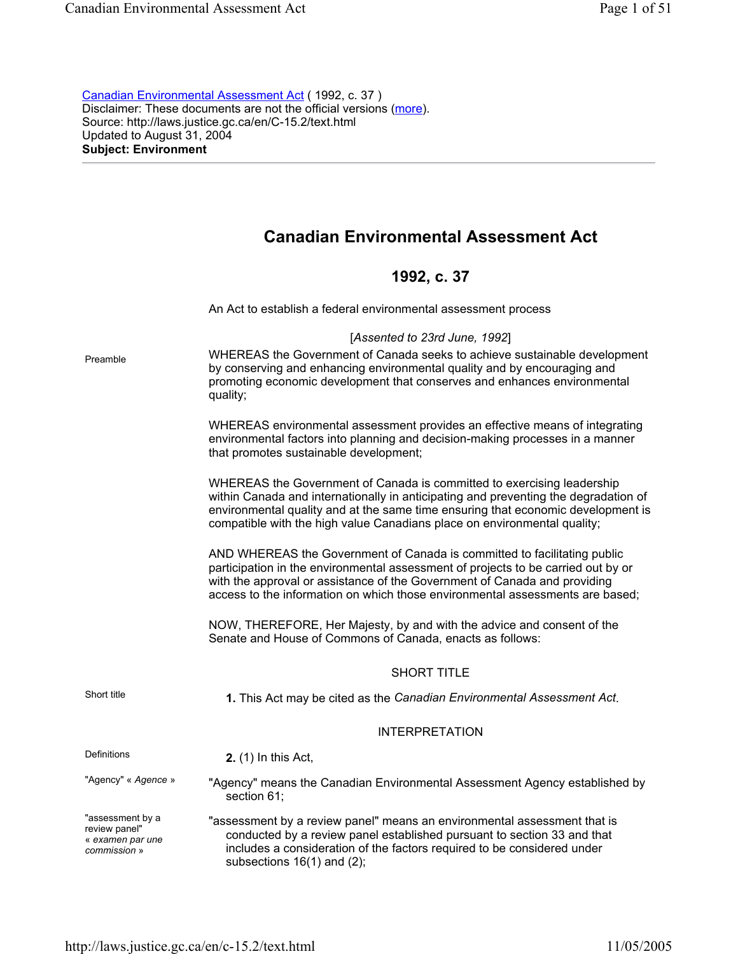Canadian Environmental Assessment Act ( 1992, c. 37 ) Disclaimer: These documents are not the official versions (more). Source: http://laws.justice.gc.ca/en/C-15.2/text.html Updated to August 31, 2004 **Subject: Environment** 

# **Canadian Environmental Assessment Act**

## **1992, c. 37**

|                                                                       | An Act to establish a federal environmental assessment process                                                                                                                                                                                                                                                                |
|-----------------------------------------------------------------------|-------------------------------------------------------------------------------------------------------------------------------------------------------------------------------------------------------------------------------------------------------------------------------------------------------------------------------|
| Preamble                                                              | [Assented to 23rd June, 1992]<br>WHEREAS the Government of Canada seeks to achieve sustainable development<br>by conserving and enhancing environmental quality and by encouraging and<br>promoting economic development that conserves and enhances environmental<br>quality;                                                |
|                                                                       | WHEREAS environmental assessment provides an effective means of integrating<br>environmental factors into planning and decision-making processes in a manner<br>that promotes sustainable development;                                                                                                                        |
|                                                                       | WHEREAS the Government of Canada is committed to exercising leadership<br>within Canada and internationally in anticipating and preventing the degradation of<br>environmental quality and at the same time ensuring that economic development is<br>compatible with the high value Canadians place on environmental quality; |
|                                                                       | AND WHEREAS the Government of Canada is committed to facilitating public<br>participation in the environmental assessment of projects to be carried out by or<br>with the approval or assistance of the Government of Canada and providing<br>access to the information on which those environmental assessments are based;   |
|                                                                       | NOW, THEREFORE, Her Majesty, by and with the advice and consent of the<br>Senate and House of Commons of Canada, enacts as follows:                                                                                                                                                                                           |
|                                                                       | <b>SHORT TITLE</b>                                                                                                                                                                                                                                                                                                            |
| Short title                                                           | 1. This Act may be cited as the Canadian Environmental Assessment Act.                                                                                                                                                                                                                                                        |
|                                                                       | <b>INTERPRETATION</b>                                                                                                                                                                                                                                                                                                         |
| <b>Definitions</b>                                                    | <b>2.</b> (1) In this Act,                                                                                                                                                                                                                                                                                                    |
| "Agency" « Agence »                                                   | "Agency" means the Canadian Environmental Assessment Agency established by<br>section 61;                                                                                                                                                                                                                                     |
| "assessment by a<br>review panel"<br>« examen par une<br>commission » | "assessment by a review panel" means an environmental assessment that is<br>conducted by a review panel established pursuant to section 33 and that<br>includes a consideration of the factors required to be considered under<br>subsections $16(1)$ and $(2)$ ;                                                             |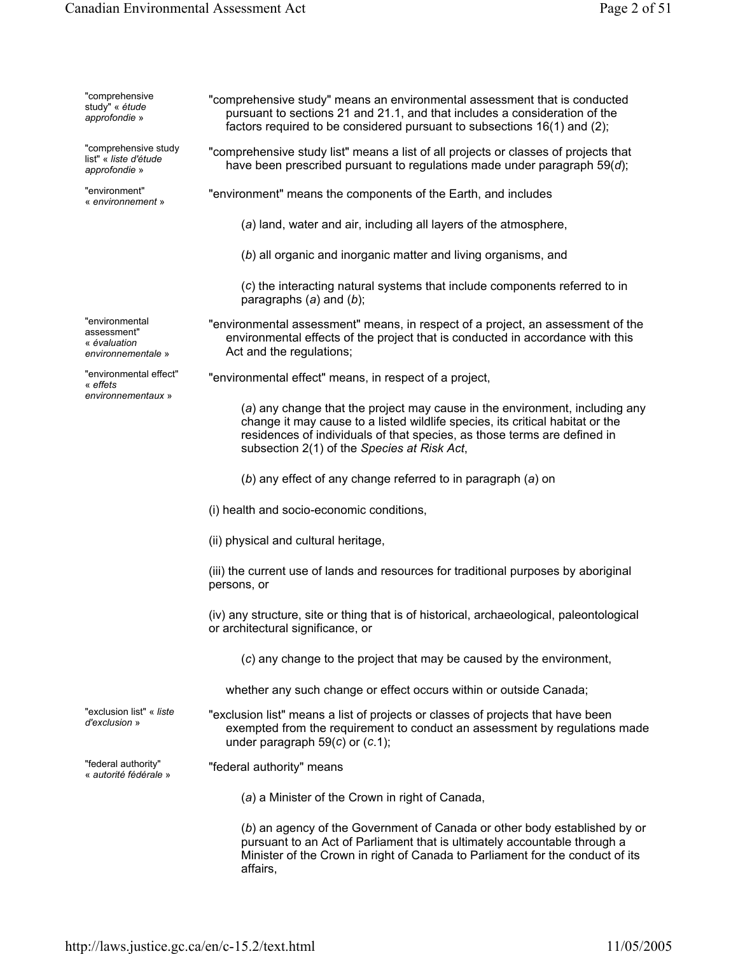| "comprehensive<br>study" « étude<br>approfondie »                   | "comprehensive study" means an environmental assessment that is conducted<br>pursuant to sections 21 and 21.1, and that includes a consideration of the<br>factors required to be considered pursuant to subsections 16(1) and (2);                                                     |
|---------------------------------------------------------------------|-----------------------------------------------------------------------------------------------------------------------------------------------------------------------------------------------------------------------------------------------------------------------------------------|
| "comprehensive study<br>list" « liste d'étude<br>approfondie »      | "comprehensive study list" means a list of all projects or classes of projects that<br>have been prescribed pursuant to regulations made under paragraph $59(d)$ ;                                                                                                                      |
| "environment"<br>« environnement »                                  | "environment" means the components of the Earth, and includes                                                                                                                                                                                                                           |
|                                                                     | (a) land, water and air, including all layers of the atmosphere,                                                                                                                                                                                                                        |
|                                                                     | (b) all organic and inorganic matter and living organisms, and                                                                                                                                                                                                                          |
|                                                                     | (c) the interacting natural systems that include components referred to in<br>paragraphs $(a)$ and $(b)$ ;                                                                                                                                                                              |
| "environmental<br>assessment"<br>« évaluation<br>environnementale » | "environmental assessment" means, in respect of a project, an assessment of the<br>environmental effects of the project that is conducted in accordance with this<br>Act and the regulations;                                                                                           |
| "environmental effect"<br>« effets                                  | "environmental effect" means, in respect of a project,                                                                                                                                                                                                                                  |
| environnementaux »                                                  | (a) any change that the project may cause in the environment, including any<br>change it may cause to a listed wildlife species, its critical habitat or the<br>residences of individuals of that species, as those terms are defined in<br>subsection 2(1) of the Species at Risk Act, |
|                                                                     | (b) any effect of any change referred to in paragraph (a) on                                                                                                                                                                                                                            |
|                                                                     | (i) health and socio-economic conditions,                                                                                                                                                                                                                                               |
|                                                                     | (ii) physical and cultural heritage,                                                                                                                                                                                                                                                    |
|                                                                     | (iii) the current use of lands and resources for traditional purposes by aboriginal<br>persons, or                                                                                                                                                                                      |
|                                                                     | (iv) any structure, site or thing that is of historical, archaeological, paleontological<br>or architectural significance, or                                                                                                                                                           |
|                                                                     | (c) any change to the project that may be caused by the environment,                                                                                                                                                                                                                    |
|                                                                     | whether any such change or effect occurs within or outside Canada;                                                                                                                                                                                                                      |
| "exclusion list" « <i>liste</i><br>d'exclusion »                    | "exclusion list" means a list of projects or classes of projects that have been<br>exempted from the requirement to conduct an assessment by regulations made<br>under paragraph $59(c)$ or $(c.1)$ ;                                                                                   |
| "federal authority"<br>« autorité fédérale »                        | "federal authority" means                                                                                                                                                                                                                                                               |
|                                                                     | (a) a Minister of the Crown in right of Canada,                                                                                                                                                                                                                                         |
|                                                                     | (b) an agency of the Government of Canada or other body established by or<br>pursuant to an Act of Parliament that is ultimately accountable through a<br>Minister of the Crown in right of Canada to Parliament for the conduct of its<br>affairs,                                     |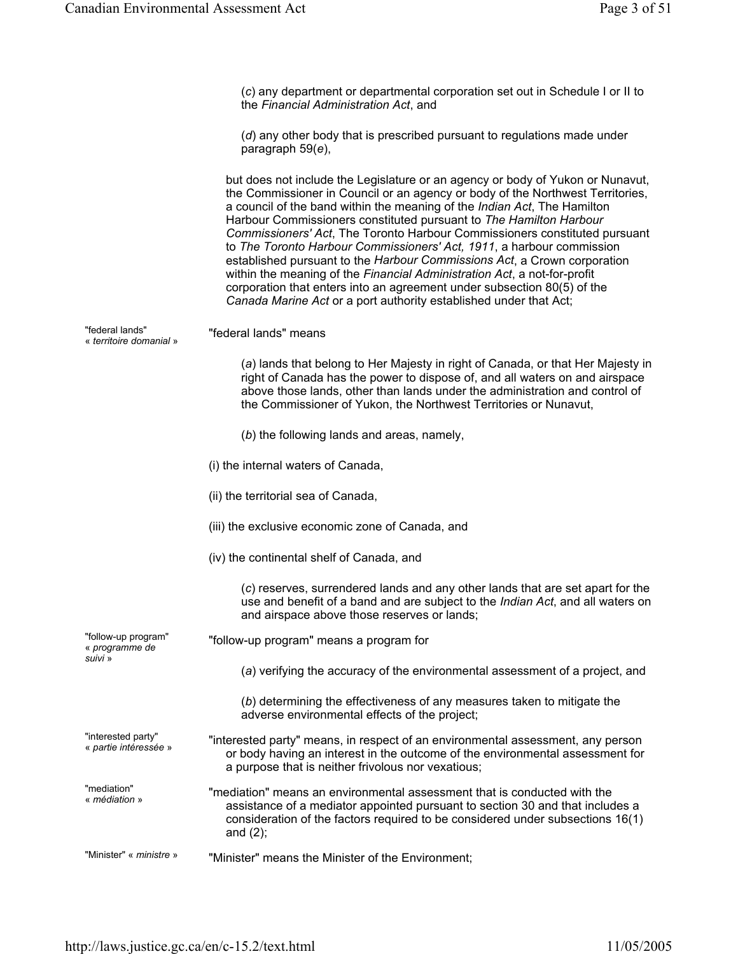(*c*) any department or departmental corporation set out in Schedule I or II to the *Financial Administration Act*, and (*d*) any other body that is prescribed pursuant to regulations made under paragraph 59(*e*), but does not include the Legislature or an agency or body of Yukon or Nunavut, the Commissioner in Council or an agency or body of the Northwest Territories, a council of the band within the meaning of the *Indian Act*, The Hamilton Harbour Commissioners constituted pursuant to *The Hamilton Harbour Commissioners' Act*, The Toronto Harbour Commissioners constituted pursuant to *The Toronto Harbour Commissioners' Act, 1911*, a harbour commission established pursuant to the *Harbour Commissions Act*, a Crown corporation within the meaning of the *Financial Administration Act*, a not-for-profit corporation that enters into an agreement under subsection 80(5) of the *Canada Marine Act* or a port authority established under that Act; "federal lands"<br>« territoire domanial » "federal lands" means (*a*) lands that belong to Her Majesty in right of Canada, or that Her Majesty in right of Canada has the power to dispose of, and all waters on and airspace above those lands, other than lands under the administration and control of the Commissioner of Yukon, the Northwest Territories or Nunavut, (*b*) the following lands and areas, namely, (i) the internal waters of Canada, (ii) the territorial sea of Canada, (iii) the exclusive economic zone of Canada, and (iv) the continental shelf of Canada, and (*c*) reserves, surrendered lands and any other lands that are set apart for the use and benefit of a band and are subject to the *Indian Act*, and all waters on and airspace above those reserves or lands; "follow-up program" « *programme de suivi* » "follow-up program" means a program for (*a*) verifying the accuracy of the environmental assessment of a project, and (*b*) determining the effectiveness of any measures taken to mitigate the adverse environmental effects of the project; "interested party"<br>« partie intéressée » "interested party" means, in respect of an environmental assessment, any person or body having an interest in the outcome of the environmental assessment for a purpose that is neither frivolous nor vexatious; "mediation"<br>« *médiation* » "mediation" means an environmental assessment that is conducted with the assistance of a mediator appointed pursuant to section 30 and that includes a consideration of the factors required to be considered under subsections 16(1) and (2); "Minister" « *ministre* » "Minister" means the Minister of the Environment;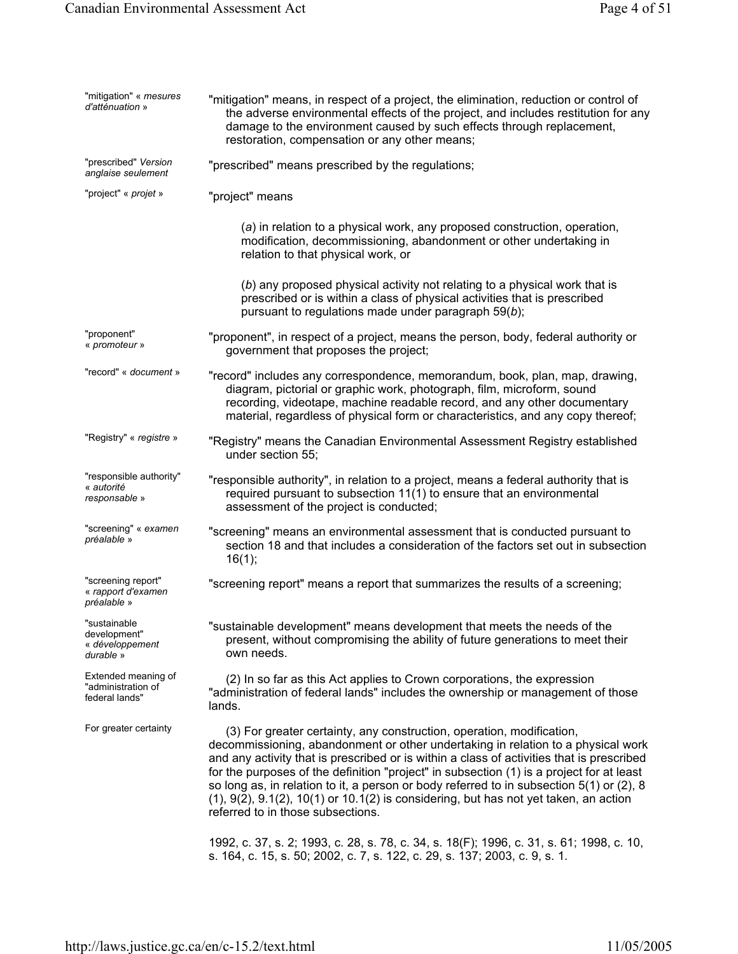| "mitigation" « <i>mesures</i><br>d'atténuation »             | "mitigation" means, in respect of a project, the elimination, reduction or control of<br>the adverse environmental effects of the project, and includes restitution for any<br>damage to the environment caused by such effects through replacement,<br>restoration, compensation or any other means;                                                                                                                                                                                                                                                                                      |
|--------------------------------------------------------------|--------------------------------------------------------------------------------------------------------------------------------------------------------------------------------------------------------------------------------------------------------------------------------------------------------------------------------------------------------------------------------------------------------------------------------------------------------------------------------------------------------------------------------------------------------------------------------------------|
| "prescribed" Version<br>anglaise seulement                   | "prescribed" means prescribed by the regulations;                                                                                                                                                                                                                                                                                                                                                                                                                                                                                                                                          |
| "project" « projet »                                         | "project" means                                                                                                                                                                                                                                                                                                                                                                                                                                                                                                                                                                            |
|                                                              | (a) in relation to a physical work, any proposed construction, operation,<br>modification, decommissioning, abandonment or other undertaking in<br>relation to that physical work, or                                                                                                                                                                                                                                                                                                                                                                                                      |
|                                                              | (b) any proposed physical activity not relating to a physical work that is<br>prescribed or is within a class of physical activities that is prescribed<br>pursuant to regulations made under paragraph 59(b);                                                                                                                                                                                                                                                                                                                                                                             |
| "proponent"<br>« promoteur »                                 | "proponent", in respect of a project, means the person, body, federal authority or<br>government that proposes the project;                                                                                                                                                                                                                                                                                                                                                                                                                                                                |
| "record" « document »                                        | "record" includes any correspondence, memorandum, book, plan, map, drawing,<br>diagram, pictorial or graphic work, photograph, film, microform, sound<br>recording, videotape, machine readable record, and any other documentary<br>material, regardless of physical form or characteristics, and any copy thereof;                                                                                                                                                                                                                                                                       |
| "Registry" « registre »                                      | "Registry" means the Canadian Environmental Assessment Registry established<br>under section 55;                                                                                                                                                                                                                                                                                                                                                                                                                                                                                           |
| "responsible authority"<br>« autorité<br>responsable »       | "responsible authority", in relation to a project, means a federal authority that is<br>required pursuant to subsection 11(1) to ensure that an environmental<br>assessment of the project is conducted;                                                                                                                                                                                                                                                                                                                                                                                   |
| "screening" « examen<br>préalable »                          | "screening" means an environmental assessment that is conducted pursuant to<br>section 18 and that includes a consideration of the factors set out in subsection<br>16(1);                                                                                                                                                                                                                                                                                                                                                                                                                 |
| "screening report"<br>« rapport d'examen<br>préalable »      | "screening report" means a report that summarizes the results of a screening;                                                                                                                                                                                                                                                                                                                                                                                                                                                                                                              |
| "sustainable<br>development"<br>« développement<br>durable » | "sustainable development" means development that meets the needs of the<br>present, without compromising the ability of future generations to meet their<br>own needs.                                                                                                                                                                                                                                                                                                                                                                                                                     |
| Extended meaning of<br>"administration of<br>federal lands"  | (2) In so far as this Act applies to Crown corporations, the expression<br>"administration of federal lands" includes the ownership or management of those<br>lands.                                                                                                                                                                                                                                                                                                                                                                                                                       |
| For greater certainty                                        | (3) For greater certainty, any construction, operation, modification,<br>decommissioning, abandonment or other undertaking in relation to a physical work<br>and any activity that is prescribed or is within a class of activities that is prescribed<br>for the purposes of the definition "project" in subsection (1) is a project for at least<br>so long as, in relation to it, a person or body referred to in subsection $5(1)$ or (2), 8<br>$(1)$ , $9(2)$ , $9.1(2)$ , $10(1)$ or $10.1(2)$ is considering, but has not yet taken, an action<br>referred to in those subsections. |
|                                                              | 1992, c. 37, s. 2; 1993, c. 28, s. 78, c. 34, s. 18(F); 1996, c. 31, s. 61; 1998, c. 10,<br>s. 164, c. 15, s. 50; 2002, c. 7, s. 122, c. 29, s. 137; 2003, c. 9, s. 1.                                                                                                                                                                                                                                                                                                                                                                                                                     |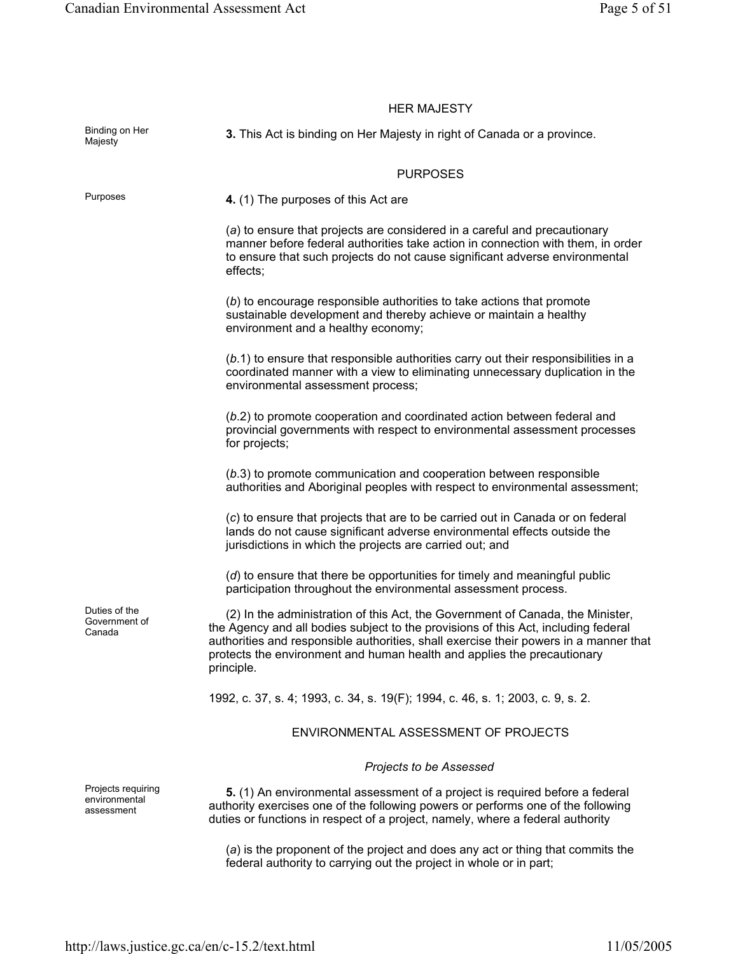|                                                   | <b>HER MAJESTY</b>                                                                                                                                                                                                                                                                                                                                     |
|---------------------------------------------------|--------------------------------------------------------------------------------------------------------------------------------------------------------------------------------------------------------------------------------------------------------------------------------------------------------------------------------------------------------|
| Binding on Her<br>Majesty                         | 3. This Act is binding on Her Majesty in right of Canada or a province.                                                                                                                                                                                                                                                                                |
|                                                   | <b>PURPOSES</b>                                                                                                                                                                                                                                                                                                                                        |
| Purposes                                          | 4. (1) The purposes of this Act are                                                                                                                                                                                                                                                                                                                    |
|                                                   | (a) to ensure that projects are considered in a careful and precautionary<br>manner before federal authorities take action in connection with them, in order<br>to ensure that such projects do not cause significant adverse environmental<br>effects;                                                                                                |
|                                                   | (b) to encourage responsible authorities to take actions that promote<br>sustainable development and thereby achieve or maintain a healthy<br>environment and a healthy economy;                                                                                                                                                                       |
|                                                   | $(b.1)$ to ensure that responsible authorities carry out their responsibilities in a<br>coordinated manner with a view to eliminating unnecessary duplication in the<br>environmental assessment process;                                                                                                                                              |
|                                                   | (b.2) to promote cooperation and coordinated action between federal and<br>provincial governments with respect to environmental assessment processes<br>for projects;                                                                                                                                                                                  |
|                                                   | (b.3) to promote communication and cooperation between responsible<br>authorities and Aboriginal peoples with respect to environmental assessment;                                                                                                                                                                                                     |
|                                                   | (c) to ensure that projects that are to be carried out in Canada or on federal<br>lands do not cause significant adverse environmental effects outside the<br>jurisdictions in which the projects are carried out; and                                                                                                                                 |
|                                                   | (d) to ensure that there be opportunities for timely and meaningful public<br>participation throughout the environmental assessment process.                                                                                                                                                                                                           |
| Duties of the<br>Government of<br>Canada          | (2) In the administration of this Act, the Government of Canada, the Minister,<br>the Agency and all bodies subject to the provisions of this Act, including federal<br>authorities and responsible authorities, shall exercise their powers in a manner that<br>protects the environment and human health and applies the precautionary<br>principle. |
|                                                   | 1992, c. 37, s. 4; 1993, c. 34, s. 19(F); 1994, c. 46, s. 1; 2003, c. 9, s. 2.                                                                                                                                                                                                                                                                         |
|                                                   | ENVIRONMENTAL ASSESSMENT OF PROJECTS                                                                                                                                                                                                                                                                                                                   |
|                                                   | <b>Projects to be Assessed</b>                                                                                                                                                                                                                                                                                                                         |
| Projects requiring<br>environmental<br>assessment | 5. (1) An environmental assessment of a project is required before a federal<br>authority exercises one of the following powers or performs one of the following<br>duties or functions in respect of a project, namely, where a federal authority                                                                                                     |
|                                                   | (a) is the proponent of the project and does any act or thing that commits the<br>federal authority to carrying out the project in whole or in part;                                                                                                                                                                                                   |

### http://laws.justice.gc.ca/en/c-15.2/text.html 11/05/2005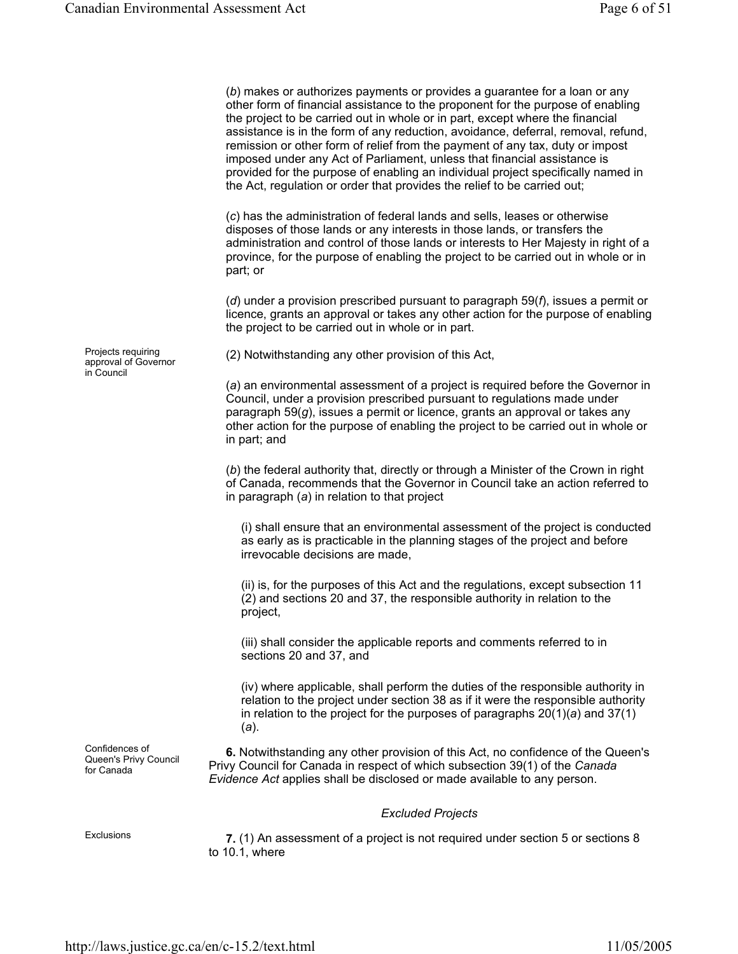(*b*) makes or authorizes payments or provides a guarantee for a loan or any other form of financial assistance to the proponent for the purpose of enabling the project to be carried out in whole or in part, except where the financial assistance is in the form of any reduction, avoidance, deferral, removal, refund, remission or other form of relief from the payment of any tax, duty or impost imposed under any Act of Parliament, unless that financial assistance is provided for the purpose of enabling an individual project specifically named in the Act, regulation or order that provides the relief to be carried out; (*c*) has the administration of federal lands and sells, leases or otherwise disposes of those lands or any interests in those lands, or transfers the administration and control of those lands or interests to Her Majesty in right of a province, for the purpose of enabling the project to be carried out in whole or in part; or (*d*) under a provision prescribed pursuant to paragraph 59(*f*), issues a permit or licence, grants an approval or takes any other action for the purpose of enabling the project to be carried out in whole or in part. Projects requiring approval of Governor in Council (2) Notwithstanding any other provision of this Act, (*a*) an environmental assessment of a project is required before the Governor in Council, under a provision prescribed pursuant to regulations made under paragraph 59(*g*), issues a permit or licence, grants an approval or takes any other action for the purpose of enabling the project to be carried out in whole or in part; and (*b*) the federal authority that, directly or through a Minister of the Crown in right of Canada, recommends that the Governor in Council take an action referred to in paragraph (*a*) in relation to that project (i) shall ensure that an environmental assessment of the project is conducted as early as is practicable in the planning stages of the project and before irrevocable decisions are made, (ii) is, for the purposes of this Act and the regulations, except subsection 11 (2) and sections 20 and 37, the responsible authority in relation to the project, (iii) shall consider the applicable reports and comments referred to in sections 20 and 37, and (iv) where applicable, shall perform the duties of the responsible authority in relation to the project under section 38 as if it were the responsible authority in relation to the project for the purposes of paragraphs 20(1)(*a*) and 37(1) (*a*). Confidences of Queen's Privy Council for Canada **6.** Notwithstanding any other provision of this Act, no confidence of the Queen's Privy Council for Canada in respect of which subsection 39(1) of the *Canada Evidence Act* applies shall be disclosed or made available to any person. *Excluded Projects*  Exclusions **7.** (1) An assessment of a project is not required under section 5 or sections 8 to 10.1, where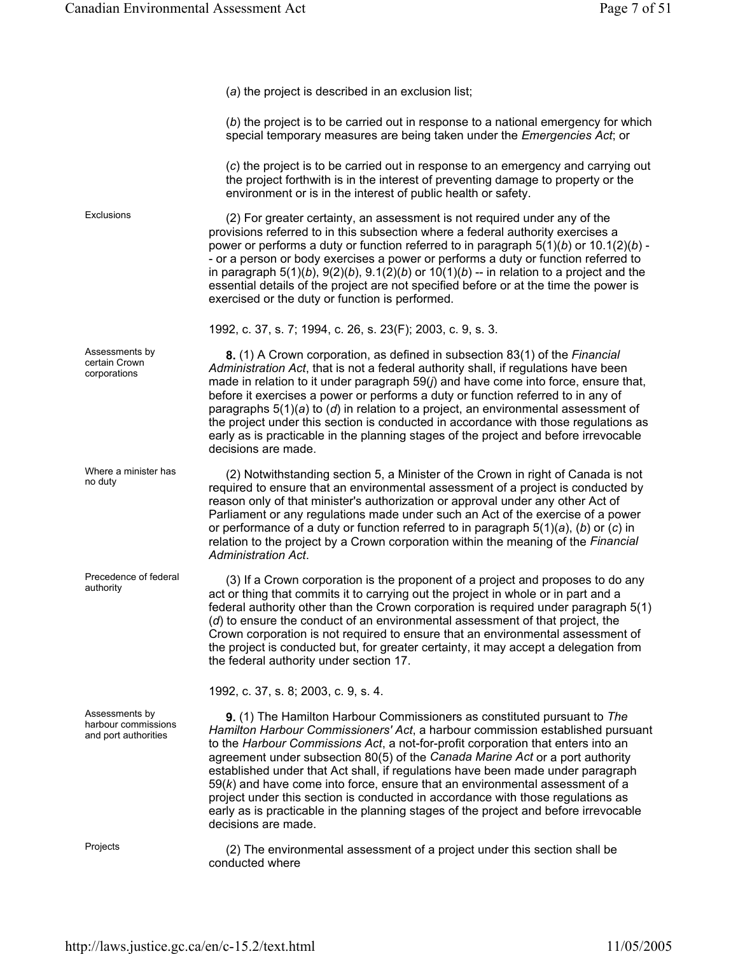(*a*) the project is described in an exclusion list;

(*b*) the project is to be carried out in response to a national emergency for which special temporary measures are being taken under the *Emergencies Act*; or

(*c*) the project is to be carried out in response to an emergency and carrying out the project forthwith is in the interest of preventing damage to property or the environment or is in the interest of public health or safety.

Exclusions (2) For greater certainty, an assessment is not required under any of the provisions referred to in this subsection where a federal authority exercises a power or performs a duty or function referred to in paragraph 5(1)(*b*) or 10.1(2)(*b*) - - or a person or body exercises a power or performs a duty or function referred to in paragraph  $5(1)(b)$ ,  $9(2)(b)$ ,  $9.1(2)(b)$  or  $10(1)(b)$  -- in relation to a project and the essential details of the project are not specified before or at the time the power is exercised or the duty or function is performed.

1992, c. 37, s. 7; 1994, c. 26, s. 23(F); 2003, c. 9, s. 3.

**8.** (1) A Crown corporation, as defined in subsection 83(1) of the *Financial Administration Act*, that is not a federal authority shall, if regulations have been made in relation to it under paragraph 59(*j*) and have come into force, ensure that, before it exercises a power or performs a duty or function referred to in any of paragraphs 5(1)(*a*) to (*d*) in relation to a project, an environmental assessment of the project under this section is conducted in accordance with those regulations as early as is practicable in the planning stages of the project and before irrevocable decisions are made.

where a minister has (2) Notwithstanding section 5, a Minister of the Crown in right of Canada is not no duty required to ensure that an environmental assessment of a project is conducted by reason only of that minister's authorization or approval under any other Act of Parliament or any regulations made under such an Act of the exercise of a power or performance of a duty or function referred to in paragraph 5(1)(*a*), (*b*) or (*c*) in relation to the project by a Crown corporation within the meaning of the *Financial Administration Act*.

> $(3)$  If a Crown corporation is the proponent of a project and proposes to do any act or thing that commits it to carrying out the project in whole or in part and a federal authority other than the Crown corporation is required under paragraph 5(1) (*d*) to ensure the conduct of an environmental assessment of that project, the Crown corporation is not required to ensure that an environmental assessment of the project is conducted but, for greater certainty, it may accept a delegation from the federal authority under section 17.

1992, c. 37, s. 8; 2003, c. 9, s. 4.

**9.** (1) The Hamilton Harbour Commissioners as constituted pursuant to *The Hamilton Harbour Commissioners' Act*, a harbour commission established pursuant to the *Harbour Commissions Act*, a not-for-profit corporation that enters into an agreement under subsection 80(5) of the *Canada Marine Act* or a port authority established under that Act shall, if regulations have been made under paragraph 59(*k*) and have come into force, ensure that an environmental assessment of a project under this section is conducted in accordance with those regulations as early as is practicable in the planning stages of the project and before irrevocable decisions are made.

Projects (2) The environmental assessment of a project under this section shall be conducted where

Assessments by certain Crown corporations

Where a minister has

Precedence of federal<br>authority

Assessments by harbour commissions and port authorities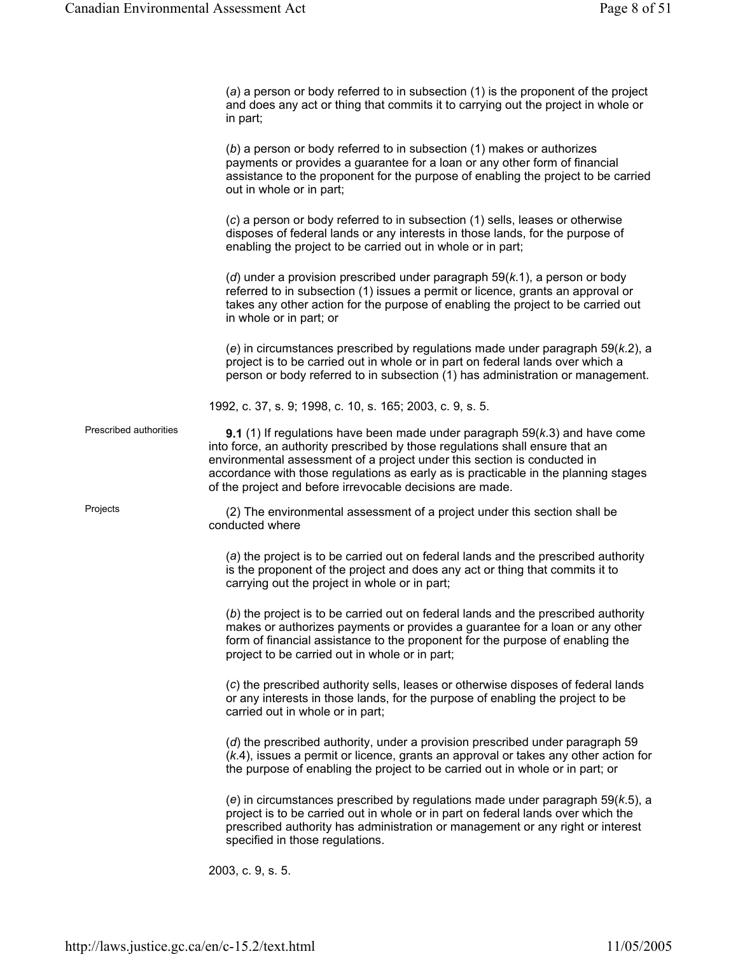(*a*) a person or body referred to in subsection (1) is the proponent of the project and does any act or thing that commits it to carrying out the project in whole or in part;

|                        | (b) a person or body referred to in subsection (1) makes or authorizes<br>payments or provides a guarantee for a loan or any other form of financial<br>assistance to the proponent for the purpose of enabling the project to be carried<br>out in whole or in part;                                                                                                                                 |
|------------------------|-------------------------------------------------------------------------------------------------------------------------------------------------------------------------------------------------------------------------------------------------------------------------------------------------------------------------------------------------------------------------------------------------------|
|                        | (c) a person or body referred to in subsection (1) sells, leases or otherwise<br>disposes of federal lands or any interests in those lands, for the purpose of<br>enabling the project to be carried out in whole or in part;                                                                                                                                                                         |
|                        | (d) under a provision prescribed under paragraph $59(k.1)$ , a person or body<br>referred to in subsection (1) issues a permit or licence, grants an approval or<br>takes any other action for the purpose of enabling the project to be carried out<br>in whole or in part; or                                                                                                                       |
|                        | (e) in circumstances prescribed by regulations made under paragraph $59(k.2)$ , a<br>project is to be carried out in whole or in part on federal lands over which a<br>person or body referred to in subsection (1) has administration or management.                                                                                                                                                 |
|                        | 1992, c. 37, s. 9; 1998, c. 10, s. 165; 2003, c. 9, s. 5.                                                                                                                                                                                                                                                                                                                                             |
| Prescribed authorities | <b>9.1</b> (1) If regulations have been made under paragraph $59(k.3)$ and have come<br>into force, an authority prescribed by those regulations shall ensure that an<br>environmental assessment of a project under this section is conducted in<br>accordance with those regulations as early as is practicable in the planning stages<br>of the project and before irrevocable decisions are made. |
| Projects               | (2) The environmental assessment of a project under this section shall be<br>conducted where                                                                                                                                                                                                                                                                                                          |
|                        | (a) the project is to be carried out on federal lands and the prescribed authority<br>is the proponent of the project and does any act or thing that commits it to<br>carrying out the project in whole or in part;                                                                                                                                                                                   |
|                        | (b) the project is to be carried out on federal lands and the prescribed authority<br>makes or authorizes payments or provides a guarantee for a loan or any other<br>form of financial assistance to the proponent for the purpose of enabling the<br>project to be carried out in whole or in part;                                                                                                 |
|                        | (c) the prescribed authority sells, leases or otherwise disposes of federal lands<br>or any interests in those lands, for the purpose of enabling the project to be<br>carried out in whole or in part;                                                                                                                                                                                               |
|                        | (d) the prescribed authority, under a provision prescribed under paragraph 59<br>(k.4), issues a permit or licence, grants an approval or takes any other action for<br>the purpose of enabling the project to be carried out in whole or in part; or                                                                                                                                                 |
|                        | (e) in circumstances prescribed by regulations made under paragraph $59(k.5)$ , a<br>project is to be carried out in whole or in part on federal lands over which the<br>prescribed authority has administration or management or any right or interest<br>specified in those regulations.                                                                                                            |
|                        | 2003, c. 9, s. 5.                                                                                                                                                                                                                                                                                                                                                                                     |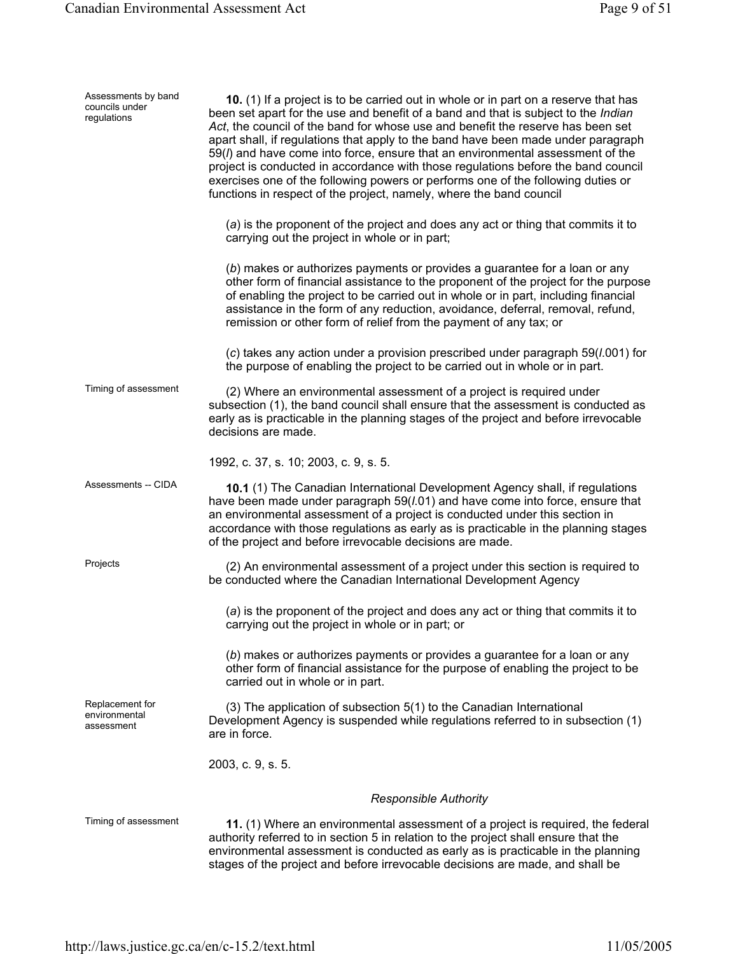| Assessments by band<br>councils under<br>regulations | 10. (1) If a project is to be carried out in whole or in part on a reserve that has<br>been set apart for the use and benefit of a band and that is subject to the <i>Indian</i><br>Act, the council of the band for whose use and benefit the reserve has been set<br>apart shall, if regulations that apply to the band have been made under paragraph<br>59(I) and have come into force, ensure that an environmental assessment of the<br>project is conducted in accordance with those regulations before the band council<br>exercises one of the following powers or performs one of the following duties or<br>functions in respect of the project, namely, where the band council |
|------------------------------------------------------|--------------------------------------------------------------------------------------------------------------------------------------------------------------------------------------------------------------------------------------------------------------------------------------------------------------------------------------------------------------------------------------------------------------------------------------------------------------------------------------------------------------------------------------------------------------------------------------------------------------------------------------------------------------------------------------------|
|                                                      | (a) is the proponent of the project and does any act or thing that commits it to<br>carrying out the project in whole or in part;                                                                                                                                                                                                                                                                                                                                                                                                                                                                                                                                                          |
|                                                      | (b) makes or authorizes payments or provides a guarantee for a loan or any<br>other form of financial assistance to the proponent of the project for the purpose<br>of enabling the project to be carried out in whole or in part, including financial<br>assistance in the form of any reduction, avoidance, deferral, removal, refund,<br>remission or other form of relief from the payment of any tax; or                                                                                                                                                                                                                                                                              |
|                                                      | (c) takes any action under a provision prescribed under paragraph 59(1.001) for<br>the purpose of enabling the project to be carried out in whole or in part.                                                                                                                                                                                                                                                                                                                                                                                                                                                                                                                              |
| Timing of assessment                                 | (2) Where an environmental assessment of a project is required under<br>subsection (1), the band council shall ensure that the assessment is conducted as<br>early as is practicable in the planning stages of the project and before irrevocable<br>decisions are made.                                                                                                                                                                                                                                                                                                                                                                                                                   |
|                                                      | 1992, c. 37, s. 10; 2003, c. 9, s. 5.                                                                                                                                                                                                                                                                                                                                                                                                                                                                                                                                                                                                                                                      |
| Assessments -- CIDA                                  | 10.1 (1) The Canadian International Development Agency shall, if regulations<br>have been made under paragraph 59(1.01) and have come into force, ensure that<br>an environmental assessment of a project is conducted under this section in<br>accordance with those regulations as early as is practicable in the planning stages<br>of the project and before irrevocable decisions are made.                                                                                                                                                                                                                                                                                           |
| Projects                                             | (2) An environmental assessment of a project under this section is required to<br>be conducted where the Canadian International Development Agency                                                                                                                                                                                                                                                                                                                                                                                                                                                                                                                                         |
|                                                      | (a) is the proponent of the project and does any act or thing that commits it to<br>carrying out the project in whole or in part; or                                                                                                                                                                                                                                                                                                                                                                                                                                                                                                                                                       |
|                                                      | (b) makes or authorizes payments or provides a guarantee for a loan or any<br>other form of financial assistance for the purpose of enabling the project to be<br>carried out in whole or in part.                                                                                                                                                                                                                                                                                                                                                                                                                                                                                         |
| Replacement for<br>environmental<br>assessment       | (3) The application of subsection 5(1) to the Canadian International<br>Development Agency is suspended while regulations referred to in subsection (1)<br>are in force.                                                                                                                                                                                                                                                                                                                                                                                                                                                                                                                   |
|                                                      | 2003, c. 9, s. 5.                                                                                                                                                                                                                                                                                                                                                                                                                                                                                                                                                                                                                                                                          |
|                                                      | <b>Responsible Authority</b>                                                                                                                                                                                                                                                                                                                                                                                                                                                                                                                                                                                                                                                               |
| Timing of assessment                                 | 11. (1) Where an environmental assessment of a project is required, the federal<br>authority referred to in section 5 in relation to the project shall ensure that the<br>environmental assessment is conducted as early as is practicable in the planning<br>stages of the project and before irrevocable decisions are made, and shall be                                                                                                                                                                                                                                                                                                                                                |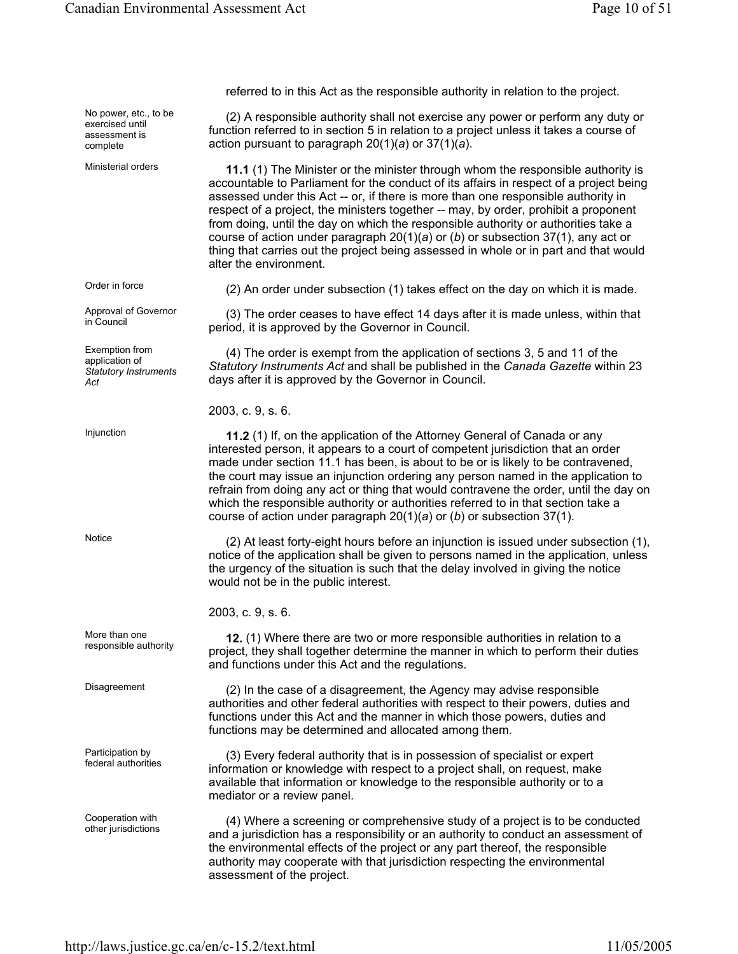referred to in this Act as the responsible authority in relation to the project. No power, etc., to be exercised until assessment is complete (2) A responsible authority shall not exercise any power or perform any duty or function referred to in section 5 in relation to a project unless it takes a course of action pursuant to paragraph 20(1)(*a*) or 37(1)(*a*). Ministerial orders **11.1** (1) The Minister or the minister through whom the responsible authority is accountable to Parliament for the conduct of its affairs in respect of a project being assessed under this Act -- or, if there is more than one responsible authority in respect of a project, the ministers together -- may, by order, prohibit a proponent from doing, until the day on which the responsible authority or authorities take a course of action under paragraph 20(1)(*a*) or (*b*) or subsection 37(1), any act or thing that carries out the project being assessed in whole or in part and that would alter the environment. Order in force (2) An order under subsection (1) takes effect on the day on which it is made. Approval of Governor<br>in Council  $(3)$  The order ceases to have effect 14 days after it is made unless, within that period, it is approved by the Governor in Council. Exemption from application of *Statutory Instruments Act* (4) The order is exempt from the application of sections 3, 5 and 11 of the *Statutory Instruments Act* and shall be published in the *Canada Gazette* within 23 days after it is approved by the Governor in Council. 2003, c. 9, s. 6. Injunction **11.2** (1) If, on the application of the Attorney General of Canada or any interested person, it appears to a court of competent jurisdiction that an order made under section 11.1 has been, is about to be or is likely to be contravened, the court may issue an injunction ordering any person named in the application to refrain from doing any act or thing that would contravene the order, until the day on which the responsible authority or authorities referred to in that section take a course of action under paragraph 20(1)(*a*) or (*b*) or subsection 37(1). Notice (2) At least forty-eight hours before an injunction is issued under subsection (1), notice of the application shall be given to persons named in the application, unless the urgency of the situation is such that the delay involved in giving the notice would not be in the public interest. 2003, c. 9, s. 6. More than one responsible authority **12.** (1) Where there are two or more responsible authorities in relation to a responsible authority project, they shall together determine the manner in which to perform their duties and functions under this Act and the regulations. Disagreement (2) In the case of a disagreement, the Agency may advise responsible authorities and other federal authorities with respect to their powers, duties and functions under this Act and the manner in which those powers, duties and functions may be determined and allocated among them. Participation by<br>federal authorities (3) Every federal authority that is in possession of specialist or expert information or knowledge with respect to a project shall, on request, make available that information or knowledge to the responsible authority or to a mediator or a review panel. Cooperation with Cooperation with (4) Where a screening or comprehensive study of a project is to be conducted other jurisdictions  $\alpha$  and a jurisdiction beg a reapprobability at an authority to conduct an accessment of and a jurisdiction has a responsibility or an authority to conduct an assessment of the environmental effects of the project or any part thereof, the responsible authority may cooperate with that jurisdiction respecting the environmental assessment of the project.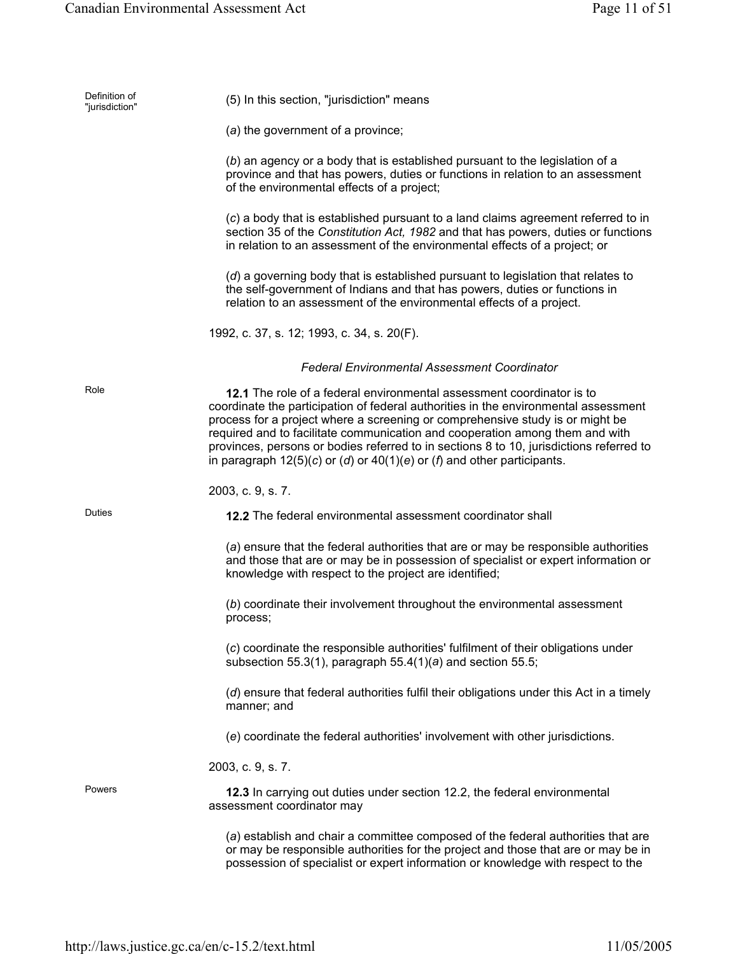| Definition of<br>"jurisdiction" | (5) In this section, "jurisdiction" means                                                                                                                                                                                                                                                                                                                                                                                                                                                               |
|---------------------------------|---------------------------------------------------------------------------------------------------------------------------------------------------------------------------------------------------------------------------------------------------------------------------------------------------------------------------------------------------------------------------------------------------------------------------------------------------------------------------------------------------------|
|                                 | (a) the government of a province;                                                                                                                                                                                                                                                                                                                                                                                                                                                                       |
|                                 | (b) an agency or a body that is established pursuant to the legislation of a<br>province and that has powers, duties or functions in relation to an assessment<br>of the environmental effects of a project;                                                                                                                                                                                                                                                                                            |
|                                 | (c) a body that is established pursuant to a land claims agreement referred to in<br>section 35 of the Constitution Act, 1982 and that has powers, duties or functions<br>in relation to an assessment of the environmental effects of a project; or                                                                                                                                                                                                                                                    |
|                                 | (d) a governing body that is established pursuant to legislation that relates to<br>the self-government of Indians and that has powers, duties or functions in<br>relation to an assessment of the environmental effects of a project.                                                                                                                                                                                                                                                                  |
|                                 | 1992, c. 37, s. 12; 1993, c. 34, s. 20(F).                                                                                                                                                                                                                                                                                                                                                                                                                                                              |
|                                 | <b>Federal Environmental Assessment Coordinator</b>                                                                                                                                                                                                                                                                                                                                                                                                                                                     |
| Role                            | 12.1 The role of a federal environmental assessment coordinator is to<br>coordinate the participation of federal authorities in the environmental assessment<br>process for a project where a screening or comprehensive study is or might be<br>required and to facilitate communication and cooperation among them and with<br>provinces, persons or bodies referred to in sections 8 to 10, jurisdictions referred to<br>in paragraph $12(5)(c)$ or (d) or $40(1)(e)$ or (f) and other participants. |
|                                 | 2003, c. 9, s. 7.                                                                                                                                                                                                                                                                                                                                                                                                                                                                                       |
| Duties                          | <b>12.2</b> The federal environmental assessment coordinator shall                                                                                                                                                                                                                                                                                                                                                                                                                                      |
|                                 | (a) ensure that the federal authorities that are or may be responsible authorities<br>and those that are or may be in possession of specialist or expert information or<br>knowledge with respect to the project are identified;                                                                                                                                                                                                                                                                        |
|                                 | (b) coordinate their involvement throughout the environmental assessment<br>process;                                                                                                                                                                                                                                                                                                                                                                                                                    |
|                                 | (c) coordinate the responsible authorities' fulfilment of their obligations under<br>subsection 55.3(1), paragraph $55.4(1)(a)$ and section 55.5;                                                                                                                                                                                                                                                                                                                                                       |
|                                 | (d) ensure that federal authorities fulfil their obligations under this Act in a timely<br>manner; and                                                                                                                                                                                                                                                                                                                                                                                                  |
|                                 | (e) coordinate the federal authorities' involvement with other jurisdictions.                                                                                                                                                                                                                                                                                                                                                                                                                           |
|                                 | 2003, c. 9, s. 7.                                                                                                                                                                                                                                                                                                                                                                                                                                                                                       |
| Powers                          | 12.3 In carrying out duties under section 12.2, the federal environmental<br>assessment coordinator may                                                                                                                                                                                                                                                                                                                                                                                                 |
|                                 | (a) establish and chair a committee composed of the federal authorities that are<br>or may be responsible authorities for the project and those that are or may be in<br>possession of specialist or expert information or knowledge with respect to the                                                                                                                                                                                                                                                |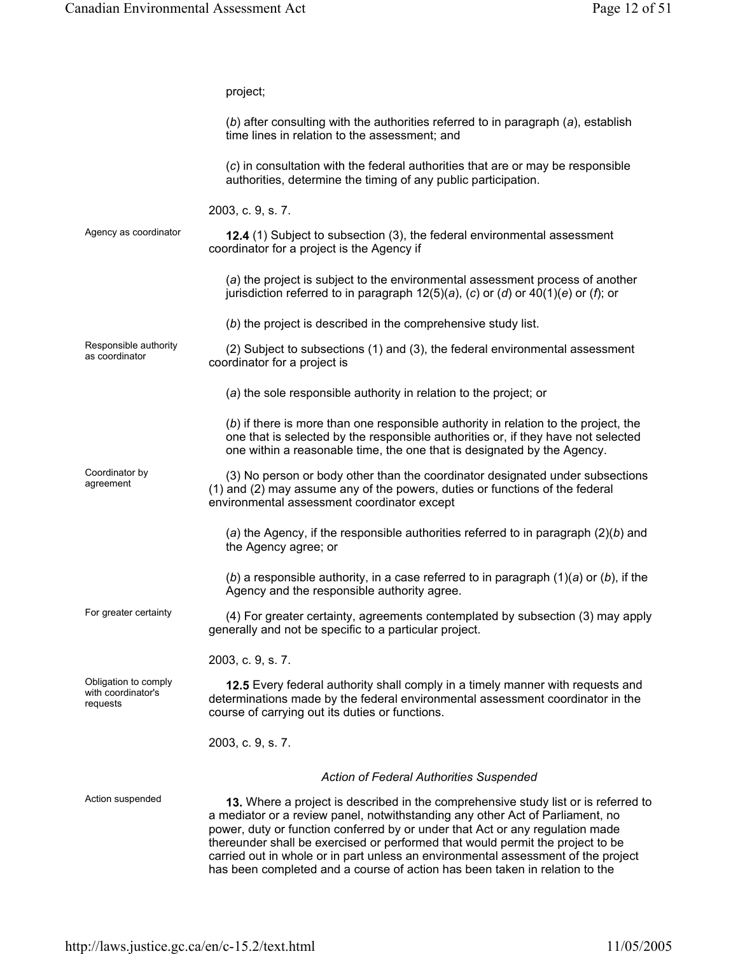|                                                        | project;                                                                                                                                                                                                                                                                                                                                                                                                                                                                                                   |
|--------------------------------------------------------|------------------------------------------------------------------------------------------------------------------------------------------------------------------------------------------------------------------------------------------------------------------------------------------------------------------------------------------------------------------------------------------------------------------------------------------------------------------------------------------------------------|
|                                                        | (b) after consulting with the authorities referred to in paragraph (a), establish<br>time lines in relation to the assessment; and                                                                                                                                                                                                                                                                                                                                                                         |
|                                                        | (c) in consultation with the federal authorities that are or may be responsible<br>authorities, determine the timing of any public participation.                                                                                                                                                                                                                                                                                                                                                          |
|                                                        | 2003, c. 9, s. 7.                                                                                                                                                                                                                                                                                                                                                                                                                                                                                          |
| Agency as coordinator                                  | 12.4 (1) Subject to subsection (3), the federal environmental assessment<br>coordinator for a project is the Agency if                                                                                                                                                                                                                                                                                                                                                                                     |
|                                                        | (a) the project is subject to the environmental assessment process of another<br>jurisdiction referred to in paragraph $12(5)(a)$ , (c) or (d) or $40(1)(e)$ or (f); or                                                                                                                                                                                                                                                                                                                                    |
|                                                        | (b) the project is described in the comprehensive study list.                                                                                                                                                                                                                                                                                                                                                                                                                                              |
| Responsible authority<br>as coordinator                | (2) Subject to subsections (1) and (3), the federal environmental assessment<br>coordinator for a project is                                                                                                                                                                                                                                                                                                                                                                                               |
|                                                        | (a) the sole responsible authority in relation to the project; or                                                                                                                                                                                                                                                                                                                                                                                                                                          |
|                                                        | (b) if there is more than one responsible authority in relation to the project, the<br>one that is selected by the responsible authorities or, if they have not selected<br>one within a reasonable time, the one that is designated by the Agency.                                                                                                                                                                                                                                                        |
| Coordinator by<br>agreement                            | (3) No person or body other than the coordinator designated under subsections<br>(1) and (2) may assume any of the powers, duties or functions of the federal<br>environmental assessment coordinator except                                                                                                                                                                                                                                                                                               |
|                                                        | (a) the Agency, if the responsible authorities referred to in paragraph $(2)(b)$ and<br>the Agency agree; or                                                                                                                                                                                                                                                                                                                                                                                               |
|                                                        | (b) a responsible authority, in a case referred to in paragraph $(1)(a)$ or $(b)$ , if the<br>Agency and the responsible authority agree.                                                                                                                                                                                                                                                                                                                                                                  |
| For greater certainty                                  | (4) For greater certainty, agreements contemplated by subsection (3) may apply<br>generally and not be specific to a particular project.                                                                                                                                                                                                                                                                                                                                                                   |
|                                                        | 2003, c. 9, s. 7.                                                                                                                                                                                                                                                                                                                                                                                                                                                                                          |
| Obligation to comply<br>with coordinator's<br>requests | 12.5 Every federal authority shall comply in a timely manner with requests and<br>determinations made by the federal environmental assessment coordinator in the<br>course of carrying out its duties or functions.                                                                                                                                                                                                                                                                                        |
|                                                        | 2003, c. 9, s. 7.                                                                                                                                                                                                                                                                                                                                                                                                                                                                                          |
|                                                        | <b>Action of Federal Authorities Suspended</b>                                                                                                                                                                                                                                                                                                                                                                                                                                                             |
| Action suspended                                       | 13. Where a project is described in the comprehensive study list or is referred to<br>a mediator or a review panel, notwithstanding any other Act of Parliament, no<br>power, duty or function conferred by or under that Act or any regulation made<br>thereunder shall be exercised or performed that would permit the project to be<br>carried out in whole or in part unless an environmental assessment of the project<br>has been completed and a course of action has been taken in relation to the |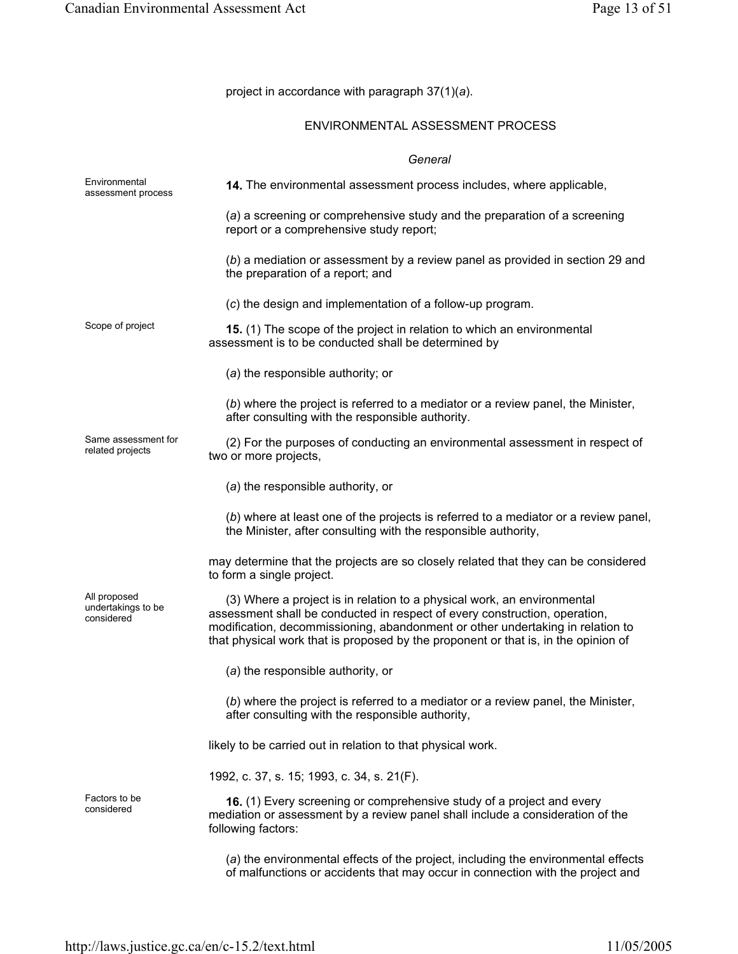project in accordance with paragraph 37(1)(*a*).

#### ENVIRONMENTAL ASSESSMENT PROCESS

#### *General*

| Environmental<br>assessment process              | 14. The environmental assessment process includes, where applicable,                                                                                                                                                                                                                                                          |
|--------------------------------------------------|-------------------------------------------------------------------------------------------------------------------------------------------------------------------------------------------------------------------------------------------------------------------------------------------------------------------------------|
|                                                  | (a) a screening or comprehensive study and the preparation of a screening<br>report or a comprehensive study report;                                                                                                                                                                                                          |
|                                                  | (b) a mediation or assessment by a review panel as provided in section 29 and<br>the preparation of a report; and                                                                                                                                                                                                             |
|                                                  | (c) the design and implementation of a follow-up program.                                                                                                                                                                                                                                                                     |
| Scope of project                                 | 15. (1) The scope of the project in relation to which an environmental<br>assessment is to be conducted shall be determined by                                                                                                                                                                                                |
|                                                  | (a) the responsible authority; or                                                                                                                                                                                                                                                                                             |
|                                                  | (b) where the project is referred to a mediator or a review panel, the Minister,<br>after consulting with the responsible authority.                                                                                                                                                                                          |
| Same assessment for<br>related projects          | (2) For the purposes of conducting an environmental assessment in respect of<br>two or more projects,                                                                                                                                                                                                                         |
|                                                  | (a) the responsible authority, or                                                                                                                                                                                                                                                                                             |
|                                                  | (b) where at least one of the projects is referred to a mediator or a review panel,<br>the Minister, after consulting with the responsible authority,                                                                                                                                                                         |
|                                                  | may determine that the projects are so closely related that they can be considered<br>to form a single project.                                                                                                                                                                                                               |
| All proposed<br>undertakings to be<br>considered | (3) Where a project is in relation to a physical work, an environmental<br>assessment shall be conducted in respect of every construction, operation,<br>modification, decommissioning, abandonment or other undertaking in relation to<br>that physical work that is proposed by the proponent or that is, in the opinion of |
|                                                  | (a) the responsible authority, or                                                                                                                                                                                                                                                                                             |
|                                                  | (b) where the project is referred to a mediator or a review panel, the Minister,<br>after consulting with the responsible authority,                                                                                                                                                                                          |
|                                                  | likely to be carried out in relation to that physical work.                                                                                                                                                                                                                                                                   |
|                                                  | 1992, c. 37, s. 15; 1993, c. 34, s. 21(F).                                                                                                                                                                                                                                                                                    |
| Factors to be<br>considered                      | 16. (1) Every screening or comprehensive study of a project and every<br>mediation or assessment by a review panel shall include a consideration of the<br>following factors:                                                                                                                                                 |
|                                                  | (a) the environmental effects of the project, including the environmental effects<br>of malfunctions or accidents that may occur in connection with the project and                                                                                                                                                           |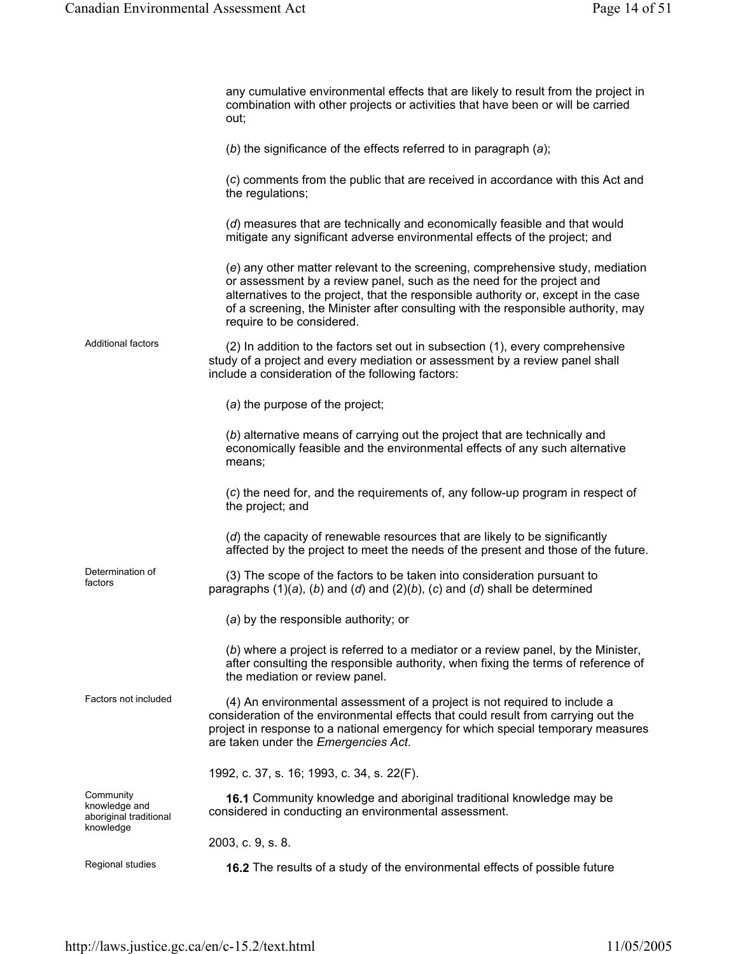|                                                                   | any cumulative environmental effects that are likely to result from the project in<br>combination with other projects or activities that have been or will be carried<br>out;                                                                                                                                                                                   |
|-------------------------------------------------------------------|-----------------------------------------------------------------------------------------------------------------------------------------------------------------------------------------------------------------------------------------------------------------------------------------------------------------------------------------------------------------|
|                                                                   | (b) the significance of the effects referred to in paragraph $(a)$ ;                                                                                                                                                                                                                                                                                            |
|                                                                   | (c) comments from the public that are received in accordance with this Act and<br>the regulations;                                                                                                                                                                                                                                                              |
|                                                                   | (d) measures that are technically and economically feasible and that would<br>mitigate any significant adverse environmental effects of the project; and                                                                                                                                                                                                        |
|                                                                   | (e) any other matter relevant to the screening, comprehensive study, mediation<br>or assessment by a review panel, such as the need for the project and<br>alternatives to the project, that the responsible authority or, except in the case<br>of a screening, the Minister after consulting with the responsible authority, may<br>require to be considered. |
| <b>Additional factors</b>                                         | (2) In addition to the factors set out in subsection (1), every comprehensive<br>study of a project and every mediation or assessment by a review panel shall<br>include a consideration of the following factors:                                                                                                                                              |
|                                                                   | (a) the purpose of the project;                                                                                                                                                                                                                                                                                                                                 |
|                                                                   | (b) alternative means of carrying out the project that are technically and<br>economically feasible and the environmental effects of any such alternative<br>means;                                                                                                                                                                                             |
|                                                                   | (c) the need for, and the requirements of, any follow-up program in respect of<br>the project; and                                                                                                                                                                                                                                                              |
|                                                                   | (d) the capacity of renewable resources that are likely to be significantly<br>affected by the project to meet the needs of the present and those of the future.                                                                                                                                                                                                |
| Determination of<br>factors                                       | (3) The scope of the factors to be taken into consideration pursuant to<br>paragraphs $(1)(a)$ , $(b)$ and $(d)$ and $(2)(b)$ , $(c)$ and $(d)$ shall be determined                                                                                                                                                                                             |
|                                                                   | (a) by the responsible authority; or                                                                                                                                                                                                                                                                                                                            |
|                                                                   | (b) where a project is referred to a mediator or a review panel, by the Minister,<br>after consulting the responsible authority, when fixing the terms of reference of<br>the mediation or review panel.                                                                                                                                                        |
| Factors not included                                              | (4) An environmental assessment of a project is not required to include a<br>consideration of the environmental effects that could result from carrying out the<br>project in response to a national emergency for which special temporary measures<br>are taken under the Emergencies Act.                                                                     |
|                                                                   | 1992, c. 37, s. 16; 1993, c. 34, s. 22(F).                                                                                                                                                                                                                                                                                                                      |
| Community<br>knowledge and<br>aboriginal traditional<br>knowledge | 16.1 Community knowledge and aboriginal traditional knowledge may be<br>considered in conducting an environmental assessment.                                                                                                                                                                                                                                   |
|                                                                   | 2003, c. 9, s. 8.                                                                                                                                                                                                                                                                                                                                               |
| Regional studies                                                  | 16.2 The results of a study of the environmental effects of possible future                                                                                                                                                                                                                                                                                     |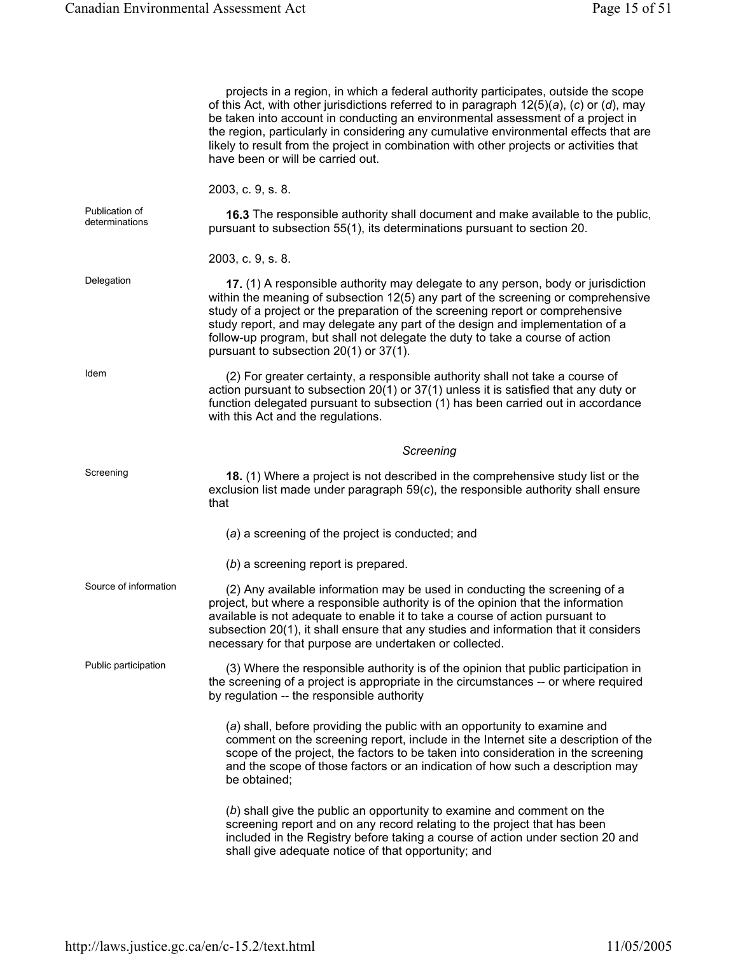|                                  | projects in a region, in which a federal authority participates, outside the scope<br>of this Act, with other jurisdictions referred to in paragraph $12(5)(a)$ , (c) or (d), may<br>be taken into account in conducting an environmental assessment of a project in<br>the region, particularly in considering any cumulative environmental effects that are<br>likely to result from the project in combination with other projects or activities that<br>have been or will be carried out. |
|----------------------------------|-----------------------------------------------------------------------------------------------------------------------------------------------------------------------------------------------------------------------------------------------------------------------------------------------------------------------------------------------------------------------------------------------------------------------------------------------------------------------------------------------|
|                                  | 2003, c. 9, s. 8.                                                                                                                                                                                                                                                                                                                                                                                                                                                                             |
| Publication of<br>determinations | 16.3 The responsible authority shall document and make available to the public,<br>pursuant to subsection 55(1), its determinations pursuant to section 20.                                                                                                                                                                                                                                                                                                                                   |
|                                  | 2003, c. 9, s. 8.                                                                                                                                                                                                                                                                                                                                                                                                                                                                             |
| Delegation                       | 17. (1) A responsible authority may delegate to any person, body or jurisdiction<br>within the meaning of subsection 12(5) any part of the screening or comprehensive<br>study of a project or the preparation of the screening report or comprehensive<br>study report, and may delegate any part of the design and implementation of a<br>follow-up program, but shall not delegate the duty to take a course of action<br>pursuant to subsection 20(1) or 37(1).                           |
| Idem                             | (2) For greater certainty, a responsible authority shall not take a course of<br>action pursuant to subsection 20(1) or 37(1) unless it is satisfied that any duty or<br>function delegated pursuant to subsection (1) has been carried out in accordance<br>with this Act and the regulations.                                                                                                                                                                                               |
|                                  | Screening                                                                                                                                                                                                                                                                                                                                                                                                                                                                                     |
| Screening                        | 18. (1) Where a project is not described in the comprehensive study list or the<br>exclusion list made under paragraph $59(c)$ , the responsible authority shall ensure<br>that                                                                                                                                                                                                                                                                                                               |
|                                  | (a) a screening of the project is conducted; and                                                                                                                                                                                                                                                                                                                                                                                                                                              |
|                                  | $(b)$ a screening report is prepared.                                                                                                                                                                                                                                                                                                                                                                                                                                                         |
| Source of information            | (2) Any available information may be used in conducting the screening of a<br>project, but where a responsible authority is of the opinion that the information<br>available is not adequate to enable it to take a course of action pursuant to<br>subsection 20(1), it shall ensure that any studies and information that it considers<br>necessary for that purpose are undertaken or collected.                                                                                           |
| Public participation             | (3) Where the responsible authority is of the opinion that public participation in<br>the screening of a project is appropriate in the circumstances -- or where required<br>by regulation -- the responsible authority                                                                                                                                                                                                                                                                       |
|                                  | (a) shall, before providing the public with an opportunity to examine and<br>comment on the screening report, include in the Internet site a description of the<br>scope of the project, the factors to be taken into consideration in the screening<br>and the scope of those factors or an indication of how such a description may<br>be obtained;                                                                                                                                         |
|                                  | (b) shall give the public an opportunity to examine and comment on the<br>screening report and on any record relating to the project that has been<br>included in the Registry before taking a course of action under section 20 and<br>shall give adequate notice of that opportunity; and                                                                                                                                                                                                   |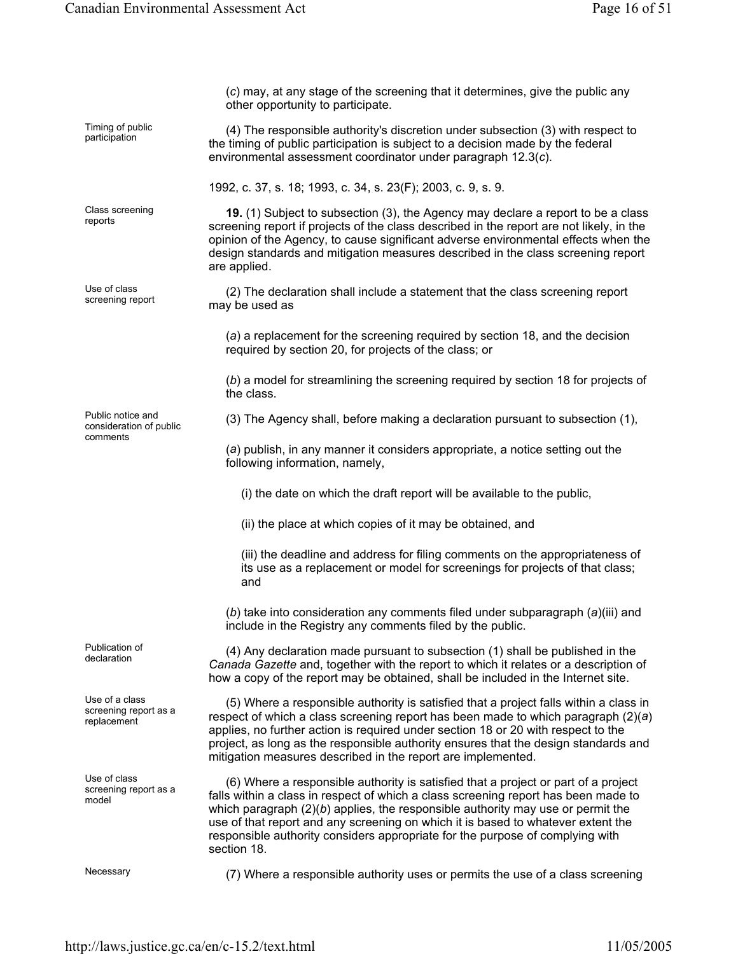(*c*) may, at any stage of the screening that it determines, give the public any other opportunity to participate. Timing of public  $(4)$  The responsible authority's discretion under subsection  $(3)$  with respect to the timing of public participation is subject to a decision made by the federal environmental assessment coordinator under paragraph 12.3(*c*). 1992, c. 37, s. 18; 1993, c. 34, s. 23(F); 2003, c. 9, s. 9. Class screening Class screening **19.** (1) Subject to subsection (3), the Agency may declare a report to be a class reports screening report if projects of the class described in the report are not likely, in the opinion of the Agency, to cause significant adverse environmental effects when the design standards and mitigation measures described in the class screening report are applied. Use of class<br>screening report (2) The declaration shall include a statement that the class screening report may be used as (*a*) a replacement for the screening required by section 18, and the decision required by section 20, for projects of the class; or (*b*) a model for streamlining the screening required by section 18 for projects of the class. Public notice and consideration of public comments (3) The Agency shall, before making a declaration pursuant to subsection (1), (*a*) publish, in any manner it considers appropriate, a notice setting out the following information, namely, (i) the date on which the draft report will be available to the public, (ii) the place at which copies of it may be obtained, and (iii) the deadline and address for filing comments on the appropriateness of its use as a replacement or model for screenings for projects of that class; and (*b*) take into consideration any comments filed under subparagraph (*a*)(iii) and include in the Registry any comments filed by the public. Publication of Publication of  $\left(4\right)$  Any declaration made pursuant to subsection  $\left(1\right)$  shall be published in the declaration *Canada Gazette* and, together with the report to which it relates or a description of how a copy of the report may be obtained, shall be included in the Internet site. Use of a class screening report as a replacement (5) Where a responsible authority is satisfied that a project falls within a class in respect of which a class screening report has been made to which paragraph (2)(*a*) applies, no further action is required under section 18 or 20 with respect to the project, as long as the responsible authority ensures that the design standards and mitigation measures described in the report are implemented. Use of class screening report as a model (6) Where a responsible authority is satisfied that a project or part of a project falls within a class in respect of which a class screening report has been made to which paragraph (2)(*b*) applies, the responsible authority may use or permit the use of that report and any screening on which it is based to whatever extent the responsible authority considers appropriate for the purpose of complying with section 18.

Necessary (7) Where a responsible authority uses or permits the use of a class screening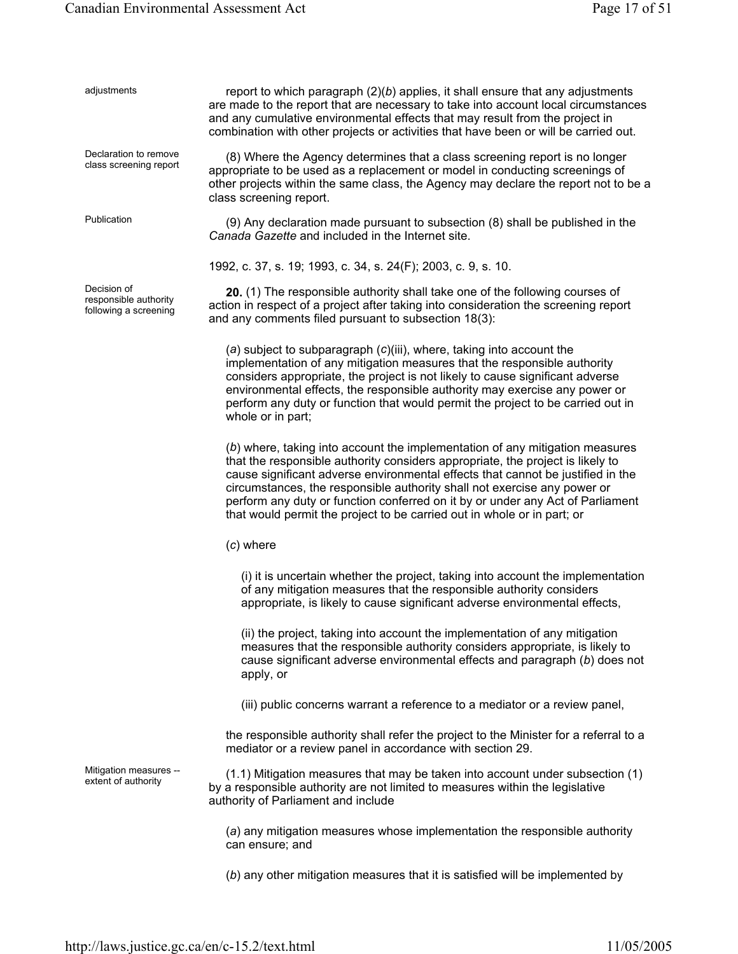| adjustments                                                   | report to which paragraph $(2)(b)$ applies, it shall ensure that any adjustments<br>are made to the report that are necessary to take into account local circumstances<br>and any cumulative environmental effects that may result from the project in<br>combination with other projects or activities that have been or will be carried out.                                                                                                                                             |
|---------------------------------------------------------------|--------------------------------------------------------------------------------------------------------------------------------------------------------------------------------------------------------------------------------------------------------------------------------------------------------------------------------------------------------------------------------------------------------------------------------------------------------------------------------------------|
| Declaration to remove<br>class screening report               | (8) Where the Agency determines that a class screening report is no longer<br>appropriate to be used as a replacement or model in conducting screenings of<br>other projects within the same class, the Agency may declare the report not to be a<br>class screening report.                                                                                                                                                                                                               |
| Publication                                                   | (9) Any declaration made pursuant to subsection (8) shall be published in the<br>Canada Gazette and included in the Internet site.                                                                                                                                                                                                                                                                                                                                                         |
|                                                               | 1992, c. 37, s. 19; 1993, c. 34, s. 24(F); 2003, c. 9, s. 10.                                                                                                                                                                                                                                                                                                                                                                                                                              |
| Decision of<br>responsible authority<br>following a screening | 20. (1) The responsible authority shall take one of the following courses of<br>action in respect of a project after taking into consideration the screening report<br>and any comments filed pursuant to subsection 18(3):                                                                                                                                                                                                                                                                |
|                                                               | (a) subject to subparagraph (c)(iii), where, taking into account the<br>implementation of any mitigation measures that the responsible authority<br>considers appropriate, the project is not likely to cause significant adverse<br>environmental effects, the responsible authority may exercise any power or<br>perform any duty or function that would permit the project to be carried out in<br>whole or in part;                                                                    |
|                                                               | (b) where, taking into account the implementation of any mitigation measures<br>that the responsible authority considers appropriate, the project is likely to<br>cause significant adverse environmental effects that cannot be justified in the<br>circumstances, the responsible authority shall not exercise any power or<br>perform any duty or function conferred on it by or under any Act of Parliament<br>that would permit the project to be carried out in whole or in part; or |
|                                                               | $(c)$ where                                                                                                                                                                                                                                                                                                                                                                                                                                                                                |
|                                                               | (i) it is uncertain whether the project, taking into account the implementation<br>of any mitigation measures that the responsible authority considers<br>appropriate, is likely to cause significant adverse environmental effects,                                                                                                                                                                                                                                                       |
|                                                               | (ii) the project, taking into account the implementation of any mitigation<br>measures that the responsible authority considers appropriate, is likely to<br>cause significant adverse environmental effects and paragraph (b) does not<br>apply, or                                                                                                                                                                                                                                       |
|                                                               | (iii) public concerns warrant a reference to a mediator or a review panel,                                                                                                                                                                                                                                                                                                                                                                                                                 |
|                                                               | the responsible authority shall refer the project to the Minister for a referral to a<br>mediator or a review panel in accordance with section 29.                                                                                                                                                                                                                                                                                                                                         |
| Mitigation measures --<br>extent of authority                 | (1.1) Mitigation measures that may be taken into account under subsection (1)<br>by a responsible authority are not limited to measures within the legislative<br>authority of Parliament and include                                                                                                                                                                                                                                                                                      |
|                                                               | (a) any mitigation measures whose implementation the responsible authority<br>can ensure; and                                                                                                                                                                                                                                                                                                                                                                                              |
|                                                               | (b) any other mitigation measures that it is satisfied will be implemented by                                                                                                                                                                                                                                                                                                                                                                                                              |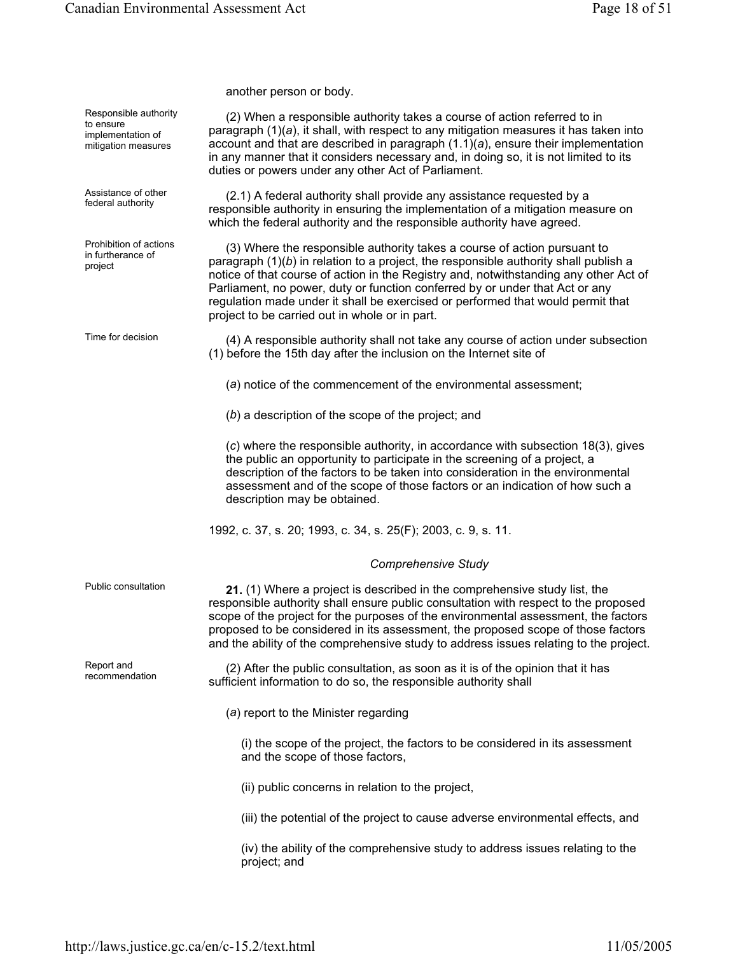another person or body.

Responsible authority to ensure implementation of mitigation measures (2) When a responsible authority takes a course of action referred to in paragraph (1)(*a*), it shall, with respect to any mitigation measures it has taken into account and that are described in paragraph (1.1)(*a*), ensure their implementation in any manner that it considers necessary and, in doing so, it is not limited to its duties or powers under any other Act of Parliament. Assistance of other Assistance of other (2.1) A federal authority shall provide any assistance requested by a<br>federal authority expressible authority in applying the implementation of a mitiagtion mag responsible authority in ensuring the implementation of a mitigation measure on which the federal authority and the responsible authority have agreed. Prohibition of actions in furtherance of project (3) Where the responsible authority takes a course of action pursuant to paragraph (1)(*b*) in relation to a project, the responsible authority shall publish a notice of that course of action in the Registry and, notwithstanding any other Act of Parliament, no power, duty or function conferred by or under that Act or any regulation made under it shall be exercised or performed that would permit that project to be carried out in whole or in part. Time for decision (4) A responsible authority shall not take any course of action under subsection (1) before the 15th day after the inclusion on the Internet site of (*a*) notice of the commencement of the environmental assessment; (*b*) a description of the scope of the project; and (*c*) where the responsible authority, in accordance with subsection 18(3), gives the public an opportunity to participate in the screening of a project, a description of the factors to be taken into consideration in the environmental assessment and of the scope of those factors or an indication of how such a description may be obtained. 1992, c. 37, s. 20; 1993, c. 34, s. 25(F); 2003, c. 9, s. 11. *Comprehensive Study*  Public consultation **21.** (1) Where a project is described in the comprehensive study list, the responsible authority shall ensure public consultation with respect to the proposed scope of the project for the purposes of the environmental assessment, the factors proposed to be considered in its assessment, the proposed scope of those factors and the ability of the comprehensive study to address issues relating to the project. Report and<br>recommendation  $(2)$  After the public consultation, as soon as it is of the opinion that it has sufficient information to do so, the responsible authority shall (*a*) report to the Minister regarding (i) the scope of the project, the factors to be considered in its assessment and the scope of those factors, (ii) public concerns in relation to the project, (iii) the potential of the project to cause adverse environmental effects, and (iv) the ability of the comprehensive study to address issues relating to the project; and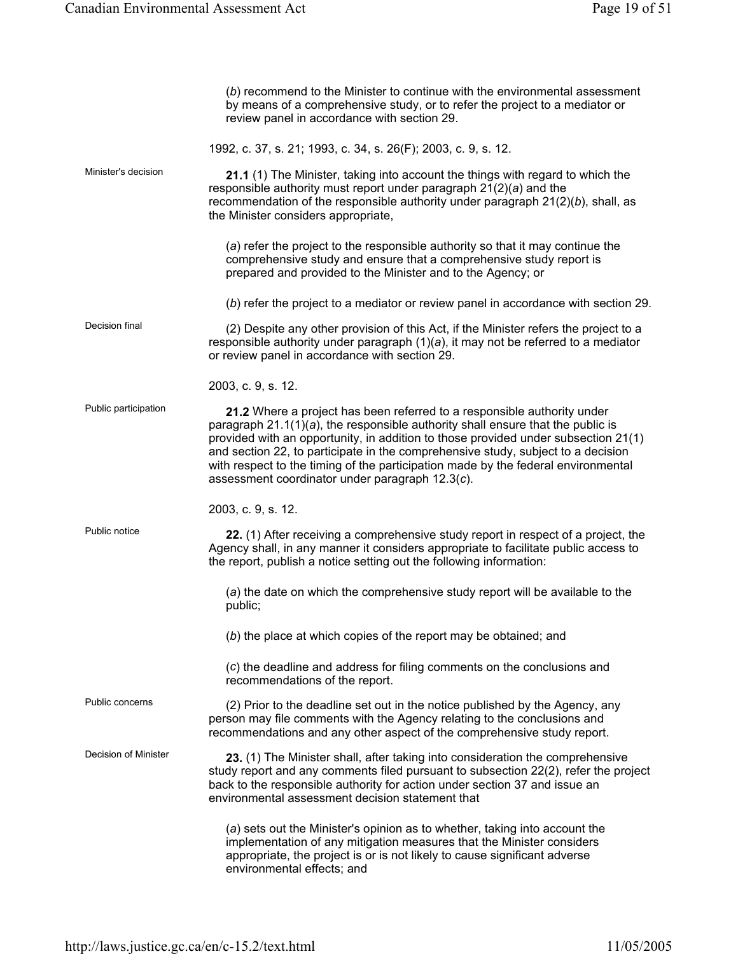|                      | (b) recommend to the Minister to continue with the environmental assessment<br>by means of a comprehensive study, or to refer the project to a mediator or<br>review panel in accordance with section 29.                                                                                                                                                                                                                                                                       |
|----------------------|---------------------------------------------------------------------------------------------------------------------------------------------------------------------------------------------------------------------------------------------------------------------------------------------------------------------------------------------------------------------------------------------------------------------------------------------------------------------------------|
|                      | 1992, c. 37, s. 21; 1993, c. 34, s. 26(F); 2003, c. 9, s. 12.                                                                                                                                                                                                                                                                                                                                                                                                                   |
| Minister's decision  | 21.1 (1) The Minister, taking into account the things with regard to which the<br>responsible authority must report under paragraph $21(2)(a)$ and the<br>recommendation of the responsible authority under paragraph $21(2)(b)$ , shall, as<br>the Minister considers appropriate,                                                                                                                                                                                             |
|                      | (a) refer the project to the responsible authority so that it may continue the<br>comprehensive study and ensure that a comprehensive study report is<br>prepared and provided to the Minister and to the Agency; or                                                                                                                                                                                                                                                            |
|                      | (b) refer the project to a mediator or review panel in accordance with section 29.                                                                                                                                                                                                                                                                                                                                                                                              |
| Decision final       | (2) Despite any other provision of this Act, if the Minister refers the project to a<br>responsible authority under paragraph $(1)(a)$ , it may not be referred to a mediator<br>or review panel in accordance with section 29.                                                                                                                                                                                                                                                 |
|                      | 2003, c. 9, s. 12.                                                                                                                                                                                                                                                                                                                                                                                                                                                              |
| Public participation | 21.2 Where a project has been referred to a responsible authority under<br>paragraph $21.1(1)(a)$ , the responsible authority shall ensure that the public is<br>provided with an opportunity, in addition to those provided under subsection 21(1)<br>and section 22, to participate in the comprehensive study, subject to a decision<br>with respect to the timing of the participation made by the federal environmental<br>assessment coordinator under paragraph 12.3(c). |
|                      | 2003, c. 9, s. 12.                                                                                                                                                                                                                                                                                                                                                                                                                                                              |
| Public notice        | 22. (1) After receiving a comprehensive study report in respect of a project, the<br>Agency shall, in any manner it considers appropriate to facilitate public access to<br>the report, publish a notice setting out the following information:                                                                                                                                                                                                                                 |
|                      | (a) the date on which the comprehensive study report will be available to the<br>public;                                                                                                                                                                                                                                                                                                                                                                                        |
|                      | (b) the place at which copies of the report may be obtained; and                                                                                                                                                                                                                                                                                                                                                                                                                |
|                      | (c) the deadline and address for filing comments on the conclusions and<br>recommendations of the report.                                                                                                                                                                                                                                                                                                                                                                       |
| Public concerns      | (2) Prior to the deadline set out in the notice published by the Agency, any<br>person may file comments with the Agency relating to the conclusions and<br>recommendations and any other aspect of the comprehensive study report.                                                                                                                                                                                                                                             |
| Decision of Minister | 23. (1) The Minister shall, after taking into consideration the comprehensive<br>study report and any comments filed pursuant to subsection 22(2), refer the project<br>back to the responsible authority for action under section 37 and issue an<br>environmental assessment decision statement that                                                                                                                                                                          |
|                      | (a) sets out the Minister's opinion as to whether, taking into account the<br>implementation of any mitigation measures that the Minister considers<br>appropriate, the project is or is not likely to cause significant adverse<br>environmental effects; and                                                                                                                                                                                                                  |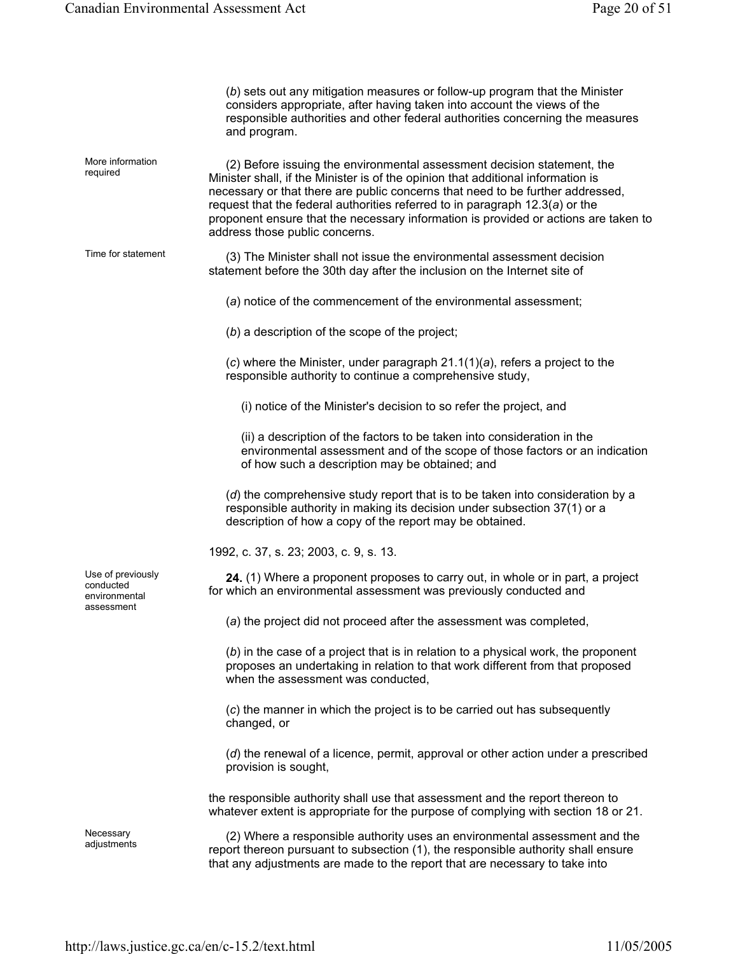|                                                               | (b) sets out any mitigation measures or follow-up program that the Minister<br>considers appropriate, after having taken into account the views of the<br>responsible authorities and other federal authorities concerning the measures<br>and program.                                                                                                                                                                                                  |
|---------------------------------------------------------------|----------------------------------------------------------------------------------------------------------------------------------------------------------------------------------------------------------------------------------------------------------------------------------------------------------------------------------------------------------------------------------------------------------------------------------------------------------|
| More information<br>required                                  | (2) Before issuing the environmental assessment decision statement, the<br>Minister shall, if the Minister is of the opinion that additional information is<br>necessary or that there are public concerns that need to be further addressed,<br>request that the federal authorities referred to in paragraph $12.3(a)$ or the<br>proponent ensure that the necessary information is provided or actions are taken to<br>address those public concerns. |
| Time for statement                                            | (3) The Minister shall not issue the environmental assessment decision<br>statement before the 30th day after the inclusion on the Internet site of                                                                                                                                                                                                                                                                                                      |
|                                                               | (a) notice of the commencement of the environmental assessment;                                                                                                                                                                                                                                                                                                                                                                                          |
|                                                               | $(b)$ a description of the scope of the project;                                                                                                                                                                                                                                                                                                                                                                                                         |
|                                                               | $(c)$ where the Minister, under paragraph 21.1(1)(a), refers a project to the<br>responsible authority to continue a comprehensive study,                                                                                                                                                                                                                                                                                                                |
|                                                               | (i) notice of the Minister's decision to so refer the project, and                                                                                                                                                                                                                                                                                                                                                                                       |
|                                                               | (ii) a description of the factors to be taken into consideration in the<br>environmental assessment and of the scope of those factors or an indication<br>of how such a description may be obtained; and                                                                                                                                                                                                                                                 |
|                                                               | (d) the comprehensive study report that is to be taken into consideration by a<br>responsible authority in making its decision under subsection 37(1) or a<br>description of how a copy of the report may be obtained.                                                                                                                                                                                                                                   |
|                                                               | 1992, c. 37, s. 23; 2003, c. 9, s. 13.                                                                                                                                                                                                                                                                                                                                                                                                                   |
| Use of previously<br>conducted<br>environmental<br>assessment | 24. (1) Where a proponent proposes to carry out, in whole or in part, a project<br>for which an environmental assessment was previously conducted and                                                                                                                                                                                                                                                                                                    |
|                                                               | (a) the project did not proceed after the assessment was completed,                                                                                                                                                                                                                                                                                                                                                                                      |
|                                                               | (b) in the case of a project that is in relation to a physical work, the proponent<br>proposes an undertaking in relation to that work different from that proposed<br>when the assessment was conducted,                                                                                                                                                                                                                                                |
|                                                               | (c) the manner in which the project is to be carried out has subsequently<br>changed, or                                                                                                                                                                                                                                                                                                                                                                 |
|                                                               | $(d)$ the renewal of a licence, permit, approval or other action under a prescribed<br>provision is sought,                                                                                                                                                                                                                                                                                                                                              |
|                                                               | the responsible authority shall use that assessment and the report thereon to<br>whatever extent is appropriate for the purpose of complying with section 18 or 21.                                                                                                                                                                                                                                                                                      |
| Necessary<br>adjustments                                      | (2) Where a responsible authority uses an environmental assessment and the<br>report thereon pursuant to subsection (1), the responsible authority shall ensure<br>that any adjustments are made to the report that are necessary to take into                                                                                                                                                                                                           |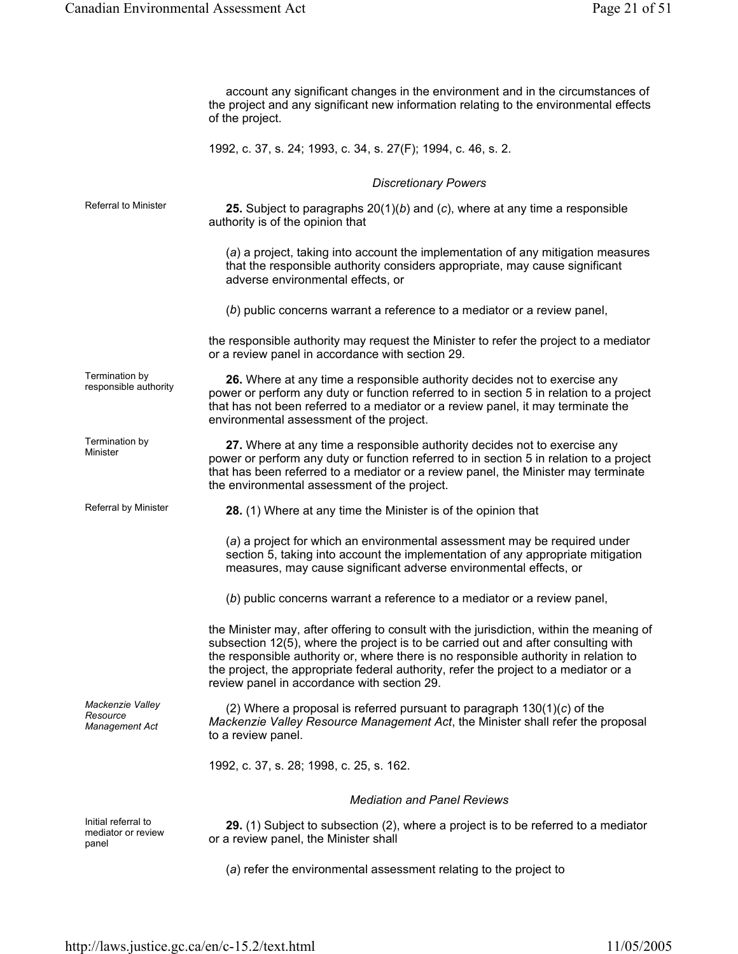|                                                    | account any significant changes in the environment and in the circumstances of<br>the project and any significant new information relating to the environmental effects<br>of the project.                                                                                                                                                                                                                    |
|----------------------------------------------------|---------------------------------------------------------------------------------------------------------------------------------------------------------------------------------------------------------------------------------------------------------------------------------------------------------------------------------------------------------------------------------------------------------------|
|                                                    | 1992, c. 37, s. 24; 1993, c. 34, s. 27(F); 1994, c. 46, s. 2.                                                                                                                                                                                                                                                                                                                                                 |
|                                                    | <b>Discretionary Powers</b>                                                                                                                                                                                                                                                                                                                                                                                   |
| <b>Referral to Minister</b>                        | 25. Subject to paragraphs $20(1)(b)$ and (c), where at any time a responsible<br>authority is of the opinion that                                                                                                                                                                                                                                                                                             |
|                                                    | (a) a project, taking into account the implementation of any mitigation measures<br>that the responsible authority considers appropriate, may cause significant<br>adverse environmental effects, or                                                                                                                                                                                                          |
|                                                    | (b) public concerns warrant a reference to a mediator or a review panel,                                                                                                                                                                                                                                                                                                                                      |
|                                                    | the responsible authority may request the Minister to refer the project to a mediator<br>or a review panel in accordance with section 29.                                                                                                                                                                                                                                                                     |
| Termination by<br>responsible authority            | 26. Where at any time a responsible authority decides not to exercise any<br>power or perform any duty or function referred to in section 5 in relation to a project<br>that has not been referred to a mediator or a review panel, it may terminate the<br>environmental assessment of the project.                                                                                                          |
| Termination by<br>Minister                         | 27. Where at any time a responsible authority decides not to exercise any<br>power or perform any duty or function referred to in section 5 in relation to a project<br>that has been referred to a mediator or a review panel, the Minister may terminate<br>the environmental assessment of the project.                                                                                                    |
| Referral by Minister                               | 28. (1) Where at any time the Minister is of the opinion that                                                                                                                                                                                                                                                                                                                                                 |
|                                                    | (a) a project for which an environmental assessment may be required under<br>section 5, taking into account the implementation of any appropriate mitigation<br>measures, may cause significant adverse environmental effects, or                                                                                                                                                                             |
|                                                    | (b) public concerns warrant a reference to a mediator or a review panel,                                                                                                                                                                                                                                                                                                                                      |
|                                                    | the Minister may, after offering to consult with the jurisdiction, within the meaning of<br>subsection 12(5), where the project is to be carried out and after consulting with<br>the responsible authority or, where there is no responsible authority in relation to<br>the project, the appropriate federal authority, refer the project to a mediator or a<br>review panel in accordance with section 29. |
| Mackenzie Valley<br>Resource<br>Management Act     | (2) Where a proposal is referred pursuant to paragraph $130(1)(c)$ of the<br>Mackenzie Valley Resource Management Act, the Minister shall refer the proposal<br>to a review panel.                                                                                                                                                                                                                            |
|                                                    | 1992, c. 37, s. 28; 1998, c. 25, s. 162.                                                                                                                                                                                                                                                                                                                                                                      |
|                                                    | <b>Mediation and Panel Reviews</b>                                                                                                                                                                                                                                                                                                                                                                            |
| Initial referral to<br>mediator or review<br>panel | 29. (1) Subject to subsection (2), where a project is to be referred to a mediator<br>or a review panel, the Minister shall                                                                                                                                                                                                                                                                                   |
|                                                    | (a) refer the environmental assessment relating to the project to                                                                                                                                                                                                                                                                                                                                             |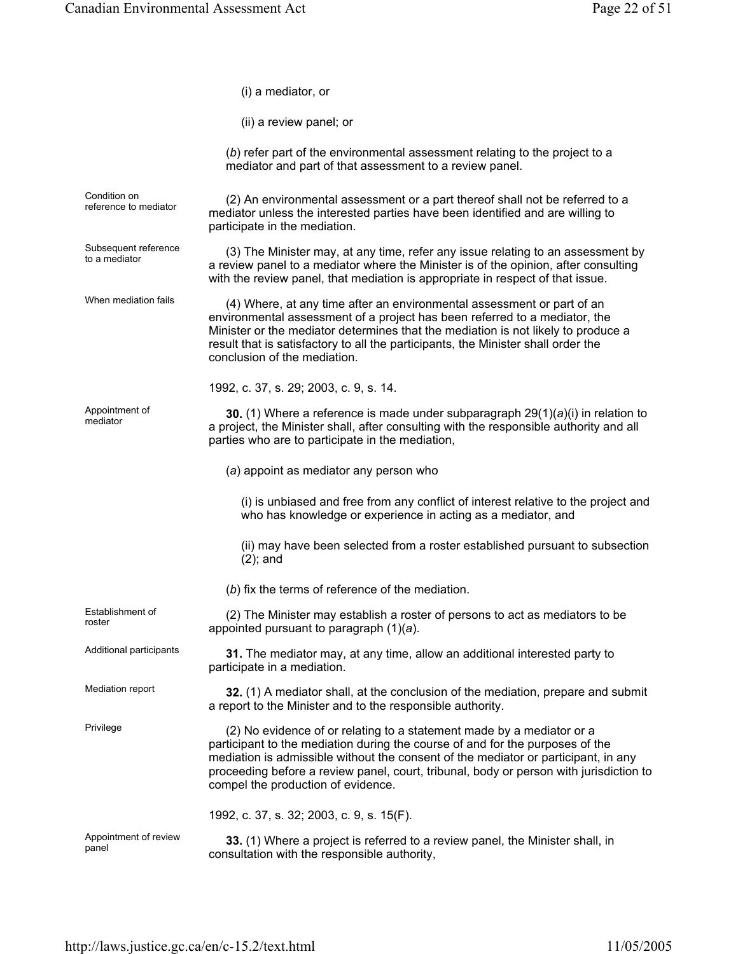|                                       | (i) a mediator, or                                                                                                                                                                                                                                                                                                                                                           |
|---------------------------------------|------------------------------------------------------------------------------------------------------------------------------------------------------------------------------------------------------------------------------------------------------------------------------------------------------------------------------------------------------------------------------|
|                                       | (ii) a review panel; or                                                                                                                                                                                                                                                                                                                                                      |
|                                       | (b) refer part of the environmental assessment relating to the project to a<br>mediator and part of that assessment to a review panel.                                                                                                                                                                                                                                       |
| Condition on<br>reference to mediator | (2) An environmental assessment or a part thereof shall not be referred to a<br>mediator unless the interested parties have been identified and are willing to<br>participate in the mediation.                                                                                                                                                                              |
| Subsequent reference<br>to a mediator | (3) The Minister may, at any time, refer any issue relating to an assessment by<br>a review panel to a mediator where the Minister is of the opinion, after consulting<br>with the review panel, that mediation is appropriate in respect of that issue.                                                                                                                     |
| When mediation fails                  | (4) Where, at any time after an environmental assessment or part of an<br>environmental assessment of a project has been referred to a mediator, the<br>Minister or the mediator determines that the mediation is not likely to produce a<br>result that is satisfactory to all the participants, the Minister shall order the<br>conclusion of the mediation.               |
|                                       | 1992, c. 37, s. 29; 2003, c. 9, s. 14.                                                                                                                                                                                                                                                                                                                                       |
| Appointment of<br>mediator            | 30. (1) Where a reference is made under subparagraph $29(1)(a)(i)$ in relation to<br>a project, the Minister shall, after consulting with the responsible authority and all<br>parties who are to participate in the mediation,                                                                                                                                              |
|                                       | (a) appoint as mediator any person who                                                                                                                                                                                                                                                                                                                                       |
|                                       | (i) is unbiased and free from any conflict of interest relative to the project and<br>who has knowledge or experience in acting as a mediator, and                                                                                                                                                                                                                           |
|                                       | (ii) may have been selected from a roster established pursuant to subsection<br>$(2)$ ; and                                                                                                                                                                                                                                                                                  |
|                                       | (b) fix the terms of reference of the mediation.                                                                                                                                                                                                                                                                                                                             |
| Establishment of<br>roster            | (2) The Minister may establish a roster of persons to act as mediators to be<br>appointed pursuant to paragraph $(1)(a)$ .                                                                                                                                                                                                                                                   |
| Additional participants               | 31. The mediator may, at any time, allow an additional interested party to<br>participate in a mediation.                                                                                                                                                                                                                                                                    |
| Mediation report                      | 32. (1) A mediator shall, at the conclusion of the mediation, prepare and submit<br>a report to the Minister and to the responsible authority.                                                                                                                                                                                                                               |
| Privilege                             | (2) No evidence of or relating to a statement made by a mediator or a<br>participant to the mediation during the course of and for the purposes of the<br>mediation is admissible without the consent of the mediator or participant, in any<br>proceeding before a review panel, court, tribunal, body or person with jurisdiction to<br>compel the production of evidence. |
|                                       | 1992, c. 37, s. 32; 2003, c. 9, s. 15(F).                                                                                                                                                                                                                                                                                                                                    |
| Appointment of review<br>panel        | 33. (1) Where a project is referred to a review panel, the Minister shall, in<br>consultation with the responsible authority,                                                                                                                                                                                                                                                |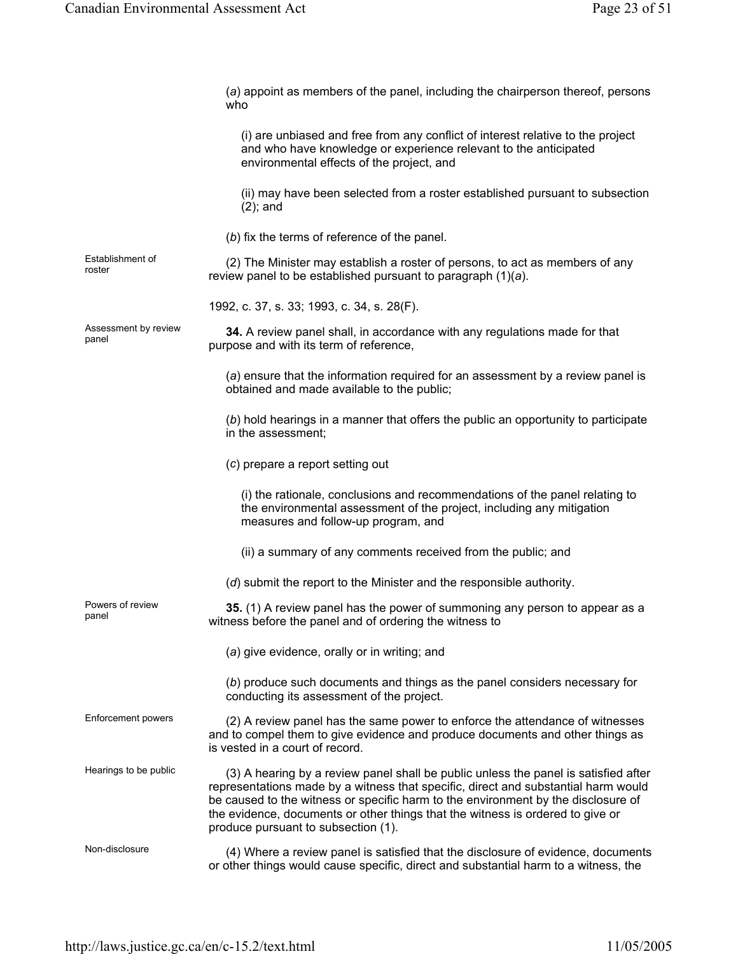|                               | (a) appoint as members of the panel, including the chairperson thereof, persons<br>who                                                                                                                                                                                                                                                                                                  |
|-------------------------------|-----------------------------------------------------------------------------------------------------------------------------------------------------------------------------------------------------------------------------------------------------------------------------------------------------------------------------------------------------------------------------------------|
|                               | (i) are unbiased and free from any conflict of interest relative to the project<br>and who have knowledge or experience relevant to the anticipated<br>environmental effects of the project, and                                                                                                                                                                                        |
|                               | (ii) may have been selected from a roster established pursuant to subsection<br>$(2)$ ; and                                                                                                                                                                                                                                                                                             |
|                               | (b) fix the terms of reference of the panel.                                                                                                                                                                                                                                                                                                                                            |
| Establishment of<br>roster    | (2) The Minister may establish a roster of persons, to act as members of any<br>review panel to be established pursuant to paragraph $(1)(a)$ .                                                                                                                                                                                                                                         |
|                               | 1992, c. 37, s. 33; 1993, c. 34, s. 28(F).                                                                                                                                                                                                                                                                                                                                              |
| Assessment by review<br>panel | 34. A review panel shall, in accordance with any regulations made for that<br>purpose and with its term of reference,                                                                                                                                                                                                                                                                   |
|                               | (a) ensure that the information required for an assessment by a review panel is<br>obtained and made available to the public;                                                                                                                                                                                                                                                           |
|                               | (b) hold hearings in a manner that offers the public an opportunity to participate<br>in the assessment;                                                                                                                                                                                                                                                                                |
|                               | (c) prepare a report setting out                                                                                                                                                                                                                                                                                                                                                        |
|                               | (i) the rationale, conclusions and recommendations of the panel relating to<br>the environmental assessment of the project, including any mitigation<br>measures and follow-up program, and                                                                                                                                                                                             |
|                               | (ii) a summary of any comments received from the public; and                                                                                                                                                                                                                                                                                                                            |
|                               | (d) submit the report to the Minister and the responsible authority.                                                                                                                                                                                                                                                                                                                    |
| Powers of review<br>panel     | 35. (1) A review panel has the power of summoning any person to appear as a<br>witness before the panel and of ordering the witness to                                                                                                                                                                                                                                                  |
|                               | (a) give evidence, orally or in writing; and                                                                                                                                                                                                                                                                                                                                            |
|                               | (b) produce such documents and things as the panel considers necessary for<br>conducting its assessment of the project.                                                                                                                                                                                                                                                                 |
| Enforcement powers            | (2) A review panel has the same power to enforce the attendance of witnesses<br>and to compel them to give evidence and produce documents and other things as<br>is vested in a court of record.                                                                                                                                                                                        |
| Hearings to be public         | (3) A hearing by a review panel shall be public unless the panel is satisfied after<br>representations made by a witness that specific, direct and substantial harm would<br>be caused to the witness or specific harm to the environment by the disclosure of<br>the evidence, documents or other things that the witness is ordered to give or<br>produce pursuant to subsection (1). |
| Non-disclosure                | (4) Where a review panel is satisfied that the disclosure of evidence, documents<br>or other things would cause specific, direct and substantial harm to a witness, the                                                                                                                                                                                                                 |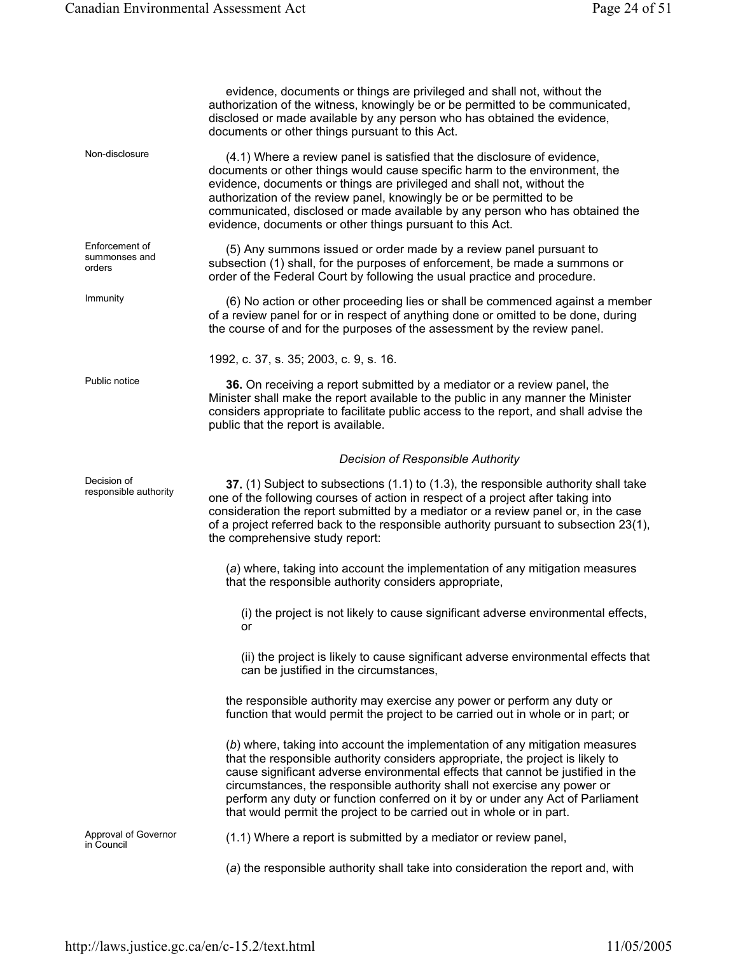|                                           | evidence, documents or things are privileged and shall not, without the<br>authorization of the witness, knowingly be or be permitted to be communicated,<br>disclosed or made available by any person who has obtained the evidence,<br>documents or other things pursuant to this Act.                                                                                                                                                                                                |
|-------------------------------------------|-----------------------------------------------------------------------------------------------------------------------------------------------------------------------------------------------------------------------------------------------------------------------------------------------------------------------------------------------------------------------------------------------------------------------------------------------------------------------------------------|
| Non-disclosure                            | (4.1) Where a review panel is satisfied that the disclosure of evidence,<br>documents or other things would cause specific harm to the environment, the<br>evidence, documents or things are privileged and shall not, without the<br>authorization of the review panel, knowingly be or be permitted to be<br>communicated, disclosed or made available by any person who has obtained the<br>evidence, documents or other things pursuant to this Act.                                |
| Enforcement of<br>summonses and<br>orders | (5) Any summons issued or order made by a review panel pursuant to<br>subsection (1) shall, for the purposes of enforcement, be made a summons or<br>order of the Federal Court by following the usual practice and procedure.                                                                                                                                                                                                                                                          |
| Immunity                                  | (6) No action or other proceeding lies or shall be commenced against a member<br>of a review panel for or in respect of anything done or omitted to be done, during<br>the course of and for the purposes of the assessment by the review panel.                                                                                                                                                                                                                                        |
|                                           | 1992, c. 37, s. 35; 2003, c. 9, s. 16.                                                                                                                                                                                                                                                                                                                                                                                                                                                  |
| Public notice                             | 36. On receiving a report submitted by a mediator or a review panel, the<br>Minister shall make the report available to the public in any manner the Minister<br>considers appropriate to facilitate public access to the report, and shall advise the<br>public that the report is available.                                                                                                                                                                                          |
|                                           | <b>Decision of Responsible Authority</b>                                                                                                                                                                                                                                                                                                                                                                                                                                                |
| Decision of<br>responsible authority      | 37. (1) Subject to subsections (1.1) to (1.3), the responsible authority shall take<br>one of the following courses of action in respect of a project after taking into<br>consideration the report submitted by a mediator or a review panel or, in the case<br>of a project referred back to the responsible authority pursuant to subsection 23(1),<br>the comprehensive study report:                                                                                               |
|                                           | (a) where, taking into account the implementation of any mitigation measures<br>that the responsible authority considers appropriate,                                                                                                                                                                                                                                                                                                                                                   |
|                                           | (i) the project is not likely to cause significant adverse environmental effects,<br>or                                                                                                                                                                                                                                                                                                                                                                                                 |
|                                           | (ii) the project is likely to cause significant adverse environmental effects that<br>can be justified in the circumstances,                                                                                                                                                                                                                                                                                                                                                            |
|                                           | the responsible authority may exercise any power or perform any duty or<br>function that would permit the project to be carried out in whole or in part; or                                                                                                                                                                                                                                                                                                                             |
|                                           | (b) where, taking into account the implementation of any mitigation measures<br>that the responsible authority considers appropriate, the project is likely to<br>cause significant adverse environmental effects that cannot be justified in the<br>circumstances, the responsible authority shall not exercise any power or<br>perform any duty or function conferred on it by or under any Act of Parliament<br>that would permit the project to be carried out in whole or in part. |
| Approval of Governor<br>in Council        | (1.1) Where a report is submitted by a mediator or review panel,                                                                                                                                                                                                                                                                                                                                                                                                                        |
|                                           | (a) the responsible authority shall take into consideration the report and, with                                                                                                                                                                                                                                                                                                                                                                                                        |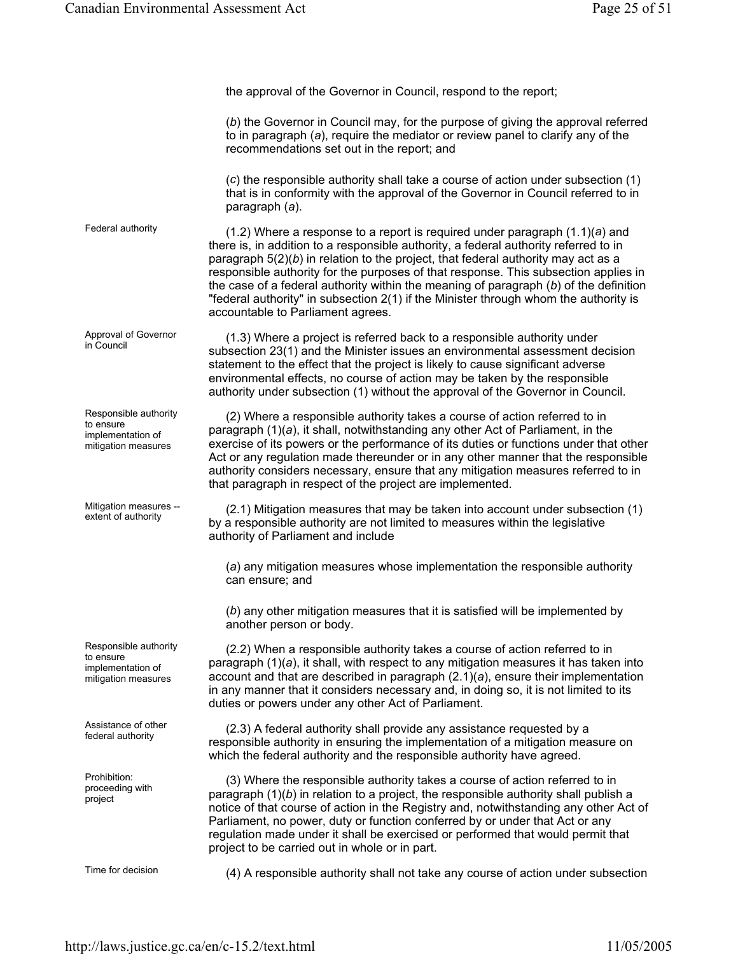the approval of the Governor in Council, respond to the report; (*b*) the Governor in Council may, for the purpose of giving the approval referred to in paragraph (*a*), require the mediator or review panel to clarify any of the recommendations set out in the report; and (*c*) the responsible authority shall take a course of action under subsection (1) that is in conformity with the approval of the Governor in Council referred to in paragraph (*a*). Federal authority (1.2) Where a response to a report is required under paragraph (1.1)(*a*) and there is, in addition to a responsible authority, a federal authority referred to in paragraph 5(2)(*b*) in relation to the project, that federal authority may act as a responsible authority for the purposes of that response. This subsection applies in the case of a federal authority within the meaning of paragraph (*b*) of the definition "federal authority" in subsection 2(1) if the Minister through whom the authority is accountable to Parliament agrees. Approval of Governor<br>in Council  $(1.3)$  Where a project is referred back to a responsible authority under subsection 23(1) and the Minister issues an environmental assessment decision statement to the effect that the project is likely to cause significant adverse environmental effects, no course of action may be taken by the responsible authority under subsection (1) without the approval of the Governor in Council. Responsible authority to ensure implementation of mitigation measures (2) Where a responsible authority takes a course of action referred to in paragraph (1)(*a*), it shall, notwithstanding any other Act of Parliament, in the exercise of its powers or the performance of its duties or functions under that other Act or any regulation made thereunder or in any other manner that the responsible authority considers necessary, ensure that any mitigation measures referred to in that paragraph in respect of the project are implemented. Mitigation measures -- Mitigation measures  $-$  (2.1) Mitigation measures that may be taken into account under subsection (1) extent of authority  $\alpha$  representible outhority are not limited to measures within the local structure by a responsible authority are not limited to measures within the legislative authority of Parliament and include (*a*) any mitigation measures whose implementation the responsible authority can ensure; and (*b*) any other mitigation measures that it is satisfied will be implemented by another person or body. Responsible authority to ensure implementation of mitigation measures (2.2) When a responsible authority takes a course of action referred to in paragraph (1)(*a*), it shall, with respect to any mitigation measures it has taken into account and that are described in paragraph (2.1)(*a*), ensure their implementation in any manner that it considers necessary and, in doing so, it is not limited to its duties or powers under any other Act of Parliament. Assistance of other Assistance of other (2.3) A federal authority shall provide any assistance requested by a<br>federal authority is approached by a representing the implementation of a mitigation mode responsible authority in ensuring the implementation of a mitigation measure on which the federal authority and the responsible authority have agreed. Prohibition: proceeding with project (3) Where the responsible authority takes a course of action referred to in paragraph (1)(*b*) in relation to a project, the responsible authority shall publish a notice of that course of action in the Registry and, notwithstanding any other Act of Parliament, no power, duty or function conferred by or under that Act or any regulation made under it shall be exercised or performed that would permit that project to be carried out in whole or in part.

Time for decision (4) A responsible authority shall not take any course of action under subsection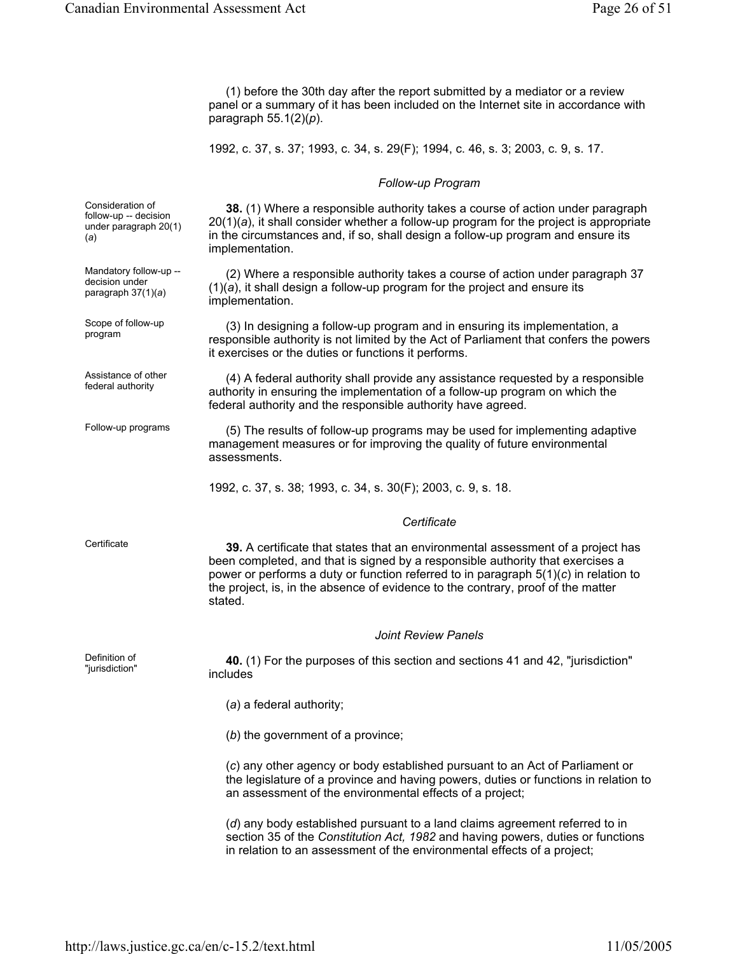(1) before the 30th day after the report submitted by a mediator or a review panel or a summary of it has been included on the Internet site in accordance with paragraph 55.1(2)(*p*).

1992, c. 37, s. 37; 1993, c. 34, s. 29(F); 1994, c. 46, s. 3; 2003, c. 9, s. 17.

#### *Follow-up Program*

Consideration of follow-up -- decision under paragraph 20(1) (*a*)

Mandatory follow-up - decision under paragraph 37(1)(*a*)

Scope of follow-up

Assistance of other

Definition of<br>"jurisdiction"

**38.** (1) Where a responsible authority takes a course of action under paragraph 20(1)(*a*), it shall consider whether a follow-up program for the project is appropriate in the circumstances and, if so, shall design a follow-up program and ensure its implementation.

(2) Where a responsible authority takes a course of action under paragraph 37 (1)(*a*), it shall design a follow-up program for the project and ensure its implementation.

Scope of follow-up (3) In designing a follow-up program and in ensuring its implementation, a<br>program responsible authority is not limited by the Act of Parliament that confers the powers it exercises or the duties or functions it performs.

Assistance of other (4) A federal authority shall provide any assistance requested by a responsible federal authority is approximately in provide any assistance requested by a responsible authority in ensuring the implementation of a follow-up program on which the federal authority and the responsible authority have agreed.

Follow-up programs (5) The results of follow-up programs may be used for implementing adaptive management measures or for improving the quality of future environmental assessments.

1992, c. 37, s. 38; 1993, c. 34, s. 30(F); 2003, c. 9, s. 18.

#### *Certificate*

Certificate **39.** A certificate that states that an environmental assessment of a project has been completed, and that is signed by a responsible authority that exercises a power or performs a duty or function referred to in paragraph 5(1)(*c*) in relation to the project, is, in the absence of evidence to the contrary, proof of the matter stated.

#### *Joint Review Panels*

**40.** (1) For the purposes of this section and sections 41 and 42, "jurisdiction" includes

(*a*) a federal authority;

(*b*) the government of a province;

(*c*) any other agency or body established pursuant to an Act of Parliament or the legislature of a province and having powers, duties or functions in relation to an assessment of the environmental effects of a project;

(*d*) any body established pursuant to a land claims agreement referred to in section 35 of the *Constitution Act, 1982* and having powers, duties or functions in relation to an assessment of the environmental effects of a project;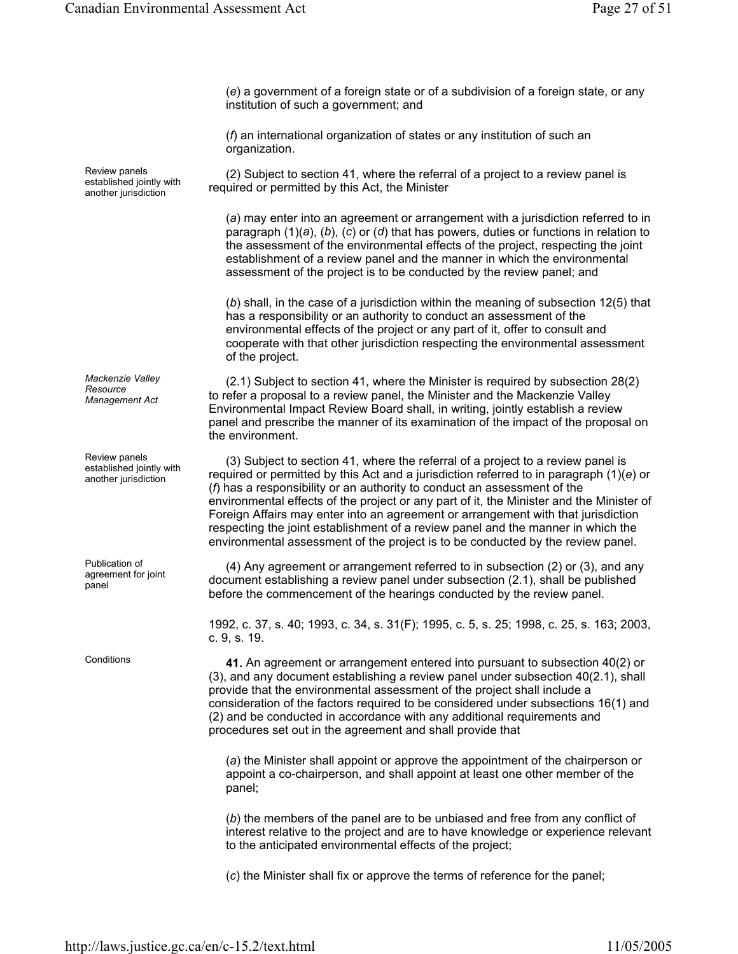(*e*) a government of a foreign state or of a subdivision of a foreign state, or any institution of such a government; and

(*f*) an international organization of states or any institution of such an organization.

(2) Subject to section 41, where the referral of a project to a review panel is required or permitted by this Act, the Minister

(*a*) may enter into an agreement or arrangement with a jurisdiction referred to in paragraph (1)(*a*), (*b*), (*c*) or (*d*) that has powers, duties or functions in relation to the assessment of the environmental effects of the project, respecting the joint establishment of a review panel and the manner in which the environmental assessment of the project is to be conducted by the review panel; and

(*b*) shall, in the case of a jurisdiction within the meaning of subsection 12(5) that has a responsibility or an authority to conduct an assessment of the environmental effects of the project or any part of it, offer to consult and cooperate with that other jurisdiction respecting the environmental assessment of the project.

(2.1) Subject to section 41, where the Minister is required by subsection 28(2) to refer a proposal to a review panel, the Minister and the Mackenzie Valley Environmental Impact Review Board shall, in writing, jointly establish a review panel and prescribe the manner of its examination of the impact of the proposal on the environment.

(3) Subject to section 41, where the referral of a project to a review panel is required or permitted by this Act and a jurisdiction referred to in paragraph (1)(*e*) or (*f*) has a responsibility or an authority to conduct an assessment of the environmental effects of the project or any part of it, the Minister and the Minister of Foreign Affairs may enter into an agreement or arrangement with that jurisdiction respecting the joint establishment of a review panel and the manner in which the environmental assessment of the project is to be conducted by the review panel.

(4) Any agreement or arrangement referred to in subsection (2) or (3), and any document establishing a review panel under subsection (2.1), shall be published before the commencement of the hearings conducted by the review panel.

1992, c. 37, s. 40; 1993, c. 34, s. 31(F); 1995, c. 5, s. 25; 1998, c. 25, s. 163; 2003, c. 9, s. 19.

Conditions **41.** An agreement or arrangement entered into pursuant to subsection 40(2) or (3), and any document establishing a review panel under subsection 40(2.1), shall provide that the environmental assessment of the project shall include a consideration of the factors required to be considered under subsections 16(1) and (2) and be conducted in accordance with any additional requirements and procedures set out in the agreement and shall provide that

> (*a*) the Minister shall appoint or approve the appointment of the chairperson or appoint a co-chairperson, and shall appoint at least one other member of the panel;

(*b*) the members of the panel are to be unbiased and free from any conflict of interest relative to the project and are to have knowledge or experience relevant to the anticipated environmental effects of the project;

(*c*) the Minister shall fix or approve the terms of reference for the panel;

Review panels established jointly with another jurisdiction

*Mackenzie Valley Resource Management Act*

Review panels established jointly with another jurisdiction

Publication of agreement for joint panel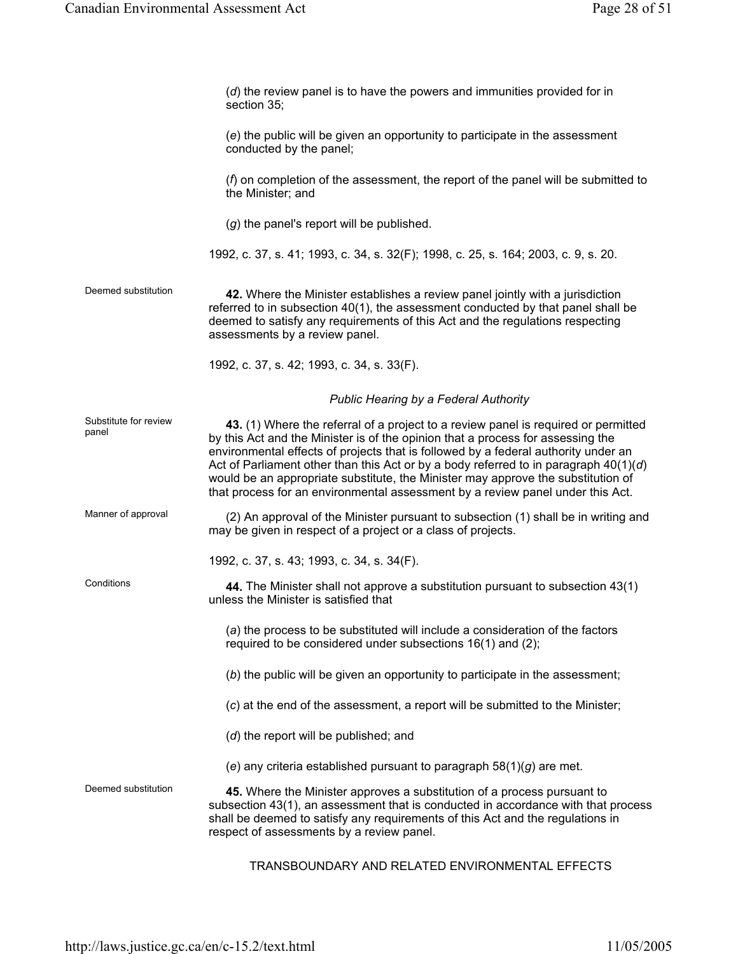|                                | (d) the review panel is to have the powers and immunities provided for in<br>section 35;                                                                                                                                                                                                                                                                                                                                                                                                                                    |
|--------------------------------|-----------------------------------------------------------------------------------------------------------------------------------------------------------------------------------------------------------------------------------------------------------------------------------------------------------------------------------------------------------------------------------------------------------------------------------------------------------------------------------------------------------------------------|
|                                | (e) the public will be given an opportunity to participate in the assessment<br>conducted by the panel;                                                                                                                                                                                                                                                                                                                                                                                                                     |
|                                | (f) on completion of the assessment, the report of the panel will be submitted to<br>the Minister; and                                                                                                                                                                                                                                                                                                                                                                                                                      |
|                                | (g) the panel's report will be published.                                                                                                                                                                                                                                                                                                                                                                                                                                                                                   |
|                                | 1992, c. 37, s. 41; 1993, c. 34, s. 32(F); 1998, c. 25, s. 164; 2003, c. 9, s. 20.                                                                                                                                                                                                                                                                                                                                                                                                                                          |
| Deemed substitution            | 42. Where the Minister establishes a review panel jointly with a jurisdiction<br>referred to in subsection 40(1), the assessment conducted by that panel shall be<br>deemed to satisfy any requirements of this Act and the regulations respecting<br>assessments by a review panel.                                                                                                                                                                                                                                        |
|                                | 1992, c. 37, s. 42; 1993, c. 34, s. 33(F).                                                                                                                                                                                                                                                                                                                                                                                                                                                                                  |
|                                | Public Hearing by a Federal Authority                                                                                                                                                                                                                                                                                                                                                                                                                                                                                       |
| Substitute for review<br>panel | 43. (1) Where the referral of a project to a review panel is required or permitted<br>by this Act and the Minister is of the opinion that a process for assessing the<br>environmental effects of projects that is followed by a federal authority under an<br>Act of Parliament other than this Act or by a body referred to in paragraph $40(1)(d)$<br>would be an appropriate substitute, the Minister may approve the substitution of<br>that process for an environmental assessment by a review panel under this Act. |
| Manner of approval             | (2) An approval of the Minister pursuant to subsection (1) shall be in writing and<br>may be given in respect of a project or a class of projects.                                                                                                                                                                                                                                                                                                                                                                          |
|                                | 1992, c. 37, s. 43; 1993, c. 34, s. 34(F).                                                                                                                                                                                                                                                                                                                                                                                                                                                                                  |
| Conditions                     | 44. The Minister shall not approve a substitution pursuant to subsection 43(1)<br>unless the Minister is satisfied that                                                                                                                                                                                                                                                                                                                                                                                                     |
|                                | (a) the process to be substituted will include a consideration of the factors<br>required to be considered under subsections 16(1) and (2);                                                                                                                                                                                                                                                                                                                                                                                 |
|                                | (b) the public will be given an opportunity to participate in the assessment;                                                                                                                                                                                                                                                                                                                                                                                                                                               |
|                                | (c) at the end of the assessment, a report will be submitted to the Minister;                                                                                                                                                                                                                                                                                                                                                                                                                                               |
|                                | (d) the report will be published; and                                                                                                                                                                                                                                                                                                                                                                                                                                                                                       |
|                                | (e) any criteria established pursuant to paragraph $58(1)(g)$ are met.                                                                                                                                                                                                                                                                                                                                                                                                                                                      |
| Deemed substitution            | 45. Where the Minister approves a substitution of a process pursuant to<br>subsection 43(1), an assessment that is conducted in accordance with that process<br>shall be deemed to satisfy any requirements of this Act and the regulations in<br>respect of assessments by a review panel.                                                                                                                                                                                                                                 |

TRANSBOUNDARY AND RELATED ENVIRONMENTAL EFFECTS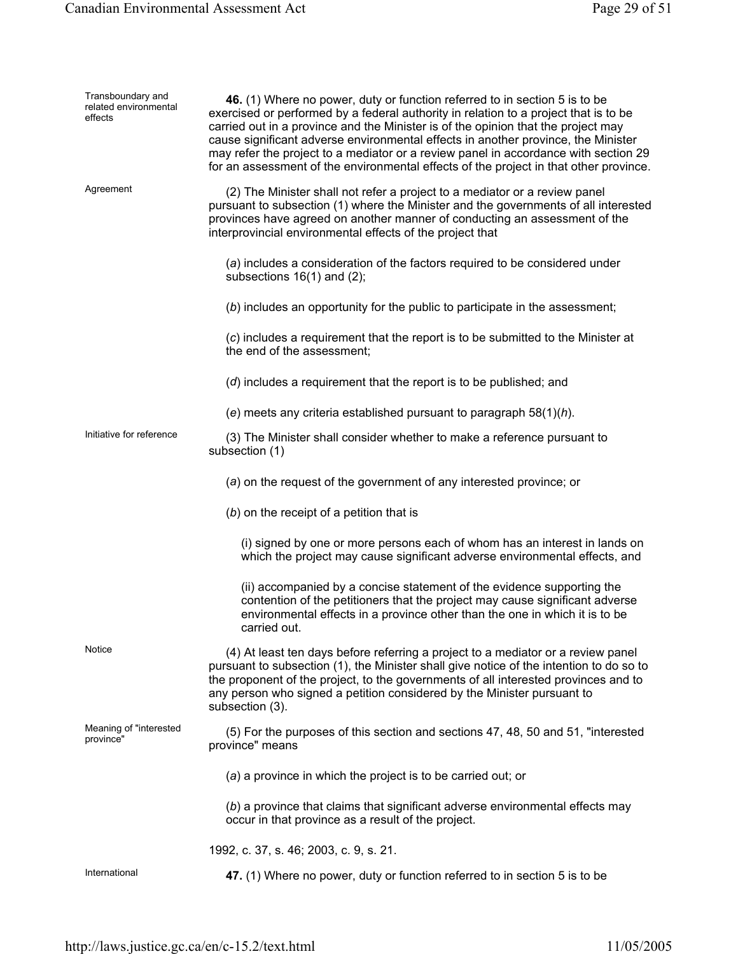| Transboundary and<br>related environmental<br>effects | 46. (1) Where no power, duty or function referred to in section 5 is to be<br>exercised or performed by a federal authority in relation to a project that is to be<br>carried out in a province and the Minister is of the opinion that the project may<br>cause significant adverse environmental effects in another province, the Minister<br>may refer the project to a mediator or a review panel in accordance with section 29<br>for an assessment of the environmental effects of the project in that other province. |
|-------------------------------------------------------|------------------------------------------------------------------------------------------------------------------------------------------------------------------------------------------------------------------------------------------------------------------------------------------------------------------------------------------------------------------------------------------------------------------------------------------------------------------------------------------------------------------------------|
| Agreement                                             | (2) The Minister shall not refer a project to a mediator or a review panel<br>pursuant to subsection (1) where the Minister and the governments of all interested<br>provinces have agreed on another manner of conducting an assessment of the<br>interprovincial environmental effects of the project that                                                                                                                                                                                                                 |
|                                                       | (a) includes a consideration of the factors required to be considered under<br>subsections $16(1)$ and $(2)$ ;                                                                                                                                                                                                                                                                                                                                                                                                               |
|                                                       | (b) includes an opportunity for the public to participate in the assessment;                                                                                                                                                                                                                                                                                                                                                                                                                                                 |
|                                                       | (c) includes a requirement that the report is to be submitted to the Minister at<br>the end of the assessment:                                                                                                                                                                                                                                                                                                                                                                                                               |
|                                                       | (d) includes a requirement that the report is to be published; and                                                                                                                                                                                                                                                                                                                                                                                                                                                           |
|                                                       | (e) meets any criteria established pursuant to paragraph $58(1)(h)$ .                                                                                                                                                                                                                                                                                                                                                                                                                                                        |
| Initiative for reference                              | (3) The Minister shall consider whether to make a reference pursuant to<br>subsection (1)                                                                                                                                                                                                                                                                                                                                                                                                                                    |
|                                                       | (a) on the request of the government of any interested province; or                                                                                                                                                                                                                                                                                                                                                                                                                                                          |
|                                                       | $(b)$ on the receipt of a petition that is                                                                                                                                                                                                                                                                                                                                                                                                                                                                                   |
|                                                       | (i) signed by one or more persons each of whom has an interest in lands on<br>which the project may cause significant adverse environmental effects, and                                                                                                                                                                                                                                                                                                                                                                     |
|                                                       | (ii) accompanied by a concise statement of the evidence supporting the<br>contention of the petitioners that the project may cause significant adverse<br>environmental effects in a province other than the one in which it is to be<br>carried out.                                                                                                                                                                                                                                                                        |
| Notice                                                | (4) At least ten days before referring a project to a mediator or a review panel<br>pursuant to subsection (1), the Minister shall give notice of the intention to do so to<br>the proponent of the project, to the governments of all interested provinces and to<br>any person who signed a petition considered by the Minister pursuant to<br>subsection (3).                                                                                                                                                             |
| Meaning of "interested<br>province"                   | (5) For the purposes of this section and sections 47, 48, 50 and 51, "interested<br>province" means                                                                                                                                                                                                                                                                                                                                                                                                                          |
|                                                       | (a) a province in which the project is to be carried out; or                                                                                                                                                                                                                                                                                                                                                                                                                                                                 |
|                                                       | (b) a province that claims that significant adverse environmental effects may<br>occur in that province as a result of the project.                                                                                                                                                                                                                                                                                                                                                                                          |
|                                                       | 1992, c. 37, s. 46; 2003, c. 9, s. 21.                                                                                                                                                                                                                                                                                                                                                                                                                                                                                       |
| International                                         | 47. (1) Where no power, duty or function referred to in section 5 is to be                                                                                                                                                                                                                                                                                                                                                                                                                                                   |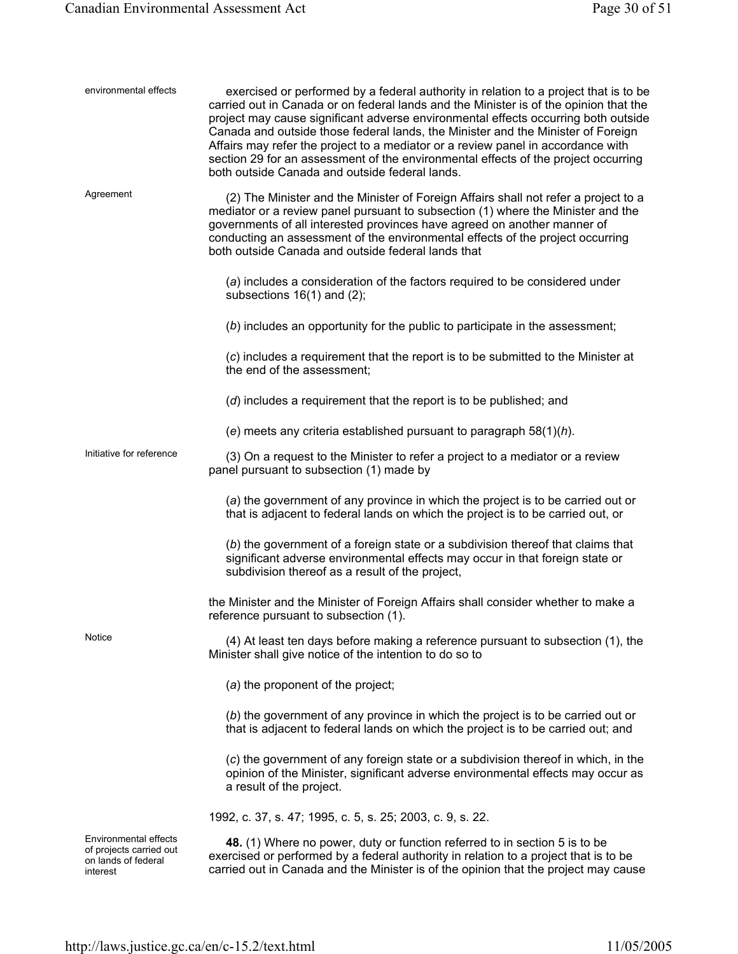| environmental effects                                                               | exercised or performed by a federal authority in relation to a project that is to be<br>carried out in Canada or on federal lands and the Minister is of the opinion that the<br>project may cause significant adverse environmental effects occurring both outside<br>Canada and outside those federal lands, the Minister and the Minister of Foreign<br>Affairs may refer the project to a mediator or a review panel in accordance with<br>section 29 for an assessment of the environmental effects of the project occurring<br>both outside Canada and outside federal lands. |
|-------------------------------------------------------------------------------------|-------------------------------------------------------------------------------------------------------------------------------------------------------------------------------------------------------------------------------------------------------------------------------------------------------------------------------------------------------------------------------------------------------------------------------------------------------------------------------------------------------------------------------------------------------------------------------------|
| Agreement                                                                           | (2) The Minister and the Minister of Foreign Affairs shall not refer a project to a<br>mediator or a review panel pursuant to subsection (1) where the Minister and the<br>governments of all interested provinces have agreed on another manner of<br>conducting an assessment of the environmental effects of the project occurring<br>both outside Canada and outside federal lands that                                                                                                                                                                                         |
|                                                                                     | (a) includes a consideration of the factors required to be considered under<br>subsections 16(1) and (2);                                                                                                                                                                                                                                                                                                                                                                                                                                                                           |
|                                                                                     | (b) includes an opportunity for the public to participate in the assessment;                                                                                                                                                                                                                                                                                                                                                                                                                                                                                                        |
|                                                                                     | (c) includes a requirement that the report is to be submitted to the Minister at<br>the end of the assessment;                                                                                                                                                                                                                                                                                                                                                                                                                                                                      |
|                                                                                     | (d) includes a requirement that the report is to be published; and                                                                                                                                                                                                                                                                                                                                                                                                                                                                                                                  |
|                                                                                     | (e) meets any criteria established pursuant to paragraph $58(1)(h)$ .                                                                                                                                                                                                                                                                                                                                                                                                                                                                                                               |
| Initiative for reference                                                            | (3) On a request to the Minister to refer a project to a mediator or a review<br>panel pursuant to subsection (1) made by                                                                                                                                                                                                                                                                                                                                                                                                                                                           |
|                                                                                     | (a) the government of any province in which the project is to be carried out or<br>that is adjacent to federal lands on which the project is to be carried out, or                                                                                                                                                                                                                                                                                                                                                                                                                  |
|                                                                                     | (b) the government of a foreign state or a subdivision thereof that claims that<br>significant adverse environmental effects may occur in that foreign state or<br>subdivision thereof as a result of the project,                                                                                                                                                                                                                                                                                                                                                                  |
|                                                                                     | the Minister and the Minister of Foreign Affairs shall consider whether to make a<br>reference pursuant to subsection (1).                                                                                                                                                                                                                                                                                                                                                                                                                                                          |
| Notice                                                                              | (4) At least ten days before making a reference pursuant to subsection (1), the<br>Minister shall give notice of the intention to do so to                                                                                                                                                                                                                                                                                                                                                                                                                                          |
|                                                                                     | (a) the proponent of the project;                                                                                                                                                                                                                                                                                                                                                                                                                                                                                                                                                   |
|                                                                                     | (b) the government of any province in which the project is to be carried out or<br>that is adjacent to federal lands on which the project is to be carried out; and                                                                                                                                                                                                                                                                                                                                                                                                                 |
|                                                                                     | (c) the government of any foreign state or a subdivision thereof in which, in the<br>opinion of the Minister, significant adverse environmental effects may occur as<br>a result of the project.                                                                                                                                                                                                                                                                                                                                                                                    |
|                                                                                     | 1992, c. 37, s. 47; 1995, c. 5, s. 25; 2003, c. 9, s. 22.                                                                                                                                                                                                                                                                                                                                                                                                                                                                                                                           |
| Environmental effects<br>of projects carried out<br>on lands of federal<br>interest | 48. (1) Where no power, duty or function referred to in section 5 is to be<br>exercised or performed by a federal authority in relation to a project that is to be<br>carried out in Canada and the Minister is of the opinion that the project may cause                                                                                                                                                                                                                                                                                                                           |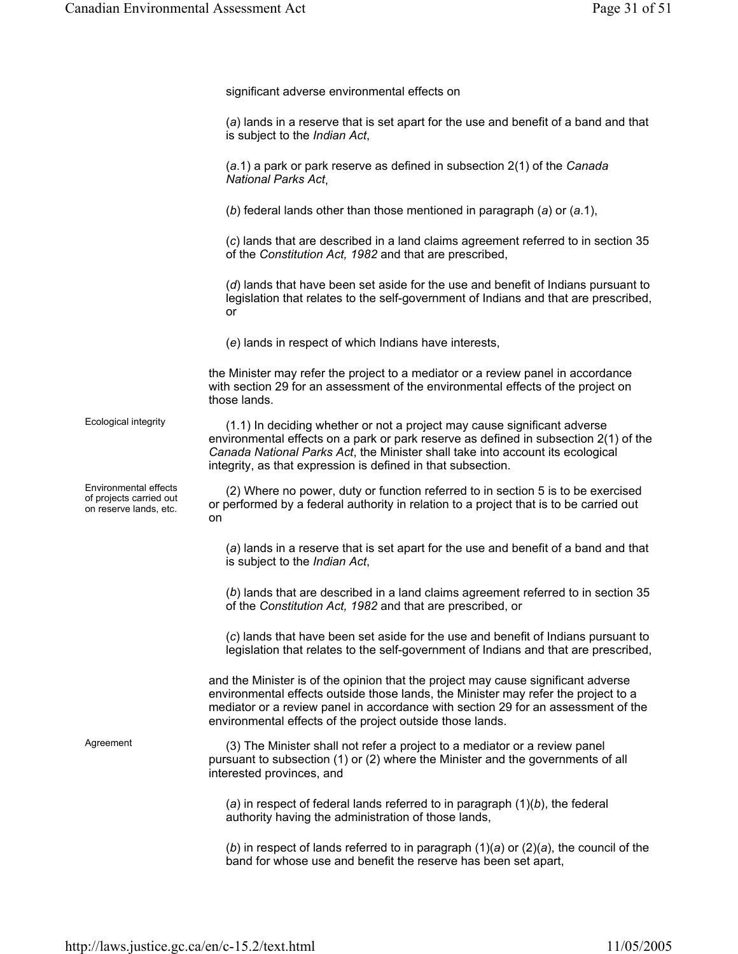|                                                                            | significant adverse environmental effects on                                                                                                                                                                                                                                                                              |
|----------------------------------------------------------------------------|---------------------------------------------------------------------------------------------------------------------------------------------------------------------------------------------------------------------------------------------------------------------------------------------------------------------------|
|                                                                            | (a) lands in a reserve that is set apart for the use and benefit of a band and that<br>is subject to the Indian Act,                                                                                                                                                                                                      |
|                                                                            | $(a.1)$ a park or park reserve as defined in subsection $2(1)$ of the Canada<br>National Parks Act,                                                                                                                                                                                                                       |
|                                                                            | (b) federal lands other than those mentioned in paragraph (a) or $(a.1)$ ,                                                                                                                                                                                                                                                |
|                                                                            | (c) lands that are described in a land claims agreement referred to in section 35<br>of the Constitution Act, 1982 and that are prescribed,                                                                                                                                                                               |
|                                                                            | $(d)$ lands that have been set aside for the use and benefit of Indians pursuant to<br>legislation that relates to the self-government of Indians and that are prescribed,<br>or                                                                                                                                          |
|                                                                            | (e) lands in respect of which Indians have interests,                                                                                                                                                                                                                                                                     |
|                                                                            | the Minister may refer the project to a mediator or a review panel in accordance<br>with section 29 for an assessment of the environmental effects of the project on<br>those lands.                                                                                                                                      |
| Ecological integrity                                                       | (1.1) In deciding whether or not a project may cause significant adverse<br>environmental effects on a park or park reserve as defined in subsection 2(1) of the<br>Canada National Parks Act, the Minister shall take into account its ecological<br>integrity, as that expression is defined in that subsection.        |
| Environmental effects<br>of projects carried out<br>on reserve lands, etc. | (2) Where no power, duty or function referred to in section 5 is to be exercised<br>or performed by a federal authority in relation to a project that is to be carried out<br>on                                                                                                                                          |
|                                                                            | (a) lands in a reserve that is set apart for the use and benefit of a band and that<br>is subject to the Indian Act,                                                                                                                                                                                                      |
|                                                                            | (b) lands that are described in a land claims agreement referred to in section 35<br>of the Constitution Act, 1982 and that are prescribed, or                                                                                                                                                                            |
|                                                                            | (c) lands that have been set aside for the use and benefit of Indians pursuant to<br>legislation that relates to the self-government of Indians and that are prescribed,                                                                                                                                                  |
|                                                                            | and the Minister is of the opinion that the project may cause significant adverse<br>environmental effects outside those lands, the Minister may refer the project to a<br>mediator or a review panel in accordance with section 29 for an assessment of the<br>environmental effects of the project outside those lands. |
| Agreement                                                                  | (3) The Minister shall not refer a project to a mediator or a review panel<br>pursuant to subsection (1) or (2) where the Minister and the governments of all<br>interested provinces, and                                                                                                                                |
|                                                                            | (a) in respect of federal lands referred to in paragraph $(1)(b)$ , the federal<br>authority having the administration of those lands,                                                                                                                                                                                    |
|                                                                            | (b) in respect of lands referred to in paragraph $(1)(a)$ or $(2)(a)$ , the council of the<br>band for whose use and benefit the reserve has been set apart,                                                                                                                                                              |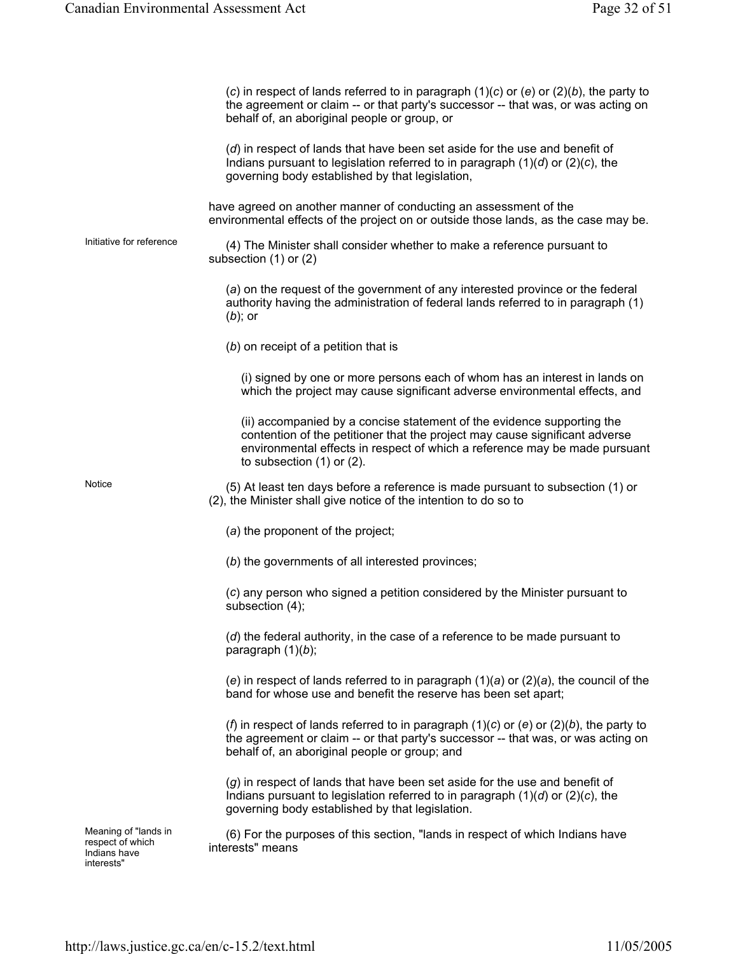|                                                                        | (c) in respect of lands referred to in paragraph $(1)(c)$ or $(e)$ or $(2)(b)$ , the party to<br>the agreement or claim -- or that party's successor -- that was, or was acting on<br>behalf of, an aboriginal people or group, or                                    |
|------------------------------------------------------------------------|-----------------------------------------------------------------------------------------------------------------------------------------------------------------------------------------------------------------------------------------------------------------------|
|                                                                        | (d) in respect of lands that have been set aside for the use and benefit of<br>Indians pursuant to legislation referred to in paragraph $(1)(d)$ or $(2)(c)$ , the<br>governing body established by that legislation,                                                 |
|                                                                        | have agreed on another manner of conducting an assessment of the<br>environmental effects of the project on or outside those lands, as the case may be.                                                                                                               |
| Initiative for reference                                               | (4) The Minister shall consider whether to make a reference pursuant to<br>subsection $(1)$ or $(2)$                                                                                                                                                                  |
|                                                                        | (a) on the request of the government of any interested province or the federal<br>authority having the administration of federal lands referred to in paragraph (1)<br>$(b)$ ; or                                                                                     |
|                                                                        | $(b)$ on receipt of a petition that is                                                                                                                                                                                                                                |
|                                                                        | (i) signed by one or more persons each of whom has an interest in lands on<br>which the project may cause significant adverse environmental effects, and                                                                                                              |
|                                                                        | (ii) accompanied by a concise statement of the evidence supporting the<br>contention of the petitioner that the project may cause significant adverse<br>environmental effects in respect of which a reference may be made pursuant<br>to subsection $(1)$ or $(2)$ . |
| Notice                                                                 | (5) At least ten days before a reference is made pursuant to subsection (1) or<br>(2), the Minister shall give notice of the intention to do so to                                                                                                                    |
|                                                                        | (a) the proponent of the project;                                                                                                                                                                                                                                     |
|                                                                        | (b) the governments of all interested provinces;                                                                                                                                                                                                                      |
|                                                                        | (c) any person who signed a petition considered by the Minister pursuant to<br>subsection (4);                                                                                                                                                                        |
|                                                                        | (d) the federal authority, in the case of a reference to be made pursuant to<br>paragraph $(1)(b)$ ;                                                                                                                                                                  |
|                                                                        | (e) in respect of lands referred to in paragraph $(1)(a)$ or $(2)(a)$ , the council of the<br>band for whose use and benefit the reserve has been set apart;                                                                                                          |
|                                                                        | (f) in respect of lands referred to in paragraph $(1)(c)$ or $(e)$ or $(2)(b)$ , the party to<br>the agreement or claim -- or that party's successor -- that was, or was acting on<br>behalf of, an aboriginal people or group; and                                   |
|                                                                        | (g) in respect of lands that have been set aside for the use and benefit of<br>Indians pursuant to legislation referred to in paragraph $(1)(d)$ or $(2)(c)$ , the<br>governing body established by that legislation.                                                 |
| Meaning of "lands in<br>respect of which<br>Indians have<br>interests" | (6) For the purposes of this section, "lands in respect of which Indians have<br>interests" means                                                                                                                                                                     |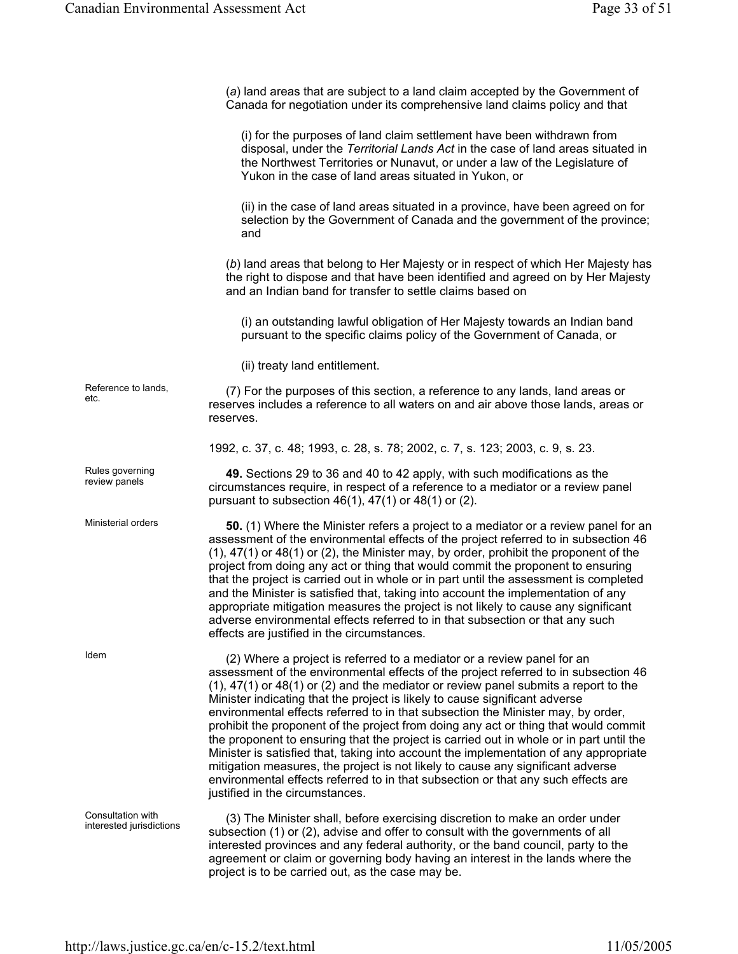(*a*) land areas that are subject to a land claim accepted by the Government of Canada for negotiation under its comprehensive land claims policy and that

(i) for the purposes of land claim settlement have been withdrawn from disposal, under the *Territorial Lands Act* in the case of land areas situated in the Northwest Territories or Nunavut, or under a law of the Legislature of Yukon in the case of land areas situated in Yukon, or

(ii) in the case of land areas situated in a province, have been agreed on for selection by the Government of Canada and the government of the province; and

(*b*) land areas that belong to Her Majesty or in respect of which Her Majesty has the right to dispose and that have been identified and agreed on by Her Majesty and an Indian band for transfer to settle claims based on

(i) an outstanding lawful obligation of Her Majesty towards an Indian band pursuant to the specific claims policy of the Government of Canada, or

(ii) treaty land entitlement.

Reference to lands, (7) For the purposes of this section, a reference to any lands, land areas or etc. reserves includes a reference to all waters on and air above those lands, areas or reserves.

1992, c. 37, c. 48; 1993, c. 28, s. 78; 2002, c. 7, s. 123; 2003, c. 9, s. 23.

Rules governing **49.** Sections 29 to 36 and 40 to 42 apply, with such modifications as the review panels circumstances require, in respect of a reference to a mediator or a review panel pursuant to subsection  $46(1)$ ,  $47(1)$  or  $48(1)$  or  $(2)$ .

Ministerial orders **50.** (1) Where the Minister refers a project to a mediator or a review panel for an assessment of the environmental effects of the project referred to in subsection 46 (1), 47(1) or 48(1) or (2), the Minister may, by order, prohibit the proponent of the project from doing any act or thing that would commit the proponent to ensuring that the project is carried out in whole or in part until the assessment is completed and the Minister is satisfied that, taking into account the implementation of any appropriate mitigation measures the project is not likely to cause any significant adverse environmental effects referred to in that subsection or that any such effects are justified in the circumstances.

Idem (2) Where a project is referred to a mediator or a review panel for an assessment of the environmental effects of the project referred to in subsection 46 (1), 47(1) or 48(1) or (2) and the mediator or review panel submits a report to the Minister indicating that the project is likely to cause significant adverse environmental effects referred to in that subsection the Minister may, by order, prohibit the proponent of the project from doing any act or thing that would commit the proponent to ensuring that the project is carried out in whole or in part until the Minister is satisfied that, taking into account the implementation of any appropriate mitigation measures, the project is not likely to cause any significant adverse environmental effects referred to in that subsection or that any such effects are justified in the circumstances.

Consultation with<br>interested jurisdictions

Reference to lands,

Rules governing

(3) The Minister shall, before exercising discretion to make an order under subsection (1) or (2), advise and offer to consult with the governments of all interested provinces and any federal authority, or the band council, party to the agreement or claim or governing body having an interest in the lands where the project is to be carried out, as the case may be.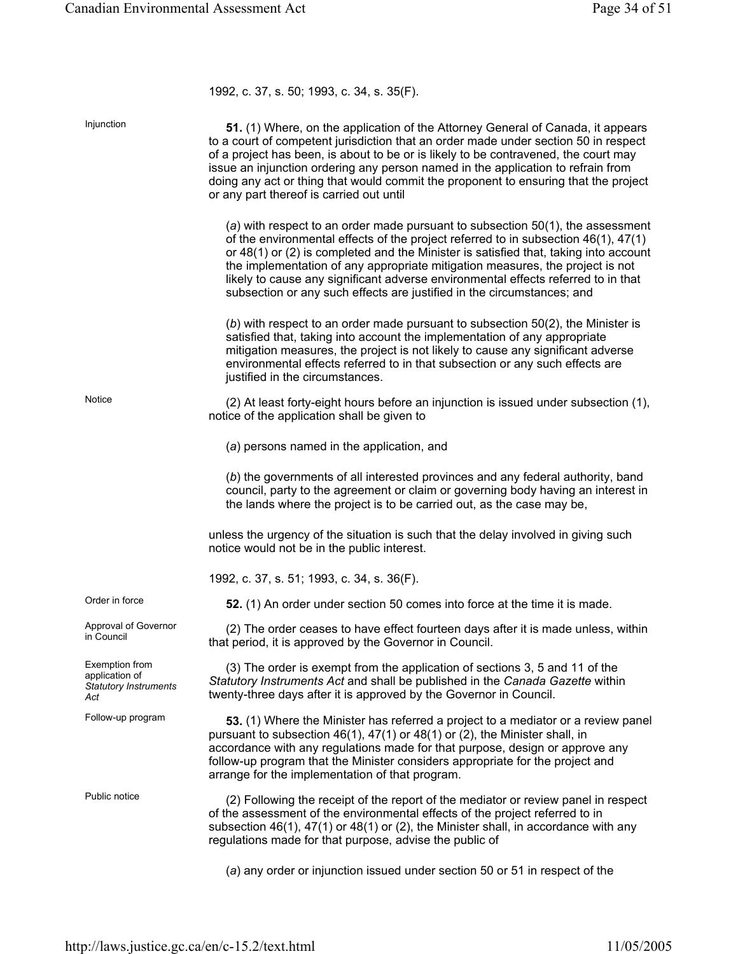1992, c. 37, s. 50; 1993, c. 34, s. 35(F).

| Injunction                                                              | 51. (1) Where, on the application of the Attorney General of Canada, it appears<br>to a court of competent jurisdiction that an order made under section 50 in respect<br>of a project has been, is about to be or is likely to be contravened, the court may<br>issue an injunction ordering any person named in the application to refrain from<br>doing any act or thing that would commit the proponent to ensuring that the project<br>or any part thereof is carried out until                            |
|-------------------------------------------------------------------------|-----------------------------------------------------------------------------------------------------------------------------------------------------------------------------------------------------------------------------------------------------------------------------------------------------------------------------------------------------------------------------------------------------------------------------------------------------------------------------------------------------------------|
|                                                                         | (a) with respect to an order made pursuant to subsection $50(1)$ , the assessment<br>of the environmental effects of the project referred to in subsection 46(1), 47(1)<br>or 48(1) or (2) is completed and the Minister is satisfied that, taking into account<br>the implementation of any appropriate mitigation measures, the project is not<br>likely to cause any significant adverse environmental effects referred to in that<br>subsection or any such effects are justified in the circumstances; and |
|                                                                         | $(b)$ with respect to an order made pursuant to subsection $50(2)$ , the Minister is<br>satisfied that, taking into account the implementation of any appropriate<br>mitigation measures, the project is not likely to cause any significant adverse<br>environmental effects referred to in that subsection or any such effects are<br>justified in the circumstances.                                                                                                                                         |
| Notice                                                                  | (2) At least forty-eight hours before an injunction is issued under subsection (1),<br>notice of the application shall be given to                                                                                                                                                                                                                                                                                                                                                                              |
|                                                                         | (a) persons named in the application, and                                                                                                                                                                                                                                                                                                                                                                                                                                                                       |
|                                                                         | (b) the governments of all interested provinces and any federal authority, band<br>council, party to the agreement or claim or governing body having an interest in<br>the lands where the project is to be carried out, as the case may be,                                                                                                                                                                                                                                                                    |
|                                                                         | unless the urgency of the situation is such that the delay involved in giving such<br>notice would not be in the public interest.                                                                                                                                                                                                                                                                                                                                                                               |
|                                                                         | 1992, c. 37, s. 51; 1993, c. 34, s. 36(F).                                                                                                                                                                                                                                                                                                                                                                                                                                                                      |
| Order in force                                                          | 52. (1) An order under section 50 comes into force at the time it is made.                                                                                                                                                                                                                                                                                                                                                                                                                                      |
| Approval of Governor<br>in Council                                      | (2) The order ceases to have effect fourteen days after it is made unless, within<br>that period, it is approved by the Governor in Council.                                                                                                                                                                                                                                                                                                                                                                    |
| Exemption from<br>application of<br><b>Statutory Instruments</b><br>Act | (3) The order is exempt from the application of sections 3, 5 and 11 of the<br>Statutory Instruments Act and shall be published in the Canada Gazette within<br>twenty-three days after it is approved by the Governor in Council.                                                                                                                                                                                                                                                                              |
| Follow-up program                                                       | 53. (1) Where the Minister has referred a project to a mediator or a review panel<br>pursuant to subsection $46(1)$ , $47(1)$ or $48(1)$ or $(2)$ , the Minister shall, in<br>accordance with any regulations made for that purpose, design or approve any<br>follow-up program that the Minister considers appropriate for the project and<br>arrange for the implementation of that program.                                                                                                                  |
| Public notice                                                           | (2) Following the receipt of the report of the mediator or review panel in respect<br>of the assessment of the environmental effects of the project referred to in<br>subsection $46(1)$ , $47(1)$ or $48(1)$ or (2), the Minister shall, in accordance with any<br>regulations made for that purpose, advise the public of                                                                                                                                                                                     |
|                                                                         | (a) any order or injunction issued under section 50 or 51 in respect of the                                                                                                                                                                                                                                                                                                                                                                                                                                     |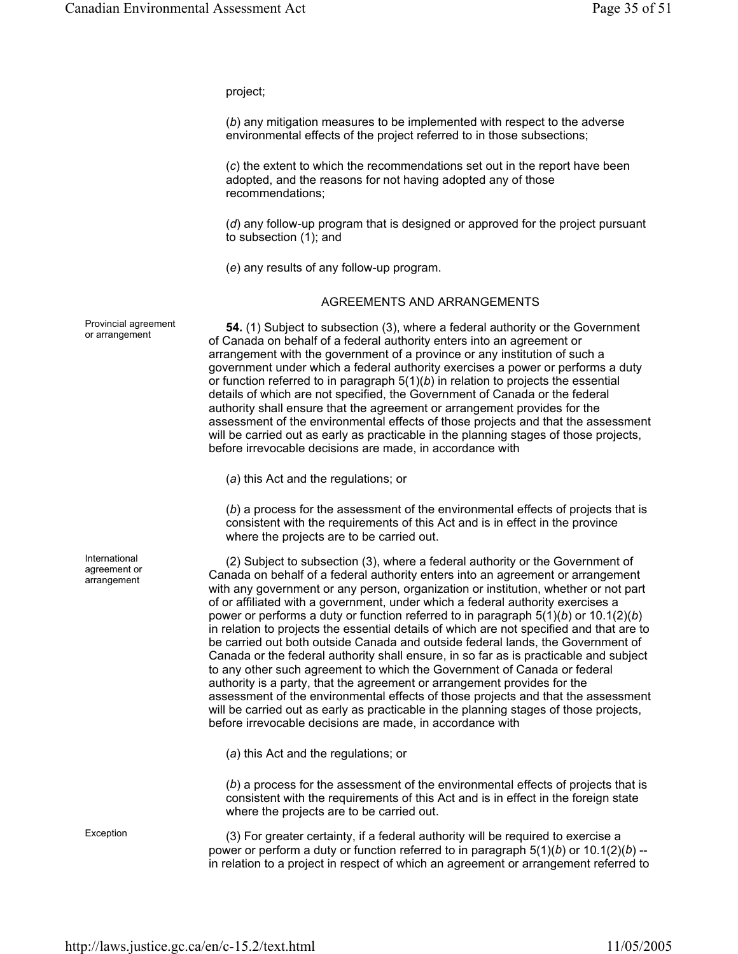project;

(*b*) any mitigation measures to be implemented with respect to the adverse environmental effects of the project referred to in those subsections;

(*c*) the extent to which the recommendations set out in the report have been adopted, and the reasons for not having adopted any of those recommendations;

(*d*) any follow-up program that is designed or approved for the project pursuant to subsection (1); and

(*e*) any results of any follow-up program.

#### AGREEMENTS AND ARRANGEMENTS

or arrangement **54.** (1) Subject to subsection (3), where a federal authority or the Government of Canada on behalf of a federal authority enters into an agreement or arrangement with the government of a province or any institution of such a government under which a federal authority exercises a power or performs a duty or function referred to in paragraph 5(1)(*b*) in relation to projects the essential details of which are not specified, the Government of Canada or the federal authority shall ensure that the agreement or arrangement provides for the assessment of the environmental effects of those projects and that the assessment will be carried out as early as practicable in the planning stages of those projects, before irrevocable decisions are made, in accordance with

(*a*) this Act and the regulations; or

(*b*) a process for the assessment of the environmental effects of projects that is consistent with the requirements of this Act and is in effect in the province where the projects are to be carried out.

(2) Subject to subsection (3), where a federal authority or the Government of Canada on behalf of a federal authority enters into an agreement or arrangement with any government or any person, organization or institution, whether or not part of or affiliated with a government, under which a federal authority exercises a power or performs a duty or function referred to in paragraph 5(1)(*b*) or 10.1(2)(*b*) in relation to projects the essential details of which are not specified and that are to be carried out both outside Canada and outside federal lands, the Government of Canada or the federal authority shall ensure, in so far as is practicable and subject to any other such agreement to which the Government of Canada or federal authority is a party, that the agreement or arrangement provides for the assessment of the environmental effects of those projects and that the assessment will be carried out as early as practicable in the planning stages of those projects, before irrevocable decisions are made, in accordance with

(*a*) this Act and the regulations; or

(*b*) a process for the assessment of the environmental effects of projects that is consistent with the requirements of this Act and is in effect in the foreign state where the projects are to be carried out.

Exception (3) For greater certainty, if a federal authority will be required to exercise a power or perform a duty or function referred to in paragraph 5(1)(*b*) or 10.1(2)(*b*) - in relation to a project in respect of which an agreement or arrangement referred to

Provincial agreement

International agreement or arrangement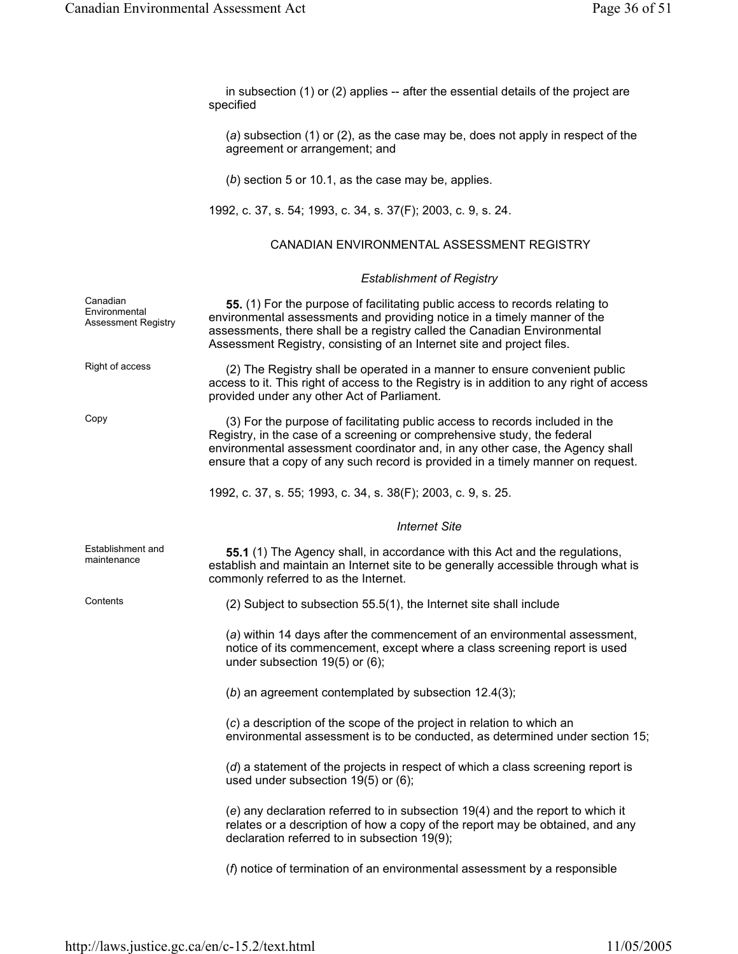| in subsection $(1)$ or $(2)$ applies -- after the essential details of the project are |  |
|----------------------------------------------------------------------------------------|--|
| specified                                                                              |  |

(*a*) subsection (1) or (2), as the case may be, does not apply in respect of the agreement or arrangement; and

(*b*) section 5 or 10.1, as the case may be, applies.

1992, c. 37, s. 54; 1993, c. 34, s. 37(F); 2003, c. 9, s. 24.

#### CANADIAN ENVIRONMENTAL ASSESSMENT REGISTRY

#### *Establishment of Registry*

| Canadian<br>Environmental<br><b>Assessment Registry</b> | 55. (1) For the purpose of facilitating public access to records relating to<br>environmental assessments and providing notice in a timely manner of the<br>assessments, there shall be a registry called the Canadian Environmental<br>Assessment Registry, consisting of an Internet site and project files.                |
|---------------------------------------------------------|-------------------------------------------------------------------------------------------------------------------------------------------------------------------------------------------------------------------------------------------------------------------------------------------------------------------------------|
| Right of access                                         | (2) The Registry shall be operated in a manner to ensure convenient public<br>access to it. This right of access to the Registry is in addition to any right of access<br>provided under any other Act of Parliament.                                                                                                         |
| Copy                                                    | (3) For the purpose of facilitating public access to records included in the<br>Registry, in the case of a screening or comprehensive study, the federal<br>environmental assessment coordinator and, in any other case, the Agency shall<br>ensure that a copy of any such record is provided in a timely manner on request. |
|                                                         | 1992, c. 37, s. 55; 1993, c. 34, s. 38(F); 2003, c. 9, s. 25.                                                                                                                                                                                                                                                                 |
|                                                         | <b>Internet Site</b>                                                                                                                                                                                                                                                                                                          |
| Establishment and<br>maintenance                        | <b>55.1</b> (1) The Agency shall, in accordance with this Act and the regulations,<br>establish and maintain an Internet site to be generally accessible through what is<br>commonly referred to as the Internet.                                                                                                             |
| Contents                                                | (2) Subject to subsection 55.5(1), the Internet site shall include                                                                                                                                                                                                                                                            |
|                                                         | (a) within 14 days after the commencement of an environmental assessment,<br>notice of its commencement, except where a class screening report is used<br>under subsection 19(5) or (6);                                                                                                                                      |
|                                                         | $(b)$ an agreement contemplated by subsection 12.4(3);                                                                                                                                                                                                                                                                        |
|                                                         | (c) a description of the scope of the project in relation to which an<br>environmental assessment is to be conducted, as determined under section 15;                                                                                                                                                                         |
|                                                         | (d) a statement of the projects in respect of which a class screening report is<br>used under subsection 19(5) or (6);                                                                                                                                                                                                        |
|                                                         | (e) any declaration referred to in subsection 19(4) and the report to which it<br>relates or a description of how a copy of the report may be obtained, and any<br>declaration referred to in subsection 19(9);                                                                                                               |
|                                                         | $(f)$ notice of termination of an environmental assessment by a responsible                                                                                                                                                                                                                                                   |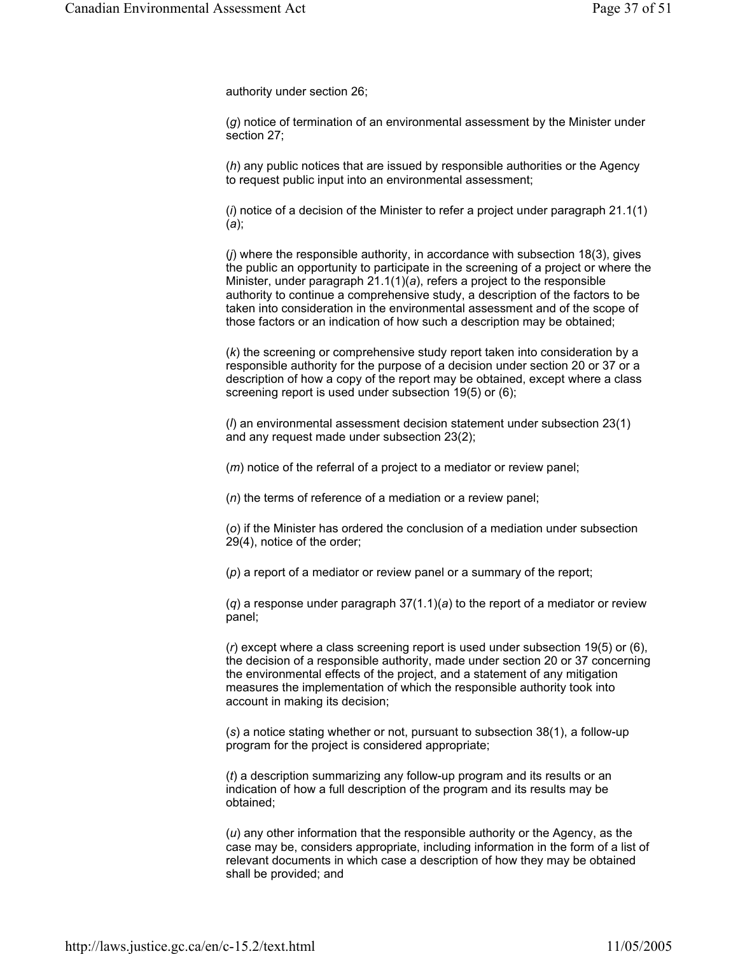authority under section 26;

(*g*) notice of termination of an environmental assessment by the Minister under section 27;

(*h*) any public notices that are issued by responsible authorities or the Agency to request public input into an environmental assessment;

(*i*) notice of a decision of the Minister to refer a project under paragraph 21.1(1) (*a*);

(*j*) where the responsible authority, in accordance with subsection 18(3), gives the public an opportunity to participate in the screening of a project or where the Minister, under paragraph 21.1(1)(*a*), refers a project to the responsible authority to continue a comprehensive study, a description of the factors to be taken into consideration in the environmental assessment and of the scope of those factors or an indication of how such a description may be obtained;

(*k*) the screening or comprehensive study report taken into consideration by a responsible authority for the purpose of a decision under section 20 or 37 or a description of how a copy of the report may be obtained, except where a class screening report is used under subsection 19(5) or (6);

(*l*) an environmental assessment decision statement under subsection 23(1) and any request made under subsection 23(2);

(*m*) notice of the referral of a project to a mediator or review panel;

(*n*) the terms of reference of a mediation or a review panel;

(*o*) if the Minister has ordered the conclusion of a mediation under subsection 29(4), notice of the order;

(*p*) a report of a mediator or review panel or a summary of the report;

(*q*) a response under paragraph 37(1.1)(*a*) to the report of a mediator or review panel;

(*r*) except where a class screening report is used under subsection 19(5) or (6), the decision of a responsible authority, made under section 20 or 37 concerning the environmental effects of the project, and a statement of any mitigation measures the implementation of which the responsible authority took into account in making its decision;

(*s*) a notice stating whether or not, pursuant to subsection 38(1), a follow-up program for the project is considered appropriate;

(*t*) a description summarizing any follow-up program and its results or an indication of how a full description of the program and its results may be obtained;

(*u*) any other information that the responsible authority or the Agency, as the case may be, considers appropriate, including information in the form of a list of relevant documents in which case a description of how they may be obtained shall be provided; and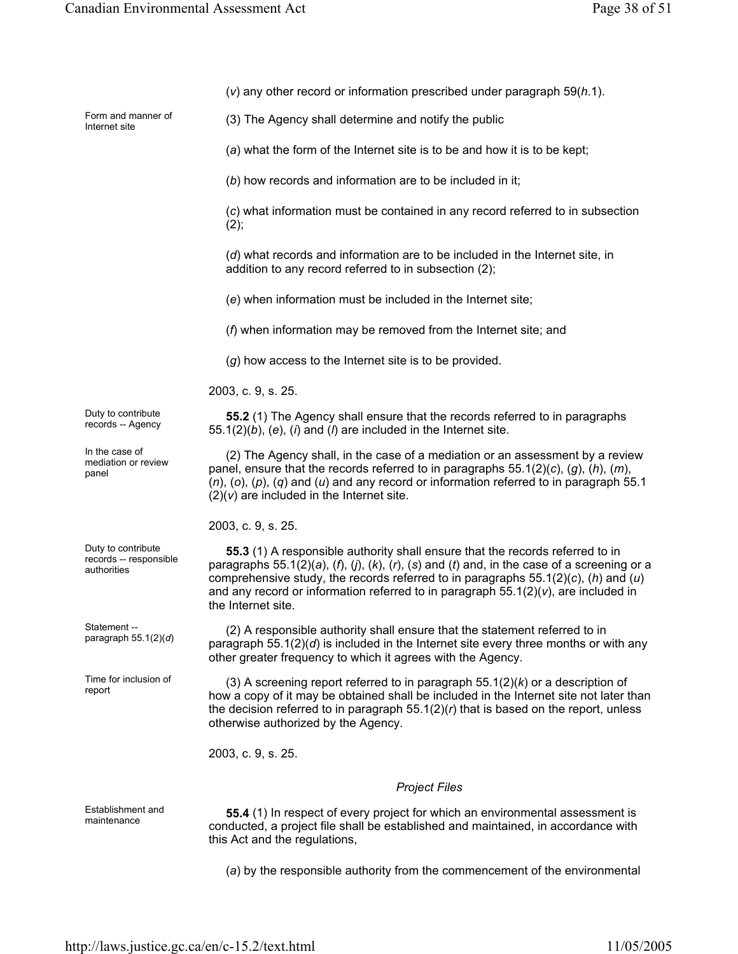|                                                             | $(v)$ any other record or information prescribed under paragraph 59( $h.1$ ).                                                                                                                                                                                                                                                                                                        |
|-------------------------------------------------------------|--------------------------------------------------------------------------------------------------------------------------------------------------------------------------------------------------------------------------------------------------------------------------------------------------------------------------------------------------------------------------------------|
| Form and manner of<br>Internet site                         | (3) The Agency shall determine and notify the public                                                                                                                                                                                                                                                                                                                                 |
|                                                             | (a) what the form of the Internet site is to be and how it is to be kept;                                                                                                                                                                                                                                                                                                            |
|                                                             | (b) how records and information are to be included in it;                                                                                                                                                                                                                                                                                                                            |
|                                                             | (c) what information must be contained in any record referred to in subsection<br>(2),                                                                                                                                                                                                                                                                                               |
|                                                             | (d) what records and information are to be included in the Internet site, in<br>addition to any record referred to in subsection (2);                                                                                                                                                                                                                                                |
|                                                             | (e) when information must be included in the Internet site;                                                                                                                                                                                                                                                                                                                          |
|                                                             | $(f)$ when information may be removed from the Internet site; and                                                                                                                                                                                                                                                                                                                    |
|                                                             | $(g)$ how access to the Internet site is to be provided.                                                                                                                                                                                                                                                                                                                             |
|                                                             | 2003, c. 9, s. 25.                                                                                                                                                                                                                                                                                                                                                                   |
| Duty to contribute<br>records -- Agency                     | 55.2 (1) The Agency shall ensure that the records referred to in paragraphs<br>$55.1(2)(b)$ , (e), (i) and (l) are included in the Internet site.                                                                                                                                                                                                                                    |
| In the case of<br>mediation or review<br>panel              | (2) The Agency shall, in the case of a mediation or an assessment by a review<br>panel, ensure that the records referred to in paragraphs $55.1(2)(c)$ , $(g)$ , $(h)$ , $(m)$ ,<br>$(n)$ , (o), (p), (q) and (u) and any record or information referred to in paragraph 55.1<br>$(2)(v)$ are included in the Internet site.                                                         |
|                                                             | 2003, c. 9, s. 25.                                                                                                                                                                                                                                                                                                                                                                   |
| Duty to contribute<br>records -- responsible<br>authorities | 55.3 (1) A responsible authority shall ensure that the records referred to in<br>paragraphs 55.1(2)(a), (f), (j), (k), (r), (s) and (t) and, in the case of a screening or a<br>comprehensive study, the records referred to in paragraphs $55.1(2)(c)$ , (h) and (u)<br>and any record or information referred to in paragraph $55.1(2)(v)$ , are included in<br>the Internet site. |
| Statement --<br>paragraph $55.1(2)(d)$                      | (2) A responsible authority shall ensure that the statement referred to in<br>paragraph $55.1(2)(d)$ is included in the Internet site every three months or with any<br>other greater frequency to which it agrees with the Agency.                                                                                                                                                  |
| Time for inclusion of<br>report                             | (3) A screening report referred to in paragraph $55.1(2)(k)$ or a description of<br>how a copy of it may be obtained shall be included in the Internet site not later than<br>the decision referred to in paragraph $55.1(2)(r)$ that is based on the report, unless<br>otherwise authorized by the Agency.                                                                          |
|                                                             | 2003, c. 9, s. 25.                                                                                                                                                                                                                                                                                                                                                                   |
|                                                             | <b>Project Files</b>                                                                                                                                                                                                                                                                                                                                                                 |
| Establishment and<br>maintenance                            | 55.4 (1) In respect of every project for which an environmental assessment is<br>conducted, a project file shall be established and maintained, in accordance with                                                                                                                                                                                                                   |

(*a*) by the responsible authority from the commencement of the environmental

this Act and the regulations,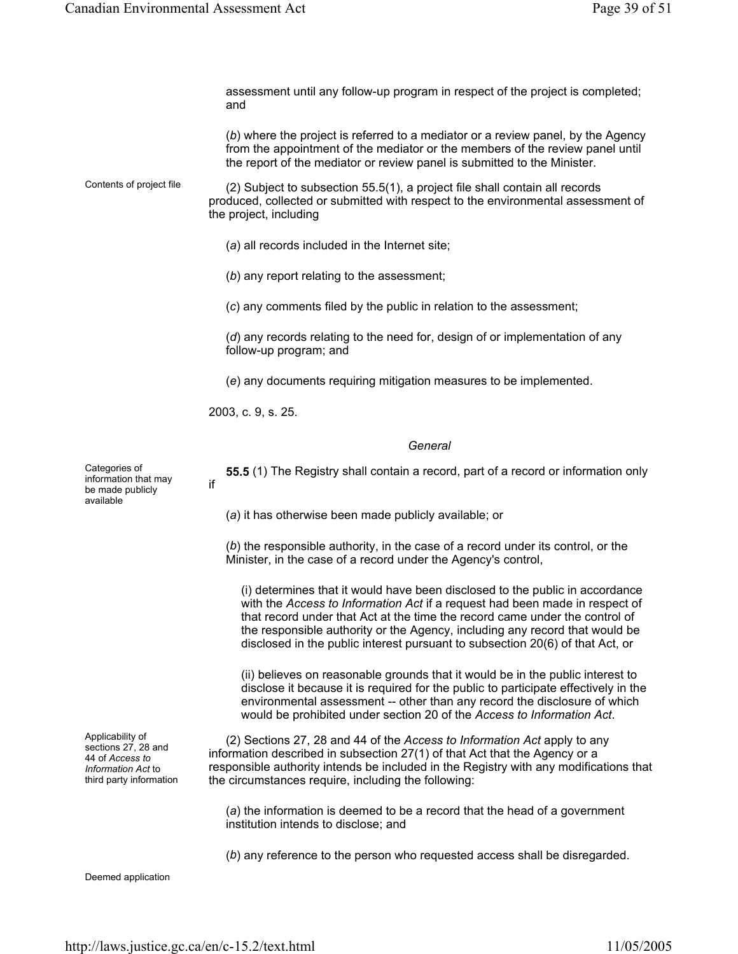|                                                                                                             | assessment until any follow-up program in respect of the project is completed;<br>and                                                                                                                                                                                                                                                                                                                      |
|-------------------------------------------------------------------------------------------------------------|------------------------------------------------------------------------------------------------------------------------------------------------------------------------------------------------------------------------------------------------------------------------------------------------------------------------------------------------------------------------------------------------------------|
|                                                                                                             | (b) where the project is referred to a mediator or a review panel, by the Agency<br>from the appointment of the mediator or the members of the review panel until<br>the report of the mediator or review panel is submitted to the Minister.                                                                                                                                                              |
| Contents of project file                                                                                    | (2) Subject to subsection 55.5(1), a project file shall contain all records<br>produced, collected or submitted with respect to the environmental assessment of<br>the project, including                                                                                                                                                                                                                  |
|                                                                                                             | (a) all records included in the Internet site;                                                                                                                                                                                                                                                                                                                                                             |
|                                                                                                             | (b) any report relating to the assessment;                                                                                                                                                                                                                                                                                                                                                                 |
|                                                                                                             | (c) any comments filed by the public in relation to the assessment;                                                                                                                                                                                                                                                                                                                                        |
|                                                                                                             | (d) any records relating to the need for, design of or implementation of any<br>follow-up program; and                                                                                                                                                                                                                                                                                                     |
|                                                                                                             | (e) any documents requiring mitigation measures to be implemented.                                                                                                                                                                                                                                                                                                                                         |
|                                                                                                             | 2003, c. 9, s. 25.                                                                                                                                                                                                                                                                                                                                                                                         |
|                                                                                                             | General                                                                                                                                                                                                                                                                                                                                                                                                    |
| Categories of<br>information that may<br>be made publicly<br>available                                      | 55.5 (1) The Registry shall contain a record, part of a record or information only<br>if                                                                                                                                                                                                                                                                                                                   |
|                                                                                                             | (a) it has otherwise been made publicly available; or                                                                                                                                                                                                                                                                                                                                                      |
|                                                                                                             | (b) the responsible authority, in the case of a record under its control, or the<br>Minister, in the case of a record under the Agency's control,                                                                                                                                                                                                                                                          |
|                                                                                                             | (i) determines that it would have been disclosed to the public in accordance<br>with the Access to Information Act if a request had been made in respect of<br>that record under that Act at the time the record came under the control of<br>the responsible authority or the Agency, including any record that would be<br>disclosed in the public interest pursuant to subsection 20(6) of that Act, or |
|                                                                                                             | (ii) believes on reasonable grounds that it would be in the public interest to<br>disclose it because it is required for the public to participate effectively in the<br>environmental assessment -- other than any record the disclosure of which<br>would be prohibited under section 20 of the Access to Information Act.                                                                               |
| Applicability of<br>sections 27, 28 and<br>44 of Access to<br>Information Act to<br>third party information | (2) Sections 27, 28 and 44 of the Access to Information Act apply to any<br>information described in subsection 27(1) of that Act that the Agency or a<br>responsible authority intends be included in the Registry with any modifications that<br>the circumstances require, including the following:                                                                                                     |
|                                                                                                             | (a) the information is deemed to be a record that the head of a government<br>institution intends to disclose; and                                                                                                                                                                                                                                                                                         |
|                                                                                                             | (b) any reference to the person who requested access shall be disregarded.                                                                                                                                                                                                                                                                                                                                 |
| Deemed application                                                                                          |                                                                                                                                                                                                                                                                                                                                                                                                            |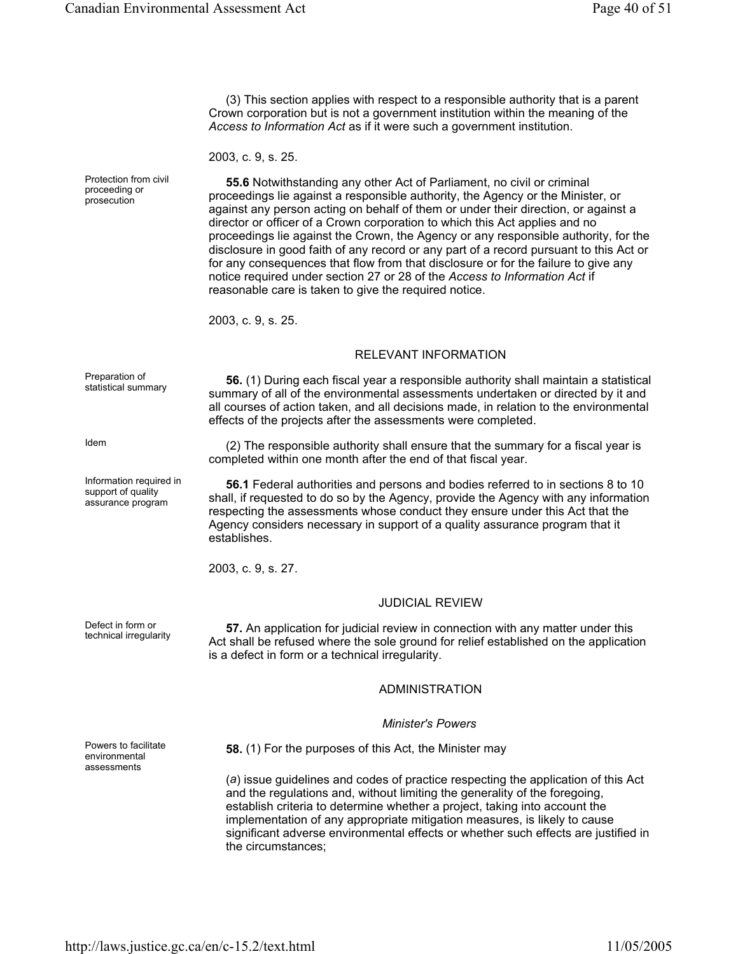(3) This section applies with respect to a responsible authority that is a parent Crown corporation but is not a government institution within the meaning of the *Access to Information Act* as if it were such a government institution.

2003, c. 9, s. 25.

**55.6** Notwithstanding any other Act of Parliament, no civil or criminal proceedings lie against a responsible authority, the Agency or the Minister, or against any person acting on behalf of them or under their direction, or against a director or officer of a Crown corporation to which this Act applies and no proceedings lie against the Crown, the Agency or any responsible authority, for the disclosure in good faith of any record or any part of a record pursuant to this Act or for any consequences that flow from that disclosure or for the failure to give any notice required under section 27 or 28 of the *Access to Information Act* if reasonable care is taken to give the required notice.

2003, c. 9, s. 25.

#### RELEVANT INFORMATION

Preparation of

Information required in support of quality assurance program

Protection from civil proceeding or prosecution

statistical summary **56.** (1) During each fiscal year a responsible authority shall maintain a statistical summary of all of the environmental assessments undertaken or directed by it and all courses of action taken, and all decisions made, in relation to the environmental effects of the projects after the assessments were completed.

Idem (2) The responsible authority shall ensure that the summary for a fiscal year is completed within one month after the end of that fiscal year.

> **56.1** Federal authorities and persons and bodies referred to in sections 8 to 10 shall, if requested to do so by the Agency, provide the Agency with any information respecting the assessments whose conduct they ensure under this Act that the Agency considers necessary in support of a quality assurance program that it establishes.

2003, c. 9, s. 27.

#### JUDICIAL REVIEW

Detect in form or<br>technical irregularity **57.** An application for judicial review in connection with any matter under this<br>Act oball be refused where the selectional for religionshiphed on the embiodiation Act shall be refused where the sole ground for relief established on the application is a defect in form or a technical irregularity.

#### ADMINISTRATION

#### *Minister's Powers*

**58.** (1) For the purposes of this Act, the Minister may

(*a*) issue guidelines and codes of practice respecting the application of this Act and the regulations and, without limiting the generality of the foregoing, establish criteria to determine whether a project, taking into account the implementation of any appropriate mitigation measures, is likely to cause significant adverse environmental effects or whether such effects are justified in the circumstances;

Powers to facilitate environmental

assessments

Defect in form or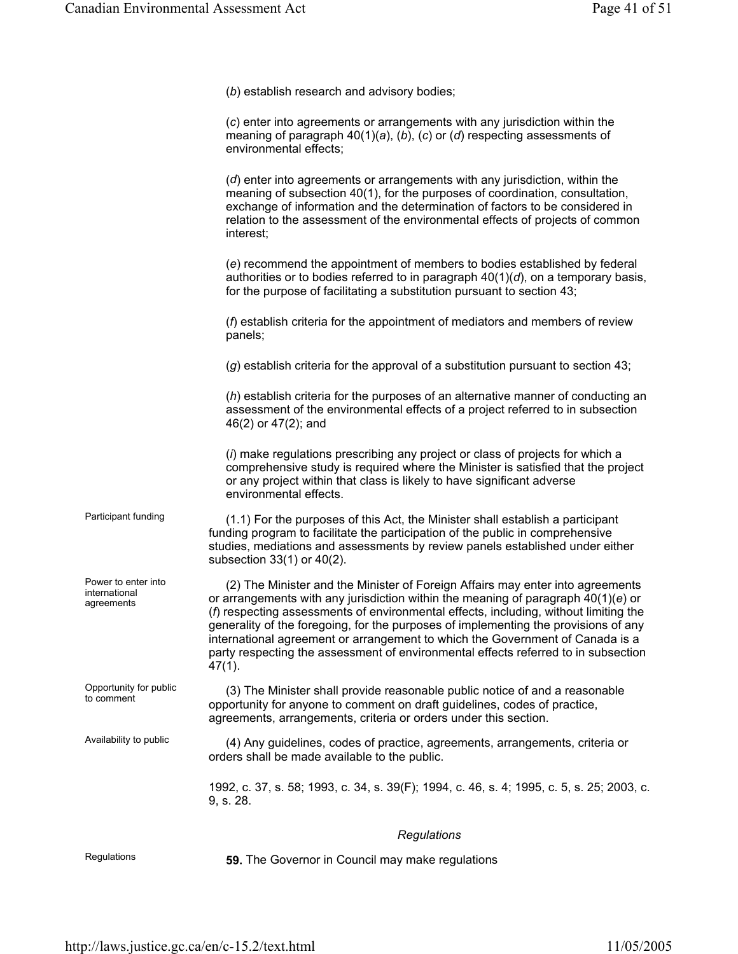(*b*) establish research and advisory bodies;

(*c*) enter into agreements or arrangements with any jurisdiction within the meaning of paragraph 40(1)(*a*), (*b*), (*c*) or (*d*) respecting assessments of environmental effects;

(*d*) enter into agreements or arrangements with any jurisdiction, within the meaning of subsection 40(1), for the purposes of coordination, consultation, exchange of information and the determination of factors to be considered in relation to the assessment of the environmental effects of projects of common interest;

(*e*) recommend the appointment of members to bodies established by federal authorities or to bodies referred to in paragraph 40(1)(*d*), on a temporary basis, for the purpose of facilitating a substitution pursuant to section 43;

(*f*) establish criteria for the appointment of mediators and members of review panels;

(*g*) establish criteria for the approval of a substitution pursuant to section 43;

(*h*) establish criteria for the purposes of an alternative manner of conducting an assessment of the environmental effects of a project referred to in subsection 46(2) or 47(2); and

(*i*) make regulations prescribing any project or class of projects for which a comprehensive study is required where the Minister is satisfied that the project or any project within that class is likely to have significant adverse environmental effects.

Participant funding (1.1) For the purposes of this Act, the Minister shall establish a participant funding program to facilitate the participation of the public in comprehensive studies, mediations and assessments by review panels established under either subsection 33(1) or 40(2).

> (2) The Minister and the Minister of Foreign Affairs may enter into agreements or arrangements with any jurisdiction within the meaning of paragraph 40(1)(*e*) or (*f*) respecting assessments of environmental effects, including, without limiting the generality of the foregoing, for the purposes of implementing the provisions of any international agreement or arrangement to which the Government of Canada is a party respecting the assessment of environmental effects referred to in subsection 47(1).

Opportunity for public (3) The Minister shall provide reasonable public notice of and a reasonable to comment opportunity for anyone to comment on draft guidelines, codes of practice, agreements, arrangements, criteria or orders under this section.

Availability to public (4) Any guidelines, codes of practice, agreements, arrangements, criteria or orders shall be made available to the public.

> 1992, c. 37, s. 58; 1993, c. 34, s. 39(F); 1994, c. 46, s. 4; 1995, c. 5, s. 25; 2003, c. 9, s. 28.

#### *Regulations*

Power to enter into international agreements

Opportunity for public

Regulations **59.** The Governor in Council may make regulations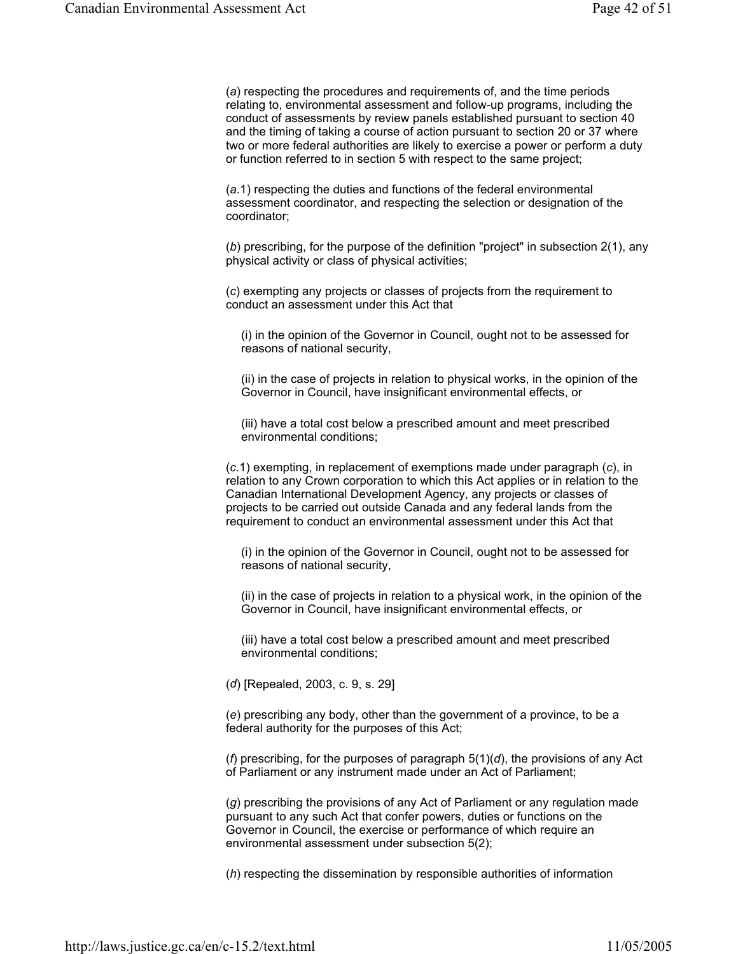(*a*) respecting the procedures and requirements of, and the time periods relating to, environmental assessment and follow-up programs, including the conduct of assessments by review panels established pursuant to section 40 and the timing of taking a course of action pursuant to section 20 or 37 where two or more federal authorities are likely to exercise a power or perform a duty or function referred to in section 5 with respect to the same project;

(*a*.1) respecting the duties and functions of the federal environmental assessment coordinator, and respecting the selection or designation of the coordinator;

(*b*) prescribing, for the purpose of the definition "project" in subsection 2(1), any physical activity or class of physical activities;

(*c*) exempting any projects or classes of projects from the requirement to conduct an assessment under this Act that

(i) in the opinion of the Governor in Council, ought not to be assessed for reasons of national security,

(ii) in the case of projects in relation to physical works, in the opinion of the Governor in Council, have insignificant environmental effects, or

(iii) have a total cost below a prescribed amount and meet prescribed environmental conditions;

(*c*.1) exempting, in replacement of exemptions made under paragraph (*c*), in relation to any Crown corporation to which this Act applies or in relation to the Canadian International Development Agency, any projects or classes of projects to be carried out outside Canada and any federal lands from the requirement to conduct an environmental assessment under this Act that

(i) in the opinion of the Governor in Council, ought not to be assessed for reasons of national security,

(ii) in the case of projects in relation to a physical work, in the opinion of the Governor in Council, have insignificant environmental effects, or

(iii) have a total cost below a prescribed amount and meet prescribed environmental conditions;

(*d*) [Repealed, 2003, c. 9, s. 29]

(*e*) prescribing any body, other than the government of a province, to be a federal authority for the purposes of this Act;

(*f*) prescribing, for the purposes of paragraph 5(1)(*d*), the provisions of any Act of Parliament or any instrument made under an Act of Parliament;

(*g*) prescribing the provisions of any Act of Parliament or any regulation made pursuant to any such Act that confer powers, duties or functions on the Governor in Council, the exercise or performance of which require an environmental assessment under subsection 5(2);

(*h*) respecting the dissemination by responsible authorities of information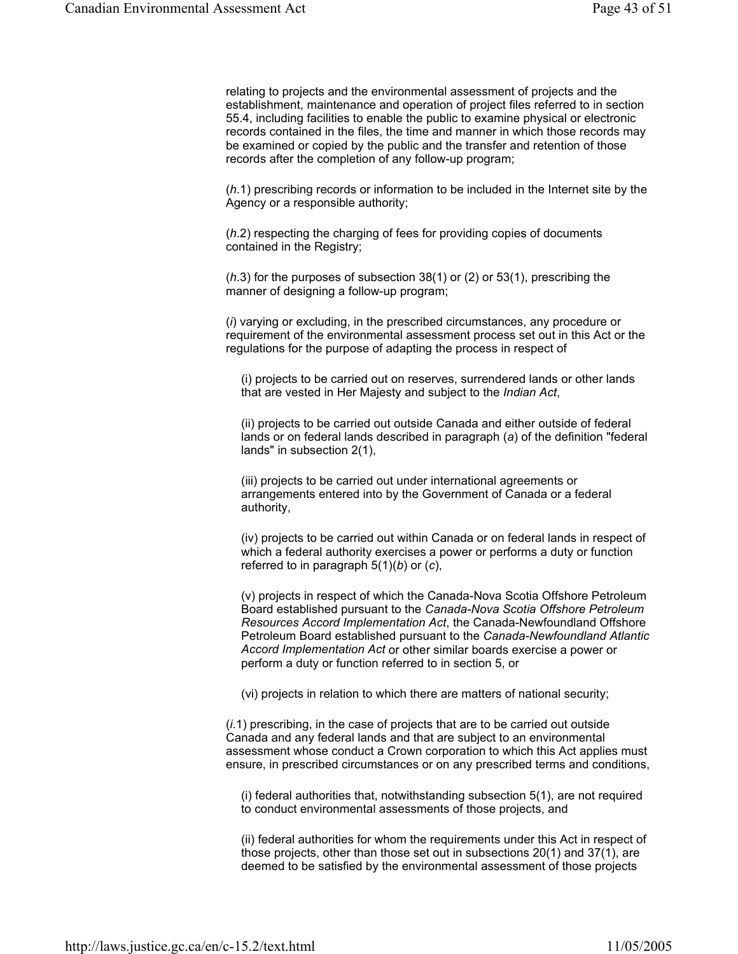relating to projects and the environmental assessment of projects and the establishment, maintenance and operation of project files referred to in section 55.4, including facilities to enable the public to examine physical or electronic records contained in the files, the time and manner in which those records may be examined or copied by the public and the transfer and retention of those records after the completion of any follow-up program;

(*h*.1) prescribing records or information to be included in the Internet site by the Agency or a responsible authority;

(*h*.2) respecting the charging of fees for providing copies of documents contained in the Registry;

(*h*.3) for the purposes of subsection 38(1) or (2) or 53(1), prescribing the manner of designing a follow-up program;

(*i*) varying or excluding, in the prescribed circumstances, any procedure or requirement of the environmental assessment process set out in this Act or the regulations for the purpose of adapting the process in respect of

(i) projects to be carried out on reserves, surrendered lands or other lands that are vested in Her Majesty and subject to the *Indian Act*,

(ii) projects to be carried out outside Canada and either outside of federal lands or on federal lands described in paragraph (*a*) of the definition "federal lands" in subsection 2(1),

(iii) projects to be carried out under international agreements or arrangements entered into by the Government of Canada or a federal authority,

(iv) projects to be carried out within Canada or on federal lands in respect of which a federal authority exercises a power or performs a duty or function referred to in paragraph 5(1)(*b*) or (*c*),

(v) projects in respect of which the Canada-Nova Scotia Offshore Petroleum Board established pursuant to the *Canada-Nova Scotia Offshore Petroleum Resources Accord Implementation Act*, the Canada-Newfoundland Offshore Petroleum Board established pursuant to the *Canada-Newfoundland Atlantic Accord Implementation Act* or other similar boards exercise a power or perform a duty or function referred to in section 5, or

(vi) projects in relation to which there are matters of national security;

(*i*.1) prescribing, in the case of projects that are to be carried out outside Canada and any federal lands and that are subject to an environmental assessment whose conduct a Crown corporation to which this Act applies must ensure, in prescribed circumstances or on any prescribed terms and conditions,

(i) federal authorities that, notwithstanding subsection 5(1), are not required to conduct environmental assessments of those projects, and

(ii) federal authorities for whom the requirements under this Act in respect of those projects, other than those set out in subsections 20(1) and 37(1), are deemed to be satisfied by the environmental assessment of those projects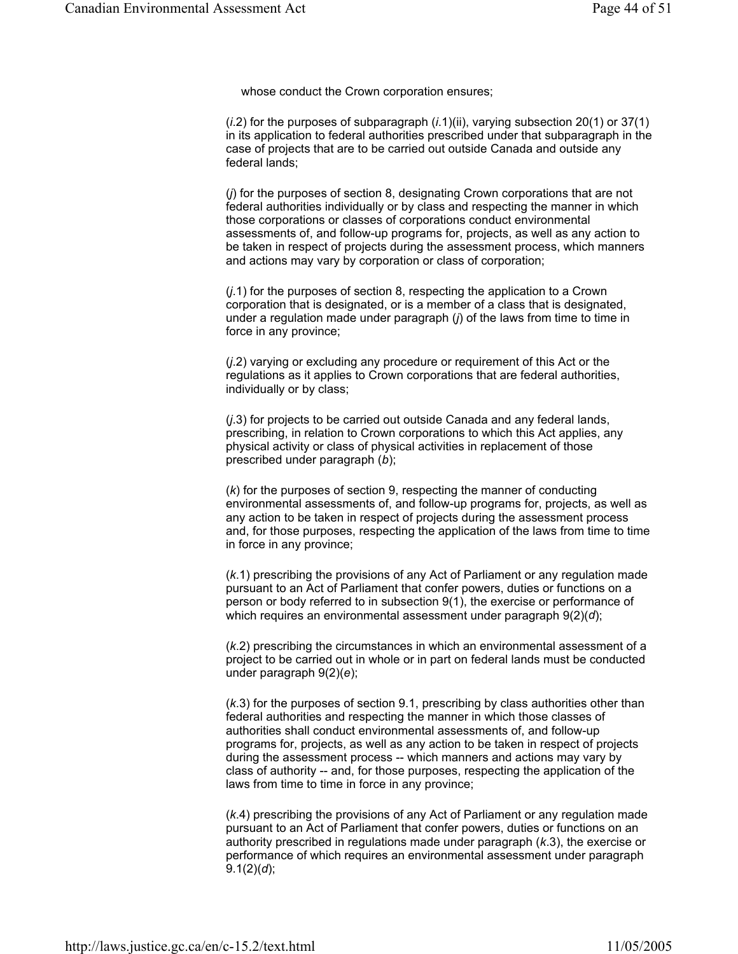whose conduct the Crown corporation ensures;

(*i*.2) for the purposes of subparagraph (*i*.1)(ii), varying subsection 20(1) or 37(1) in its application to federal authorities prescribed under that subparagraph in the case of projects that are to be carried out outside Canada and outside any federal lands;

(*j*) for the purposes of section 8, designating Crown corporations that are not federal authorities individually or by class and respecting the manner in which those corporations or classes of corporations conduct environmental assessments of, and follow-up programs for, projects, as well as any action to be taken in respect of projects during the assessment process, which manners and actions may vary by corporation or class of corporation;

(*j*.1) for the purposes of section 8, respecting the application to a Crown corporation that is designated, or is a member of a class that is designated, under a regulation made under paragraph (*j*) of the laws from time to time in force in any province;

(*j*.2) varying or excluding any procedure or requirement of this Act or the regulations as it applies to Crown corporations that are federal authorities, individually or by class;

(*j*.3) for projects to be carried out outside Canada and any federal lands, prescribing, in relation to Crown corporations to which this Act applies, any physical activity or class of physical activities in replacement of those prescribed under paragraph (*b*);

(*k*) for the purposes of section 9, respecting the manner of conducting environmental assessments of, and follow-up programs for, projects, as well as any action to be taken in respect of projects during the assessment process and, for those purposes, respecting the application of the laws from time to time in force in any province;

(*k*.1) prescribing the provisions of any Act of Parliament or any regulation made pursuant to an Act of Parliament that confer powers, duties or functions on a person or body referred to in subsection 9(1), the exercise or performance of which requires an environmental assessment under paragraph 9(2)(*d*);

(*k*.2) prescribing the circumstances in which an environmental assessment of a project to be carried out in whole or in part on federal lands must be conducted under paragraph 9(2)(*e*);

(*k*.3) for the purposes of section 9.1, prescribing by class authorities other than federal authorities and respecting the manner in which those classes of authorities shall conduct environmental assessments of, and follow-up programs for, projects, as well as any action to be taken in respect of projects during the assessment process -- which manners and actions may vary by class of authority -- and, for those purposes, respecting the application of the laws from time to time in force in any province;

(*k*.4) prescribing the provisions of any Act of Parliament or any regulation made pursuant to an Act of Parliament that confer powers, duties or functions on an authority prescribed in regulations made under paragraph (*k*.3), the exercise or performance of which requires an environmental assessment under paragraph 9.1(2)(*d*);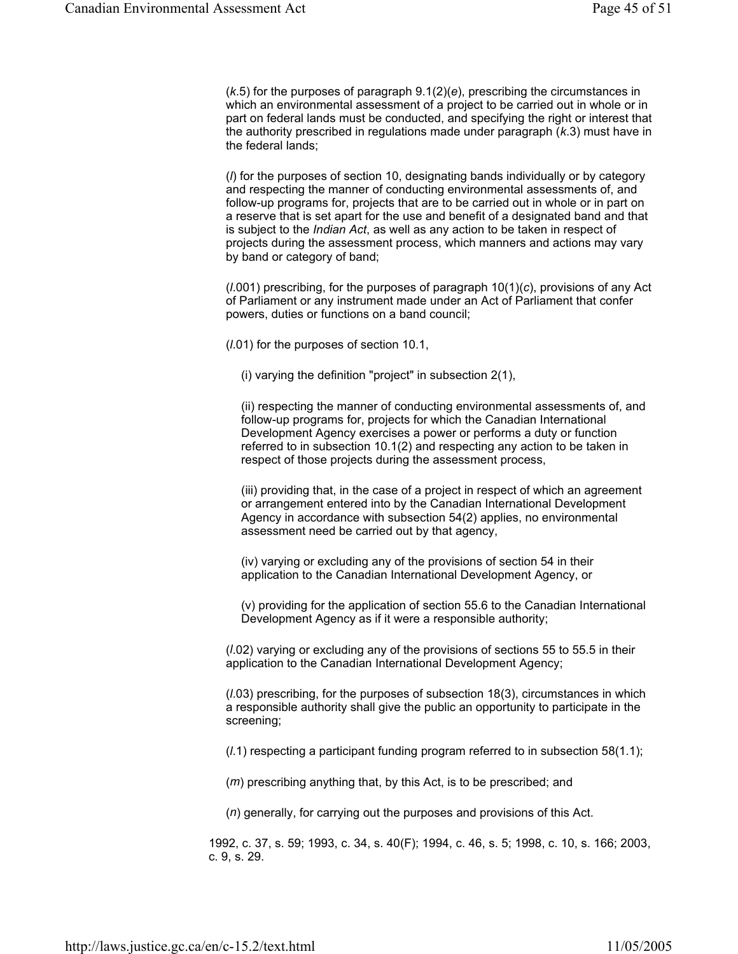(*k*.5) for the purposes of paragraph 9.1(2)(*e*), prescribing the circumstances in which an environmental assessment of a project to be carried out in whole or in part on federal lands must be conducted, and specifying the right or interest that the authority prescribed in regulations made under paragraph (*k*.3) must have in the federal lands;

(*l*) for the purposes of section 10, designating bands individually or by category and respecting the manner of conducting environmental assessments of, and follow-up programs for, projects that are to be carried out in whole or in part on a reserve that is set apart for the use and benefit of a designated band and that is subject to the *Indian Act*, as well as any action to be taken in respect of projects during the assessment process, which manners and actions may vary by band or category of band;

(*l*.001) prescribing, for the purposes of paragraph 10(1)(*c*), provisions of any Act of Parliament or any instrument made under an Act of Parliament that confer powers, duties or functions on a band council;

(*l*.01) for the purposes of section 10.1,

(i) varying the definition "project" in subsection 2(1),

(ii) respecting the manner of conducting environmental assessments of, and follow-up programs for, projects for which the Canadian International Development Agency exercises a power or performs a duty or function referred to in subsection 10.1(2) and respecting any action to be taken in respect of those projects during the assessment process,

(iii) providing that, in the case of a project in respect of which an agreement or arrangement entered into by the Canadian International Development Agency in accordance with subsection 54(2) applies, no environmental assessment need be carried out by that agency,

(iv) varying or excluding any of the provisions of section 54 in their application to the Canadian International Development Agency, or

(v) providing for the application of section 55.6 to the Canadian International Development Agency as if it were a responsible authority;

(*l*.02) varying or excluding any of the provisions of sections 55 to 55.5 in their application to the Canadian International Development Agency;

(*l*.03) prescribing, for the purposes of subsection 18(3), circumstances in which a responsible authority shall give the public an opportunity to participate in the screening;

(*l*.1) respecting a participant funding program referred to in subsection 58(1.1);

(*m*) prescribing anything that, by this Act, is to be prescribed; and

(*n*) generally, for carrying out the purposes and provisions of this Act.

1992, c. 37, s. 59; 1993, c. 34, s. 40(F); 1994, c. 46, s. 5; 1998, c. 10, s. 166; 2003, c. 9, s. 29.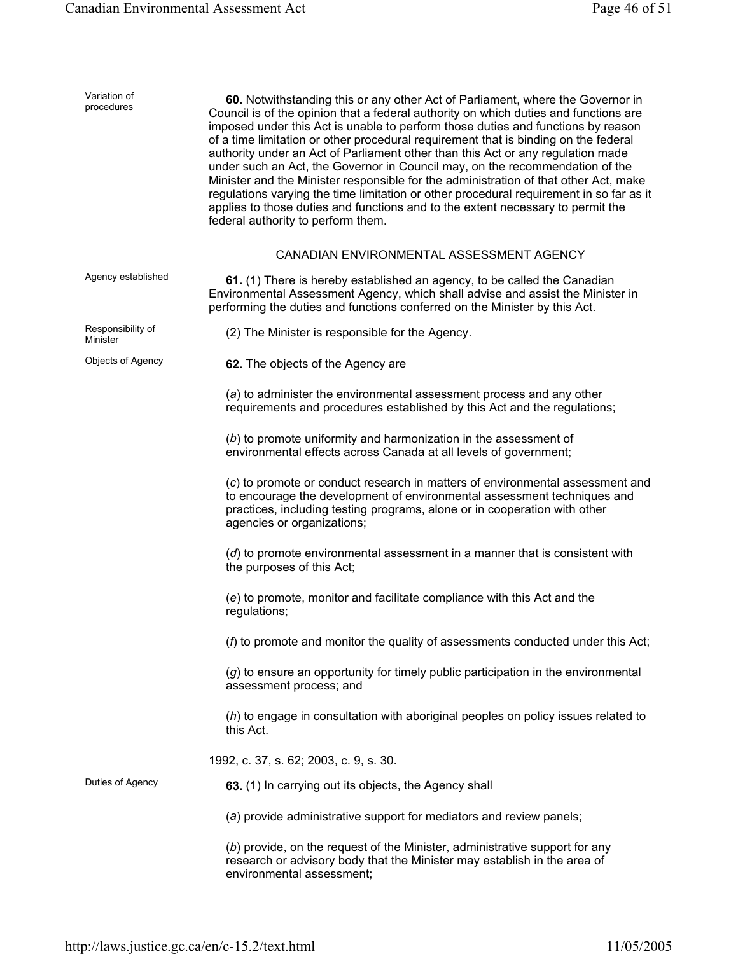| Variation of<br>procedures    | 60. Notwithstanding this or any other Act of Parliament, where the Governor in<br>Council is of the opinion that a federal authority on which duties and functions are<br>imposed under this Act is unable to perform those duties and functions by reason<br>of a time limitation or other procedural requirement that is binding on the federal<br>authority under an Act of Parliament other than this Act or any regulation made<br>under such an Act, the Governor in Council may, on the recommendation of the<br>Minister and the Minister responsible for the administration of that other Act, make<br>regulations varying the time limitation or other procedural requirement in so far as it<br>applies to those duties and functions and to the extent necessary to permit the<br>federal authority to perform them. |
|-------------------------------|----------------------------------------------------------------------------------------------------------------------------------------------------------------------------------------------------------------------------------------------------------------------------------------------------------------------------------------------------------------------------------------------------------------------------------------------------------------------------------------------------------------------------------------------------------------------------------------------------------------------------------------------------------------------------------------------------------------------------------------------------------------------------------------------------------------------------------|
|                               | CANADIAN ENVIRONMENTAL ASSESSMENT AGENCY                                                                                                                                                                                                                                                                                                                                                                                                                                                                                                                                                                                                                                                                                                                                                                                         |
| Agency established            | 61. (1) There is hereby established an agency, to be called the Canadian<br>Environmental Assessment Agency, which shall advise and assist the Minister in<br>performing the duties and functions conferred on the Minister by this Act.                                                                                                                                                                                                                                                                                                                                                                                                                                                                                                                                                                                         |
| Responsibility of<br>Minister | (2) The Minister is responsible for the Agency.                                                                                                                                                                                                                                                                                                                                                                                                                                                                                                                                                                                                                                                                                                                                                                                  |
| Objects of Agency             | 62. The objects of the Agency are                                                                                                                                                                                                                                                                                                                                                                                                                                                                                                                                                                                                                                                                                                                                                                                                |
|                               | (a) to administer the environmental assessment process and any other<br>requirements and procedures established by this Act and the regulations;                                                                                                                                                                                                                                                                                                                                                                                                                                                                                                                                                                                                                                                                                 |
|                               | (b) to promote uniformity and harmonization in the assessment of<br>environmental effects across Canada at all levels of government;                                                                                                                                                                                                                                                                                                                                                                                                                                                                                                                                                                                                                                                                                             |
|                               | (c) to promote or conduct research in matters of environmental assessment and<br>to encourage the development of environmental assessment techniques and<br>practices, including testing programs, alone or in cooperation with other<br>agencies or organizations;                                                                                                                                                                                                                                                                                                                                                                                                                                                                                                                                                              |
|                               | (d) to promote environmental assessment in a manner that is consistent with<br>the purposes of this Act;                                                                                                                                                                                                                                                                                                                                                                                                                                                                                                                                                                                                                                                                                                                         |
|                               | (e) to promote, monitor and facilitate compliance with this Act and the<br>regulations;                                                                                                                                                                                                                                                                                                                                                                                                                                                                                                                                                                                                                                                                                                                                          |
|                               | (f) to promote and monitor the quality of assessments conducted under this Act;                                                                                                                                                                                                                                                                                                                                                                                                                                                                                                                                                                                                                                                                                                                                                  |
|                               | (g) to ensure an opportunity for timely public participation in the environmental<br>assessment process; and                                                                                                                                                                                                                                                                                                                                                                                                                                                                                                                                                                                                                                                                                                                     |
|                               | (h) to engage in consultation with aboriginal peoples on policy issues related to<br>this Act.                                                                                                                                                                                                                                                                                                                                                                                                                                                                                                                                                                                                                                                                                                                                   |
|                               | 1992, c. 37, s. 62; 2003, c. 9, s. 30.                                                                                                                                                                                                                                                                                                                                                                                                                                                                                                                                                                                                                                                                                                                                                                                           |
| Duties of Agency              | 63. (1) In carrying out its objects, the Agency shall                                                                                                                                                                                                                                                                                                                                                                                                                                                                                                                                                                                                                                                                                                                                                                            |
|                               | (a) provide administrative support for mediators and review panels;                                                                                                                                                                                                                                                                                                                                                                                                                                                                                                                                                                                                                                                                                                                                                              |
|                               | (b) provide, on the request of the Minister, administrative support for any<br>research or advisory body that the Minister may establish in the area of<br>environmental assessment;                                                                                                                                                                                                                                                                                                                                                                                                                                                                                                                                                                                                                                             |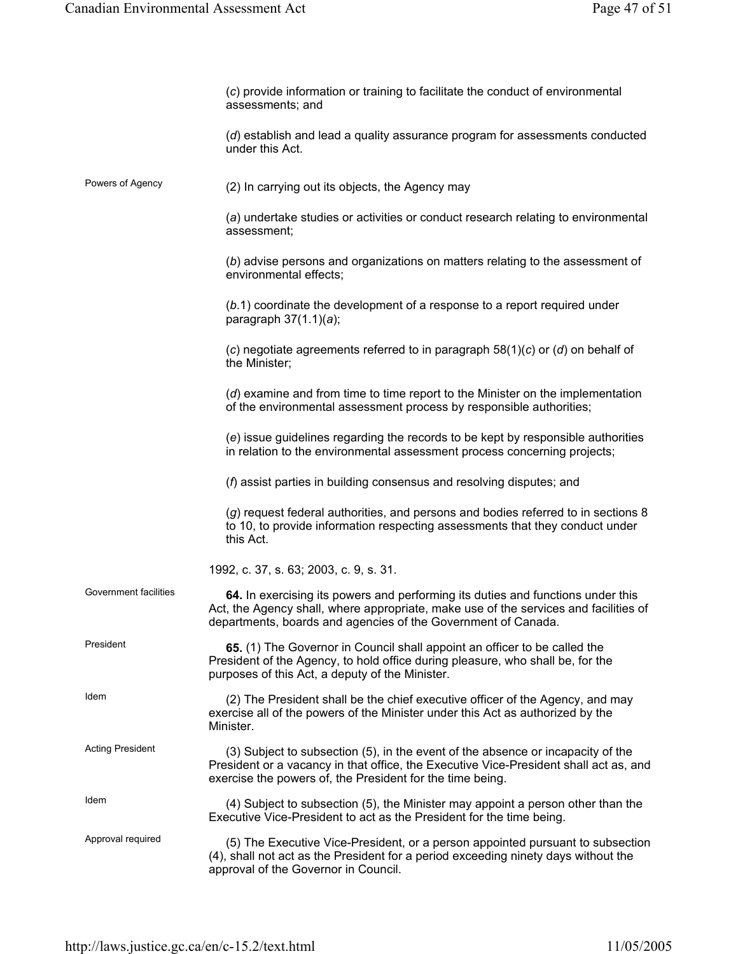|                         | (c) provide information or training to facilitate the conduct of environmental<br>assessments; and                                                                                                                                       |
|-------------------------|------------------------------------------------------------------------------------------------------------------------------------------------------------------------------------------------------------------------------------------|
|                         | (d) establish and lead a quality assurance program for assessments conducted<br>under this Act.                                                                                                                                          |
| Powers of Agency        | (2) In carrying out its objects, the Agency may                                                                                                                                                                                          |
|                         | (a) undertake studies or activities or conduct research relating to environmental<br>assessment;                                                                                                                                         |
|                         | (b) advise persons and organizations on matters relating to the assessment of<br>environmental effects;                                                                                                                                  |
|                         | $(b.1)$ coordinate the development of a response to a report required under<br>paragraph $37(1.1)(a)$ ;                                                                                                                                  |
|                         | (c) negotiate agreements referred to in paragraph $58(1)(c)$ or (d) on behalf of<br>the Minister;                                                                                                                                        |
|                         | (d) examine and from time to time report to the Minister on the implementation<br>of the environmental assessment process by responsible authorities;                                                                                    |
|                         | (e) issue guidelines regarding the records to be kept by responsible authorities<br>in relation to the environmental assessment process concerning projects;                                                                             |
|                         | $(f)$ assist parties in building consensus and resolving disputes; and                                                                                                                                                                   |
|                         | (g) request federal authorities, and persons and bodies referred to in sections 8<br>to 10, to provide information respecting assessments that they conduct under<br>this Act.                                                           |
|                         | 1992, c. 37, s. 63; 2003, c. 9, s. 31.                                                                                                                                                                                                   |
| Government facilities   | 64. In exercising its powers and performing its duties and functions under this<br>Act, the Agency shall, where appropriate, make use of the services and facilities of<br>departments, boards and agencies of the Government of Canada. |
| President               | 65. (1) The Governor in Council shall appoint an officer to be called the<br>President of the Agency, to hold office during pleasure, who shall be, for the<br>purposes of this Act, a deputy of the Minister.                           |
| Idem                    | (2) The President shall be the chief executive officer of the Agency, and may<br>exercise all of the powers of the Minister under this Act as authorized by the<br>Minister.                                                             |
| <b>Acting President</b> | (3) Subject to subsection (5), in the event of the absence or incapacity of the<br>President or a vacancy in that office, the Executive Vice-President shall act as, and<br>exercise the powers of, the President for the time being.    |
| Idem                    | (4) Subject to subsection (5), the Minister may appoint a person other than the<br>Executive Vice-President to act as the President for the time being.                                                                                  |
| Approval required       | (5) The Executive Vice-President, or a person appointed pursuant to subsection<br>(4), shall not act as the President for a period exceeding ninety days without the<br>approval of the Governor in Council.                             |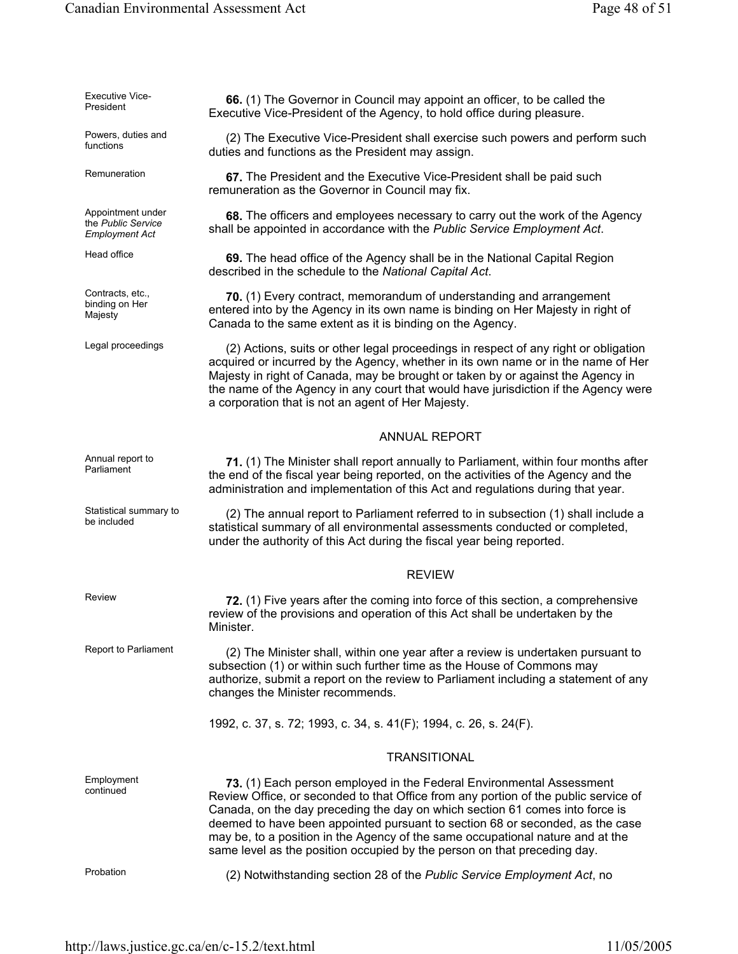| <b>Executive Vice-</b><br>President                              | 66. (1) The Governor in Council may appoint an officer, to be called the<br>Executive Vice-President of the Agency, to hold office during pleasure.                                                                                                                                                                                                                                                                                                                                        |
|------------------------------------------------------------------|--------------------------------------------------------------------------------------------------------------------------------------------------------------------------------------------------------------------------------------------------------------------------------------------------------------------------------------------------------------------------------------------------------------------------------------------------------------------------------------------|
| Powers, duties and<br>functions                                  | (2) The Executive Vice-President shall exercise such powers and perform such<br>duties and functions as the President may assign.                                                                                                                                                                                                                                                                                                                                                          |
| Remuneration                                                     | 67. The President and the Executive Vice-President shall be paid such<br>remuneration as the Governor in Council may fix.                                                                                                                                                                                                                                                                                                                                                                  |
| Appointment under<br>the Public Service<br><b>Employment Act</b> | 68. The officers and employees necessary to carry out the work of the Agency<br>shall be appointed in accordance with the Public Service Employment Act.                                                                                                                                                                                                                                                                                                                                   |
| Head office                                                      | 69. The head office of the Agency shall be in the National Capital Region<br>described in the schedule to the National Capital Act.                                                                                                                                                                                                                                                                                                                                                        |
| Contracts, etc.,<br>binding on Her<br>Majesty                    | 70. (1) Every contract, memorandum of understanding and arrangement<br>entered into by the Agency in its own name is binding on Her Majesty in right of<br>Canada to the same extent as it is binding on the Agency.                                                                                                                                                                                                                                                                       |
| Legal proceedings                                                | (2) Actions, suits or other legal proceedings in respect of any right or obligation<br>acquired or incurred by the Agency, whether in its own name or in the name of Her<br>Majesty in right of Canada, may be brought or taken by or against the Agency in<br>the name of the Agency in any court that would have jurisdiction if the Agency were<br>a corporation that is not an agent of Her Majesty.                                                                                   |
|                                                                  | <b>ANNUAL REPORT</b>                                                                                                                                                                                                                                                                                                                                                                                                                                                                       |
| Annual report to<br>Parliament                                   | 71. (1) The Minister shall report annually to Parliament, within four months after<br>the end of the fiscal year being reported, on the activities of the Agency and the<br>administration and implementation of this Act and regulations during that year.                                                                                                                                                                                                                                |
| Statistical summary to<br>be included                            | (2) The annual report to Parliament referred to in subsection (1) shall include a<br>statistical summary of all environmental assessments conducted or completed,<br>under the authority of this Act during the fiscal year being reported.                                                                                                                                                                                                                                                |
|                                                                  | <b>REVIEW</b>                                                                                                                                                                                                                                                                                                                                                                                                                                                                              |
| Review                                                           | 72. (1) Five years after the coming into force of this section, a comprehensive<br>review of the provisions and operation of this Act shall be undertaken by the<br>Minister.                                                                                                                                                                                                                                                                                                              |
| Report to Parliament                                             | (2) The Minister shall, within one year after a review is undertaken pursuant to<br>subsection (1) or within such further time as the House of Commons may<br>authorize, submit a report on the review to Parliament including a statement of any<br>changes the Minister recommends.                                                                                                                                                                                                      |
|                                                                  | 1992, c. 37, s. 72; 1993, c. 34, s. 41(F); 1994, c. 26, s. 24(F).                                                                                                                                                                                                                                                                                                                                                                                                                          |
|                                                                  | <b>TRANSITIONAL</b>                                                                                                                                                                                                                                                                                                                                                                                                                                                                        |
| Employment<br>continued                                          | 73. (1) Each person employed in the Federal Environmental Assessment<br>Review Office, or seconded to that Office from any portion of the public service of<br>Canada, on the day preceding the day on which section 61 comes into force is<br>deemed to have been appointed pursuant to section 68 or seconded, as the case<br>may be, to a position in the Agency of the same occupational nature and at the<br>same level as the position occupied by the person on that preceding day. |
| Probation                                                        | (2) Notwithstanding section 28 of the Public Service Employment Act, no                                                                                                                                                                                                                                                                                                                                                                                                                    |